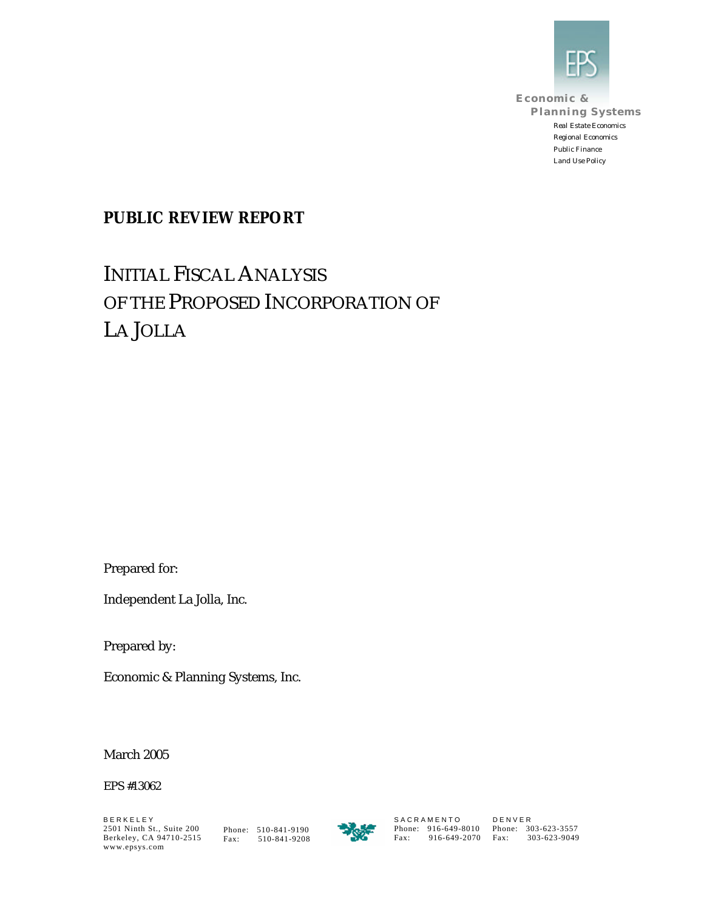

**Economic & Planning Systems** *Real Estate Economics Regional Economics Public Finance Land Use Policy*

### **PUBLIC REVIEW REPORT**

# INITIAL FISCAL ANALYSIS OF THE PROPOSED INCORPORATION OF LA JOLLA

Prepared for:

Independent La Jolla, Inc.

Prepared by:

Economic & Planning Systems, Inc.

March 2005

EPS #13062

B E R K E L E Y 2501 Ninth St., Suite 200 2501 Ninth St., Suite 200 Phone: 510-841-9190<br>Berkeley, CA 94710-2515 Fax: 510-841-9208 www.epsys.com

Fax: 510-841-9208



S A C R A M E N T O Phone: 916-649-8010 Fax: 916-649-2070 D E N V E R Phone: 303-623-3557 Fax: 303-623-9049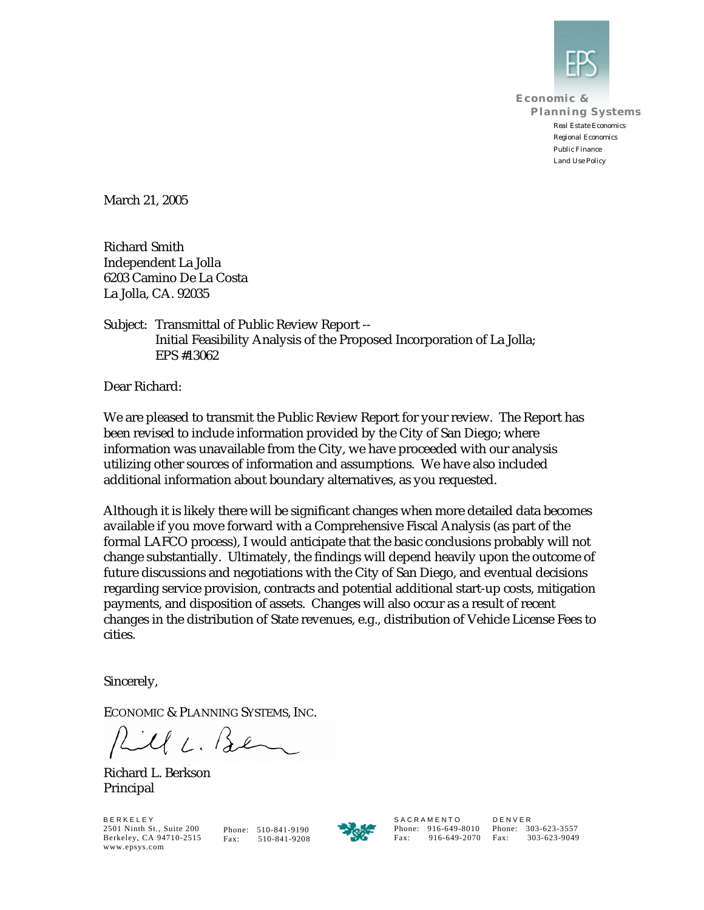

**Economic & Planning Systems** *Real Estate Economics Regional Economics Public Finance Land Use Policy*

March 21, 2005

Richard Smith Independent La Jolla 6203 Camino De La Costa La Jolla, CA. 92035

Subject: Transmittal of Public Review Report -- Initial Feasibility Analysis of the Proposed Incorporation of La Jolla; EPS #13062

Dear Richard:

We are pleased to transmit the Public Review Report for your review. The Report has been revised to include information provided by the City of San Diego; where information was unavailable from the City, we have proceeded with our analysis utilizing other sources of information and assumptions. We have also included additional information about boundary alternatives, as you requested.

Although it is likely there will be significant changes when more detailed data becomes available if you move forward with a Comprehensive Fiscal Analysis (as part of the formal LAFCO process), I would anticipate that the basic conclusions probably will not change substantially. Ultimately, the findings will depend heavily upon the outcome of future discussions and negotiations with the City of San Diego, and eventual decisions regarding service provision, contracts and potential additional start-up costs, mitigation payments, and disposition of assets. Changes will also occur as a result of recent changes in the distribution of State revenues, e.g., distribution of Vehicle License Fees to cities.

Sincerely,

ECONOMIC & PLANNING SYSTEMS, INC.

Rille. Ben

Richard L. Berkson Principal

B E R K E L E Y 2501 Ninth St., Suite 200 Berkeley, CA 94710-2515 www.epsys.com

Phone: 510-841-9190 Fax: 510-841-9208



**SACRAMENTO** 

Phone: 916-649-8010 Phone: 303-623-3557 Fax: 916-649-2070 Fax: 303-623-9049 D E N V E R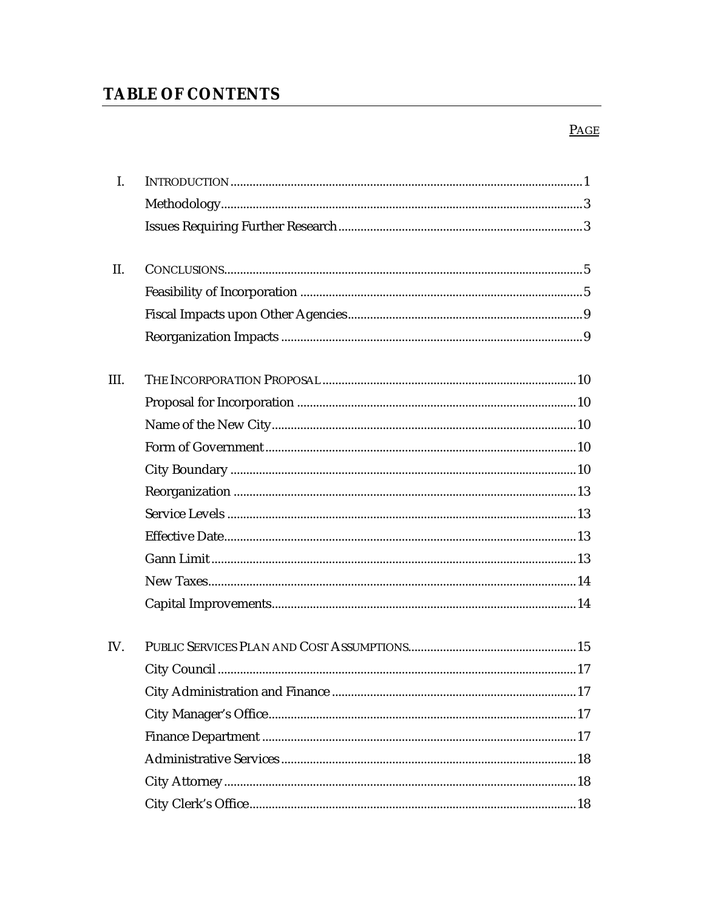## **TABLE OF CONTENTS**

### $PAGE$

| I.   |  |
|------|--|
|      |  |
|      |  |
| II.  |  |
|      |  |
|      |  |
|      |  |
| III. |  |
|      |  |
|      |  |
|      |  |
|      |  |
|      |  |
|      |  |
|      |  |
|      |  |
|      |  |
|      |  |
| IV.  |  |
|      |  |
|      |  |
|      |  |
|      |  |
|      |  |
|      |  |
|      |  |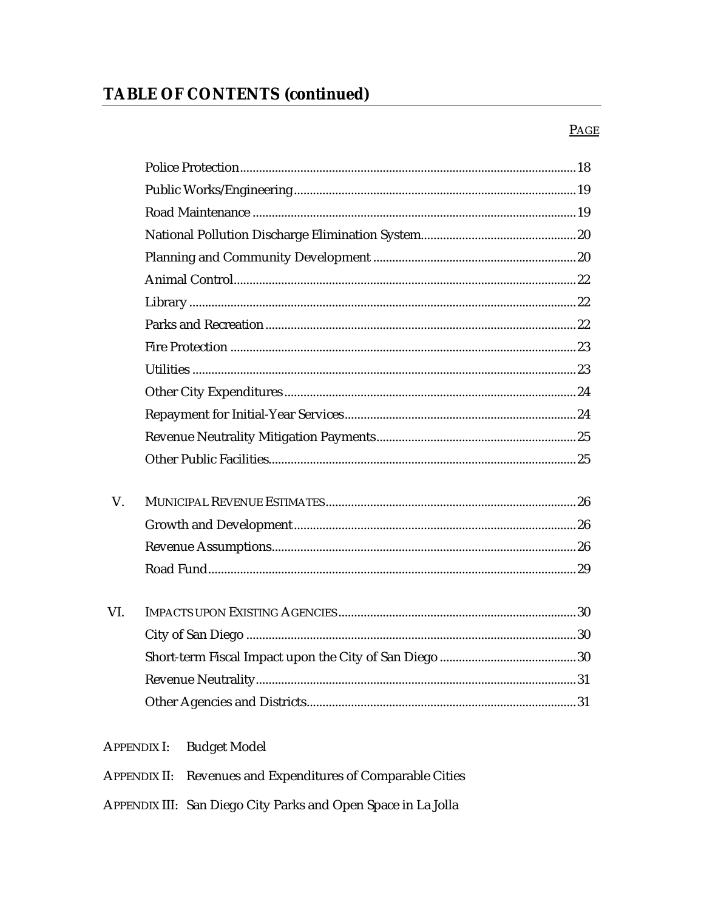#### $PAGE$

| V.  |                                           |  |
|-----|-------------------------------------------|--|
|     |                                           |  |
|     |                                           |  |
|     |                                           |  |
|     |                                           |  |
| VI. |                                           |  |
|     |                                           |  |
|     |                                           |  |
|     |                                           |  |
|     |                                           |  |
|     | <b>Budget Model</b><br><b>APPENDIX I:</b> |  |
|     |                                           |  |

- APPENDIX II: Revenues and Expenditures of Comparable Cities
- APPENDIX III: San Diego City Parks and Open Space in La Jolla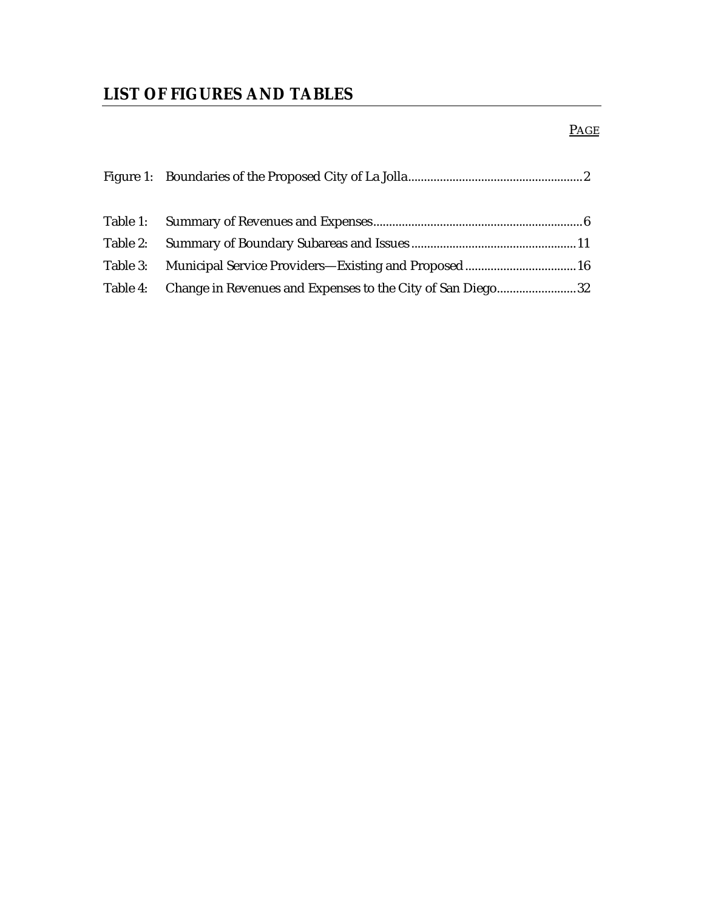### **LIST OF FIGURES AND TABLES**

### PAGE

| Table 3: Municipal Service Providers—Existing and Proposed 16       |  |
|---------------------------------------------------------------------|--|
| Table 4: Change in Revenues and Expenses to the City of San Diego32 |  |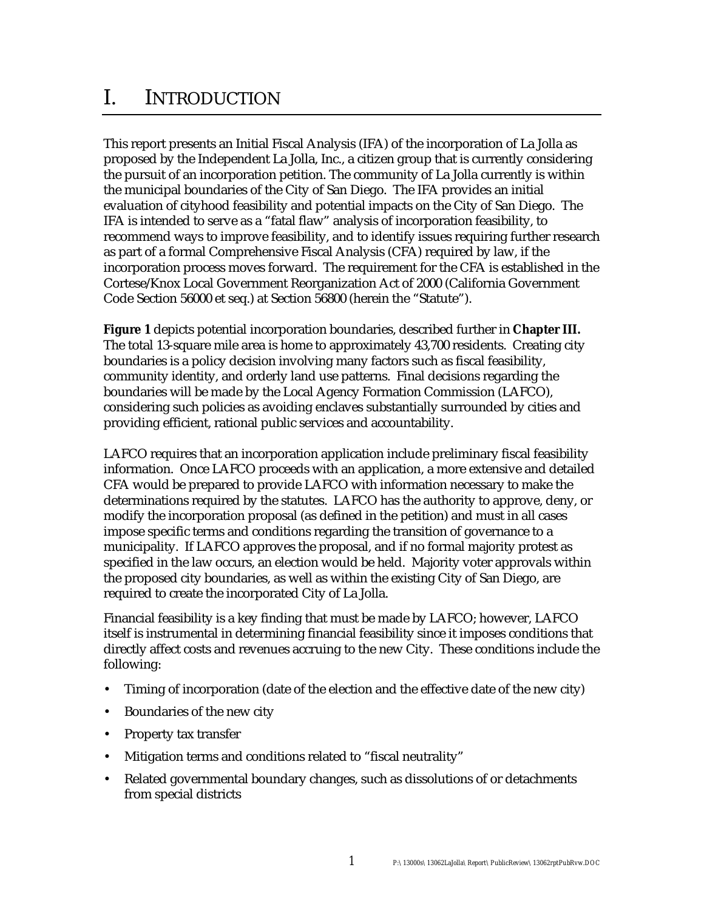# I. INTRODUCTION

This report presents an Initial Fiscal Analysis (IFA) of the incorporation of La Jolla as proposed by the Independent La Jolla, Inc., a citizen group that is currently considering the pursuit of an incorporation petition. The community of La Jolla currently is within the municipal boundaries of the City of San Diego. The IFA provides an initial evaluation of cityhood feasibility and potential impacts on the City of San Diego. The IFA is intended to serve as a "fatal flaw" analysis of incorporation feasibility, to recommend ways to improve feasibility, and to identify issues requiring further research as part of a formal Comprehensive Fiscal Analysis (CFA) required by law, if the incorporation process moves forward. The requirement for the CFA is established in the Cortese/Knox Local Government Reorganization Act of 2000 (California Government Code Section 56000 et seq.) at Section 56800 (herein the "Statute").

**Figure 1** depicts potential incorporation boundaries, described further in **Chapter III.** The total 13-square mile area is home to approximately 43,700 residents. Creating city boundaries is a policy decision involving many factors such as fiscal feasibility, community identity, and orderly land use patterns. Final decisions regarding the boundaries will be made by the Local Agency Formation Commission (LAFCO), considering such policies as avoiding enclaves substantially surrounded by cities and providing efficient, rational public services and accountability.

LAFCO requires that an incorporation application include preliminary fiscal feasibility information. Once LAFCO proceeds with an application, a more extensive and detailed CFA would be prepared to provide LAFCO with information necessary to make the determinations required by the statutes. LAFCO has the authority to approve, deny, or modify the incorporation proposal (as defined in the petition) and must in all cases impose specific terms and conditions regarding the transition of governance to a municipality. If LAFCO approves the proposal, and if no formal majority protest as specified in the law occurs, an election would be held. Majority voter approvals within the proposed city boundaries, as well as within the existing City of San Diego, are required to create the incorporated City of La Jolla.

Financial feasibility is a key finding that must be made by LAFCO; however, LAFCO itself is instrumental in determining financial feasibility since it imposes conditions that directly affect costs and revenues accruing to the new City. These conditions include the following:

- Timing of incorporation (date of the election and the effective date of the new city)
- Boundaries of the new city
- Property tax transfer
- Mitigation terms and conditions related to "fiscal neutrality"
- Related governmental boundary changes, such as dissolutions of or detachments from special districts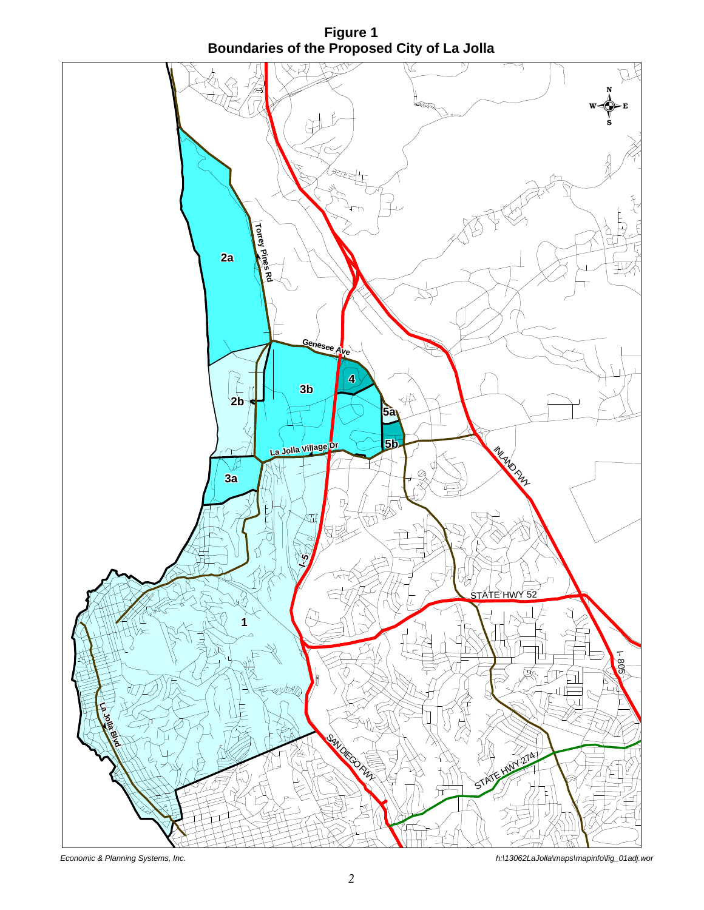**Figure 1 Boundaries of the Proposed City of La Jolla**

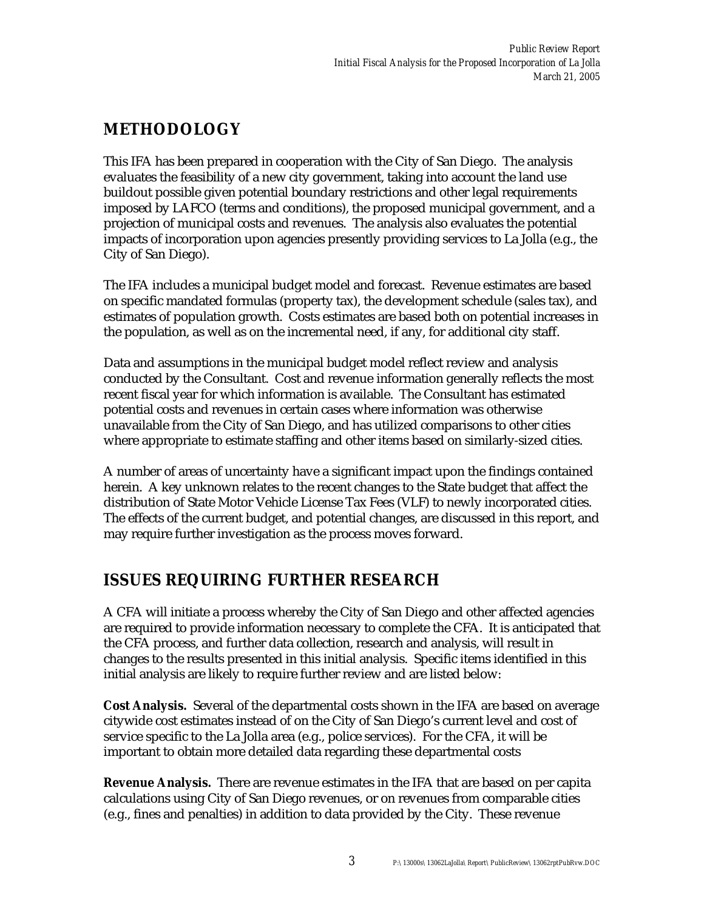### **METHODOLOGY**

This IFA has been prepared in cooperation with the City of San Diego. The analysis evaluates the feasibility of a new city government, taking into account the land use buildout possible given potential boundary restrictions and other legal requirements imposed by LAFCO (terms and conditions), the proposed municipal government, and a projection of municipal costs and revenues. The analysis also evaluates the potential impacts of incorporation upon agencies presently providing services to La Jolla (e.g., the City of San Diego).

The IFA includes a municipal budget model and forecast. Revenue estimates are based on specific mandated formulas (property tax), the development schedule (sales tax), and estimates of population growth. Costs estimates are based both on potential increases in the population, as well as on the incremental need, if any, for additional city staff.

Data and assumptions in the municipal budget model reflect review and analysis conducted by the Consultant. Cost and revenue information generally reflects the most recent fiscal year for which information is available. The Consultant has estimated potential costs and revenues in certain cases where information was otherwise unavailable from the City of San Diego, and has utilized comparisons to other cities where appropriate to estimate staffing and other items based on similarly-sized cities.

A number of areas of uncertainty have a significant impact upon the findings contained herein. A key unknown relates to the recent changes to the State budget that affect the distribution of State Motor Vehicle License Tax Fees (VLF) to newly incorporated cities. The effects of the current budget, and potential changes, are discussed in this report, and may require further investigation as the process moves forward.

### **ISSUES REQUIRING FURTHER RESEARCH**

A CFA will initiate a process whereby the City of San Diego and other affected agencies are required to provide information necessary to complete the CFA. It is anticipated that the CFA process, and further data collection, research and analysis, will result in changes to the results presented in this initial analysis. Specific items identified in this initial analysis are likely to require further review and are listed below:

**Cost Analysis.** Several of the departmental costs shown in the IFA are based on average citywide cost estimates instead of on the City of San Diego's current level and cost of service specific to the La Jolla area (e.g., police services). For the CFA, it will be important to obtain more detailed data regarding these departmental costs

**Revenue Analysis.** There are revenue estimates in the IFA that are based on per capita calculations using City of San Diego revenues, or on revenues from comparable cities (e.g., fines and penalties) in addition to data provided by the City. These revenue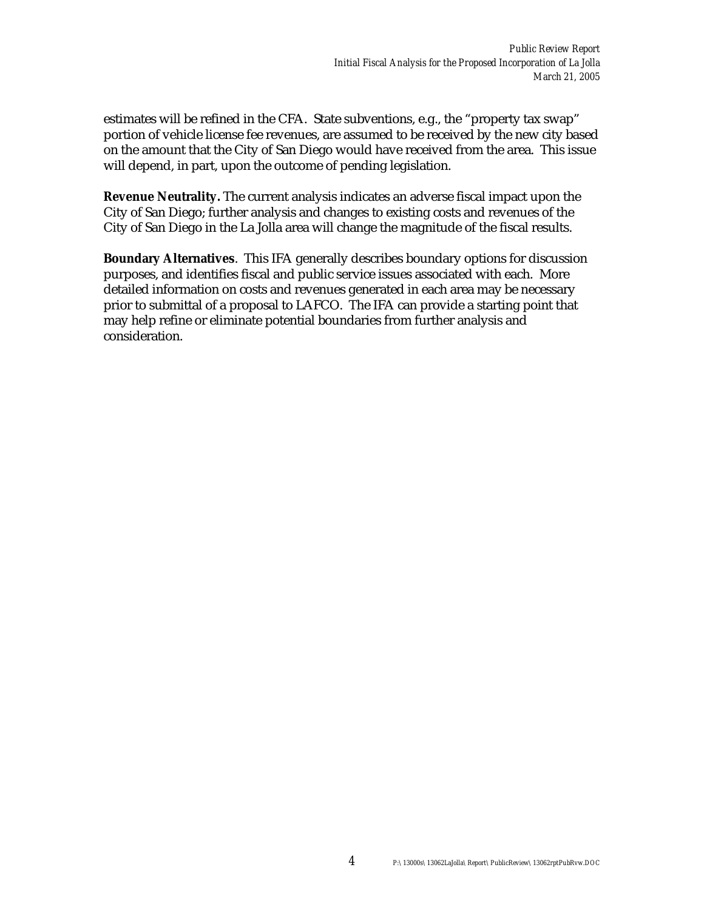estimates will be refined in the CFA. State subventions, e.g., the "property tax swap" portion of vehicle license fee revenues, are assumed to be received by the new city based on the amount that the City of San Diego would have received from the area. This issue will depend, in part, upon the outcome of pending legislation.

**Revenue Neutrality.** The current analysis indicates an adverse fiscal impact upon the City of San Diego; further analysis and changes to existing costs and revenues of the City of San Diego in the La Jolla area will change the magnitude of the fiscal results.

**Boundary Alternatives**. This IFA generally describes boundary options for discussion purposes, and identifies fiscal and public service issues associated with each. More detailed information on costs and revenues generated in each area may be necessary prior to submittal of a proposal to LAFCO. The IFA can provide a starting point that may help refine or eliminate potential boundaries from further analysis and consideration.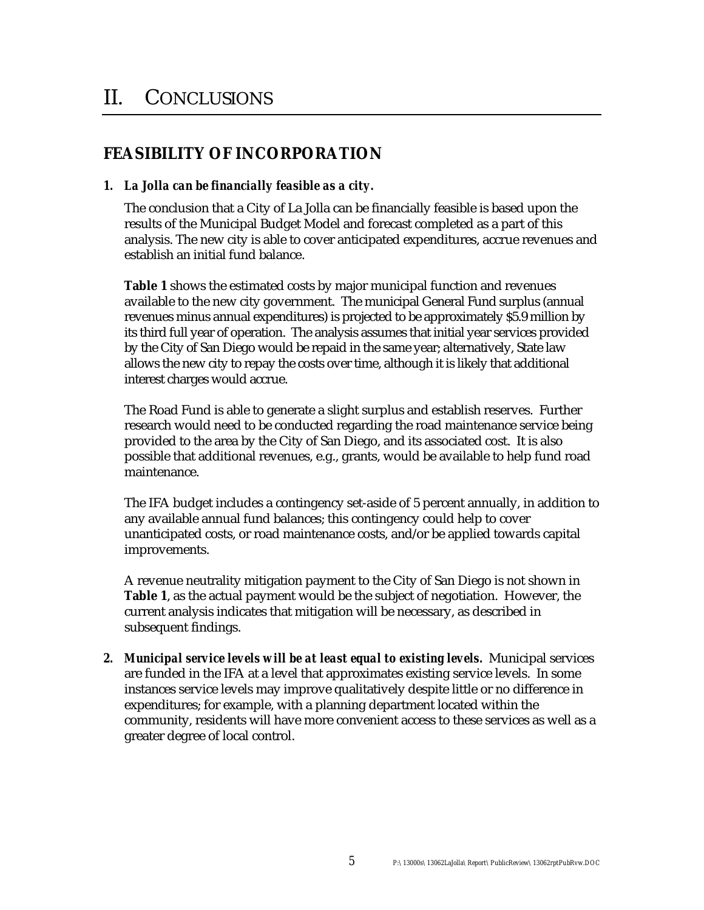### **FEASIBILITY OF INCORPORATION**

#### *1. La Jolla can be financially feasible as a city.*

The conclusion that a City of La Jolla can be financially feasible is based upon the results of the Municipal Budget Model and forecast completed as a part of this analysis. The new city is able to cover anticipated expenditures, accrue revenues and establish an initial fund balance.

**Table 1** shows the estimated costs by major municipal function and revenues available to the new city government. The municipal General Fund surplus (annual revenues minus annual expenditures) is projected to be approximately \$5.9 million by its third full year of operation. The analysis assumes that initial year services provided by the City of San Diego would be repaid in the same year; alternatively, State law allows the new city to repay the costs over time, although it is likely that additional interest charges would accrue.

The Road Fund is able to generate a slight surplus and establish reserves. Further research would need to be conducted regarding the road maintenance service being provided to the area by the City of San Diego, and its associated cost. It is also possible that additional revenues, e.g., grants, would be available to help fund road maintenance.

The IFA budget includes a contingency set-aside of 5 percent annually, in addition to any available annual fund balances; this contingency could help to cover unanticipated costs, or road maintenance costs, and/or be applied towards capital improvements.

A revenue neutrality mitigation payment to the City of San Diego is not shown in **Table 1**, as the actual payment would be the subject of negotiation. However, the current analysis indicates that mitigation will be necessary, as described in subsequent findings.

*2. Municipal service levels will be at least equal to existing levels.* Municipal services are funded in the IFA at a level that approximates existing service levels. In some instances service levels may improve qualitatively despite little or no difference in expenditures; for example, with a planning department located within the community, residents will have more convenient access to these services as well as a greater degree of local control.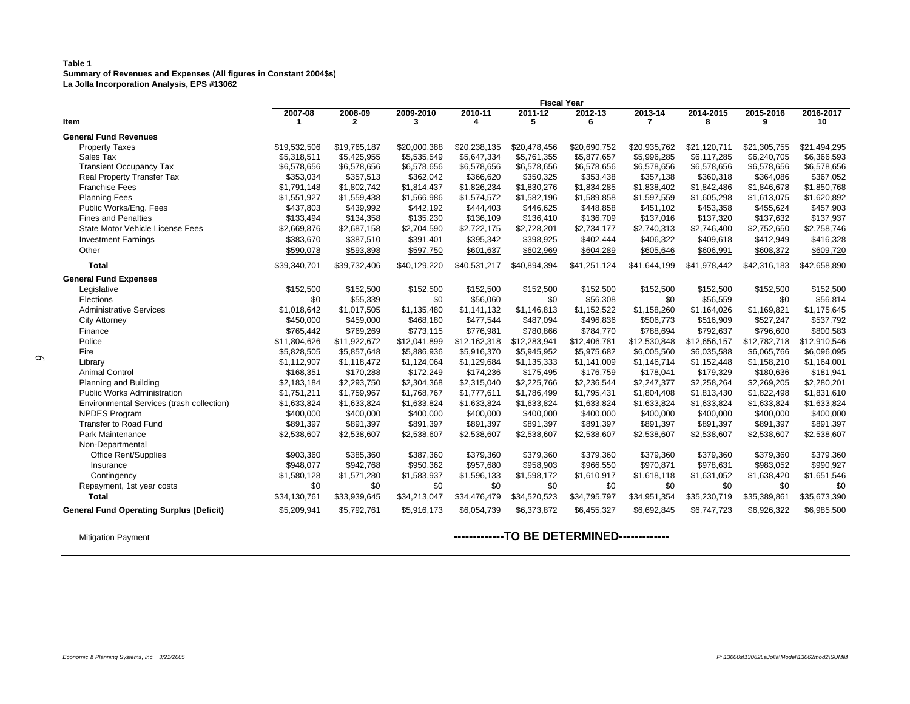#### **Table 1 Summary of Revenues and Expenses (All figures in Constant 2004\$s) La Jolla Incorporation Analysis, EPS #13062**

|                                                 | <b>Fiscal Year</b> |              |              |              |              |              |              |              |              |              |
|-------------------------------------------------|--------------------|--------------|--------------|--------------|--------------|--------------|--------------|--------------|--------------|--------------|
|                                                 | 2007-08            | 2008-09      | 2009-2010    | 2010-11      | 2011-12      | 2012-13      | 2013-14      | 2014-2015    | 2015-2016    | 2016-2017    |
| Item                                            |                    | $\mathbf{2}$ | 3            | 4            | 5            | 6            |              | 8            | 9            | 10           |
| <b>General Fund Revenues</b>                    |                    |              |              |              |              |              |              |              |              |              |
| <b>Property Taxes</b>                           | \$19,532,506       | \$19,765,187 | \$20,000,388 | \$20,238,135 | \$20,478,456 | \$20,690,752 | \$20,935,762 | \$21.120.711 | \$21,305,755 | \$21,494,295 |
| Sales Tax                                       | \$5,318,511        | \$5,425,955  | \$5,535,549  | \$5,647,334  | \$5,761,355  | \$5,877,657  | \$5,996,285  | \$6,117,285  | \$6,240,705  | \$6,366,593  |
| <b>Transient Occupancy Tax</b>                  | \$6,578,656        | \$6,578,656  | \$6,578,656  | \$6,578,656  | \$6,578,656  | \$6,578,656  | \$6,578,656  | \$6,578,656  | \$6,578,656  | \$6,578,656  |
| Real Property Transfer Tax                      | \$353,034          | \$357,513    | \$362,042    | \$366,620    | \$350,325    | \$353,438    | \$357,138    | \$360,318    | \$364,086    | \$367,052    |
| <b>Franchise Fees</b>                           | \$1,791,148        | \$1,802,742  | \$1,814,437  | \$1,826,234  | \$1,830,276  | \$1,834,285  | \$1,838,402  | \$1,842,486  | \$1,846,678  | \$1,850,768  |
| <b>Planning Fees</b>                            | \$1,551,927        | \$1,559,438  | \$1,566,986  | \$1,574,572  | \$1,582,196  | \$1,589,858  | \$1,597,559  | \$1,605,298  | \$1,613,075  | \$1,620,892  |
| Public Works/Eng. Fees                          | \$437,803          | \$439,992    | \$442,192    | \$444,403    | \$446,625    | \$448,858    | \$451.102    | \$453,358    | \$455,624    | \$457,903    |
| <b>Fines and Penalties</b>                      | \$133,494          | \$134,358    | \$135,230    | \$136,109    | \$136,410    | \$136,709    | \$137,016    | \$137,320    | \$137,632    | \$137,937    |
| State Motor Vehicle License Fees                | \$2,669,876        | \$2,687,158  | \$2,704,590  | \$2,722,175  | \$2,728,201  | \$2,734,177  | \$2,740,313  | \$2,746,400  | \$2,752,650  | \$2,758,746  |
| <b>Investment Earnings</b>                      | \$383,670          | \$387,510    | \$391,401    | \$395,342    | \$398,925    | \$402,444    | \$406,322    | \$409,618    | \$412,949    | \$416,328    |
| Other                                           | \$590,078          | \$593,898    | \$597,750    | \$601,637    | \$602,969    | \$604,289    | \$605,646    | \$606,991    | \$608,372    | \$609,720    |
| Total                                           | \$39,340,701       | \$39,732,406 | \$40,129,220 | \$40,531,217 | \$40,894,394 | \$41,251,124 | \$41,644,199 | \$41,978,442 | \$42,316,183 | \$42,658,890 |
| <b>General Fund Expenses</b>                    |                    |              |              |              |              |              |              |              |              |              |
| Legislative                                     | \$152,500          | \$152,500    | \$152,500    | \$152,500    | \$152,500    | \$152,500    | \$152,500    | \$152,500    | \$152,500    | \$152,500    |
| Elections                                       | \$0                | \$55,339     | \$0          | \$56,060     | \$0          | \$56,308     | \$0          | \$56,559     | \$0          | \$56,814     |
| <b>Administrative Services</b>                  | \$1,018,642        | \$1,017,505  | \$1,135,480  | \$1,141,132  | \$1,146,813  | \$1,152,522  | \$1,158,260  | \$1,164,026  | \$1,169,821  | \$1,175,645  |
| <b>City Attorney</b>                            | \$450,000          | \$459,000    | \$468,180    | \$477.544    | \$487,094    | \$496,836    | \$506,773    | \$516.909    | \$527,247    | \$537,792    |
| Finance                                         | \$765,442          | \$769,269    | \$773,115    | \$776,981    | \$780,866    | \$784,770    | \$788,694    | \$792,637    | \$796,600    | \$800,583    |
| Police                                          | \$11,804,626       | \$11,922,672 | \$12,041,899 | \$12,162,318 | \$12,283,941 | \$12,406,781 | \$12,530,848 | \$12,656,157 | \$12,782,718 | \$12,910,546 |
| Fire                                            | \$5,828,505        | \$5,857,648  | \$5,886,936  | \$5,916,370  | \$5,945,952  | \$5,975,682  | \$6,005,560  | \$6,035,588  | \$6,065,766  | \$6,096,095  |
| Library                                         | \$1,112,907        | \$1,118,472  | \$1,124,064  | \$1,129,684  | \$1,135,333  | \$1,141,009  | \$1,146,714  | \$1,152,448  | \$1,158,210  | \$1,164,001  |
| <b>Animal Control</b>                           | \$168,351          | \$170,288    | \$172,249    | \$174,236    | \$175,495    | \$176,759    | \$178,041    | \$179,329    | \$180,636    | \$181,941    |
| Planning and Building                           | \$2,183,184        | \$2,293,750  | \$2,304,368  | \$2,315,040  | \$2,225,766  | \$2,236,544  | \$2,247,377  | \$2,258,264  | \$2,269,205  | \$2,280,201  |
| <b>Public Works Administration</b>              | \$1,751,211        | \$1,759,967  | \$1,768,767  | \$1,777,611  | \$1,786,499  | \$1,795,431  | \$1,804,408  | \$1,813,430  | \$1,822,498  | \$1,831,610  |
| Environmental Services (trash collection)       | \$1,633,824        | \$1,633,824  | \$1,633,824  | \$1,633,824  | \$1,633,824  | \$1,633,824  | \$1,633,824  | \$1,633,824  | \$1,633,824  | \$1,633,824  |
| NPDES Program                                   | \$400,000          | \$400,000    | \$400,000    | \$400,000    | \$400,000    | \$400,000    | \$400,000    | \$400,000    | \$400,000    | \$400,000    |
| Transfer to Road Fund                           | \$891,397          | \$891,397    | \$891,397    | \$891,397    | \$891,397    | \$891,397    | \$891,397    | \$891,397    | \$891,397    | \$891,397    |
| Park Maintenance                                | \$2,538,607        | \$2,538,607  | \$2,538,607  | \$2,538,607  | \$2,538,607  | \$2,538,607  | \$2,538,607  | \$2,538,607  | \$2,538,607  | \$2,538,607  |
| Non-Departmental                                |                    |              |              |              |              |              |              |              |              |              |
| Office Rent/Supplies                            | \$903,360          | \$385,360    | \$387,360    | \$379,360    | \$379,360    | \$379,360    | \$379,360    | \$379,360    | \$379,360    | \$379,360    |
| Insurance                                       | \$948,077          | \$942,768    | \$950,362    | \$957,680    | \$958,903    | \$966,550    | \$970,871    | \$978,631    | \$983,052    | \$990,927    |
| Contingency                                     | \$1,580,128        | \$1,571,280  | \$1,583,937  | \$1,596,133  | \$1,598,172  | \$1,610,917  | \$1,618,118  | \$1,631,052  | \$1,638,420  | \$1,651,546  |
| Repayment, 1st year costs                       | \$0                | \$0          | \$0          | \$0          | \$0          | \$0          | \$0          | \$0          | \$0          | \$0          |
| <b>Total</b>                                    | \$34,130,761       | \$33,939,645 | \$34,213,047 | \$34,476,479 | \$34,520,523 | \$34,795,797 | \$34,951,354 | \$35,230,719 | \$35,389,861 | \$35,673,390 |
| <b>General Fund Operating Surplus (Deficit)</b> | \$5,209,941        | \$5,792,761  | \$5,916,173  | \$6,054,739  | \$6,373,872  | \$6,455,327  | \$6,692,845  | \$6,747,723  | \$6,926,322  | \$6,985,500  |
|                                                 |                    |              |              |              |              |              |              |              |              |              |

#### Mitigation Payment **-------------TO BE DETERMINED-------------**

*6*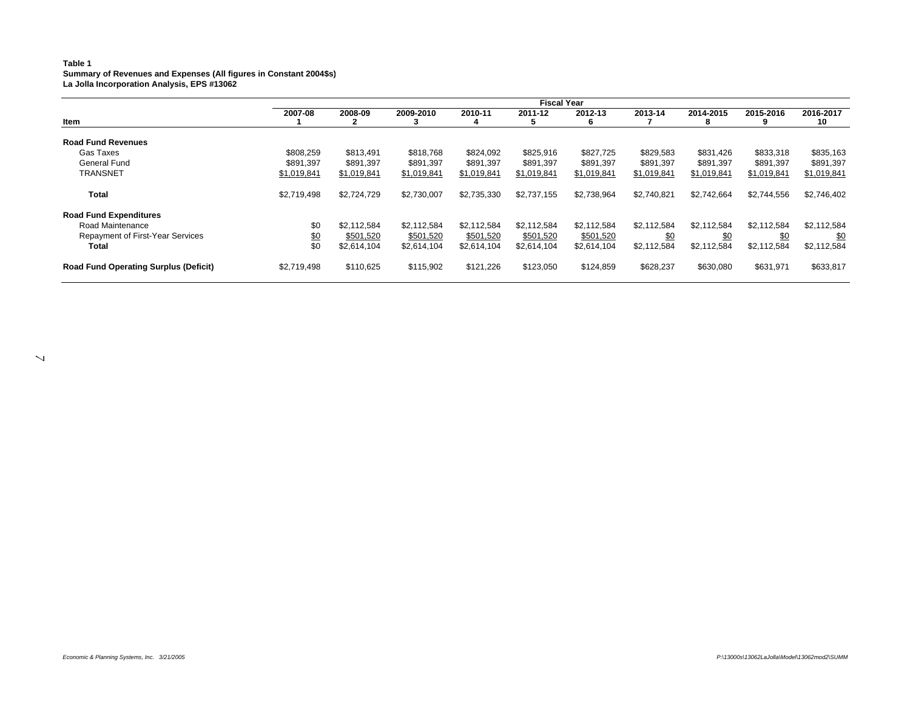#### **Table 1 Summary of Revenues and Expenses (All figures in Constant 2004\$s) La Jolla Incorporation Analysis, EPS #13062**

|                                              |             | <b>Fiscal Year</b> |             |             |             |              |             |                |             |                 |
|----------------------------------------------|-------------|--------------------|-------------|-------------|-------------|--------------|-------------|----------------|-------------|-----------------|
| Item                                         | 2007-08     | 2008-09            | 2009-2010   | 2010-11     | 2011-12     | 2012-13<br>6 | 2013-14     | 2014-2015<br>8 | 2015-2016   | 2016-2017<br>10 |
| <b>Road Fund Revenues</b>                    |             |                    |             |             |             |              |             |                |             |                 |
| Gas Taxes                                    | \$808,259   | \$813,491          | \$818,768   | \$824,092   | \$825,916   | \$827,725    | \$829,583   | \$831,426      | \$833,318   | \$835,163       |
| General Fund                                 | \$891,397   | \$891,397          | \$891,397   | \$891,397   | \$891,397   | \$891,397    | \$891,397   | \$891,397      | \$891,397   | \$891,397       |
| <b>TRANSNET</b>                              | \$1,019,841 | \$1,019,841        | \$1,019,841 | \$1,019,841 | \$1,019,841 | \$1,019,841  | \$1,019,841 | \$1,019,841    | \$1,019,841 | \$1,019,841     |
| Total                                        | \$2,719,498 | \$2,724,729        | \$2,730,007 | \$2,735,330 | \$2,737,155 | \$2,738,964  | \$2,740,821 | \$2,742,664    | \$2,744,556 | \$2,746,402     |
| <b>Road Fund Expenditures</b>                |             |                    |             |             |             |              |             |                |             |                 |
| Road Maintenance                             | \$0         | \$2,112,584        | \$2,112,584 | \$2,112,584 | \$2,112,584 | \$2,112,584  | \$2,112,584 | \$2,112,584    | \$2,112,584 | \$2,112,584     |
| Repayment of First-Year Services             | \$0         | \$501,520          | \$501,520   | \$501,520   | \$501,520   | \$501,520    | \$0         | \$0            | \$0         | \$0             |
| Total                                        | \$0         | \$2,614,104        | \$2,614,104 | \$2,614,104 | \$2,614,104 | \$2,614,104  | \$2,112,584 | \$2,112,584    | \$2,112,584 | \$2,112,584     |
| <b>Road Fund Operating Surplus (Deficit)</b> | \$2,719,498 | \$110,625          | \$115,902   | \$121.226   | \$123,050   | \$124,859    | \$628,237   | \$630,080      | \$631,971   | \$633,817       |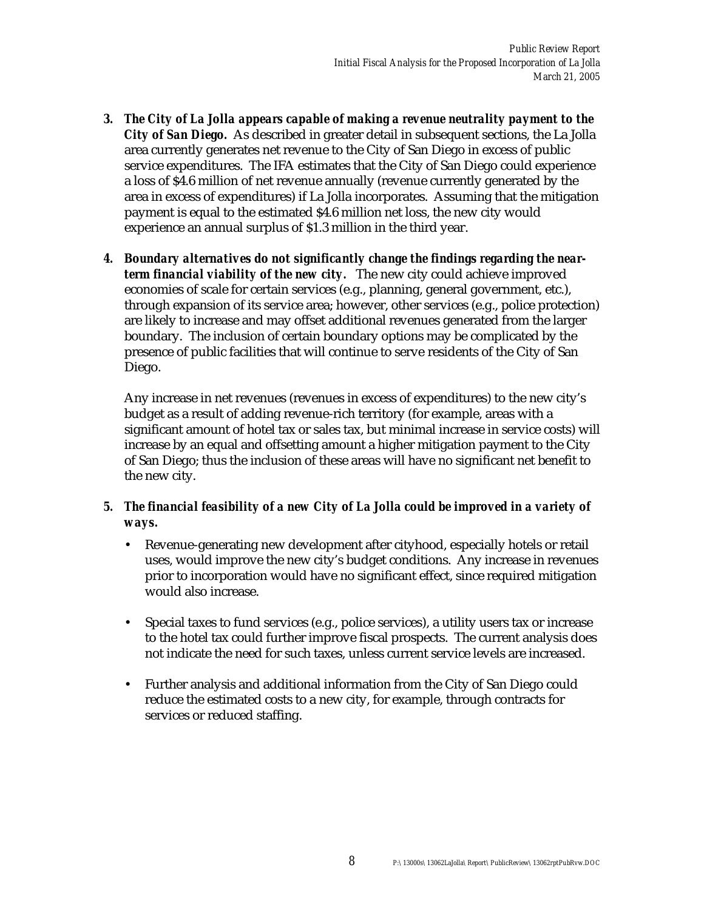- *3. The City of La Jolla appears capable of making a revenue neutrality payment to the City of San Diego.* As described in greater detail in subsequent sections, the La Jolla area currently generates net revenue to the City of San Diego in excess of public service expenditures. The IFA estimates that the City of San Diego could experience a loss of \$4.6 million of net revenue annually (revenue currently generated by the area in excess of expenditures) if La Jolla incorporates. Assuming that the mitigation payment is equal to the estimated \$4.6 million net loss, the new city would experience an annual surplus of \$1.3 million in the third year.
- *4. Boundary alternatives do not significantly change the findings regarding the nearterm financial viability of the new city.* The new city could achieve improved economies of scale for certain services (e.g., planning, general government, etc.), through expansion of its service area; however, other services (e.g., police protection) are likely to increase and may offset additional revenues generated from the larger boundary. The inclusion of certain boundary options may be complicated by the presence of public facilities that will continue to serve residents of the City of San Diego.

Any increase in net revenues (revenues in excess of expenditures) to the new city's budget as a result of adding revenue-rich territory (for example, areas with a significant amount of hotel tax or sales tax, but minimal increase in service costs) will increase by an equal and offsetting amount a higher mitigation payment to the City of San Diego; thus the inclusion of these areas will have no significant net benefit to the new city.

- *5. The financial feasibility of a new City of La Jolla could be improved in a variety of ways.*
	- Revenue-generating new development after cityhood, especially hotels or retail uses, would improve the new city's budget conditions. Any increase in revenues prior to incorporation would have no significant effect, since required mitigation would also increase.
	- Special taxes to fund services (e.g., police services), a utility users tax or increase to the hotel tax could further improve fiscal prospects. The current analysis does not indicate the need for such taxes, unless current service levels are increased.
	- Further analysis and additional information from the City of San Diego could reduce the estimated costs to a new city, for example, through contracts for services or reduced staffing.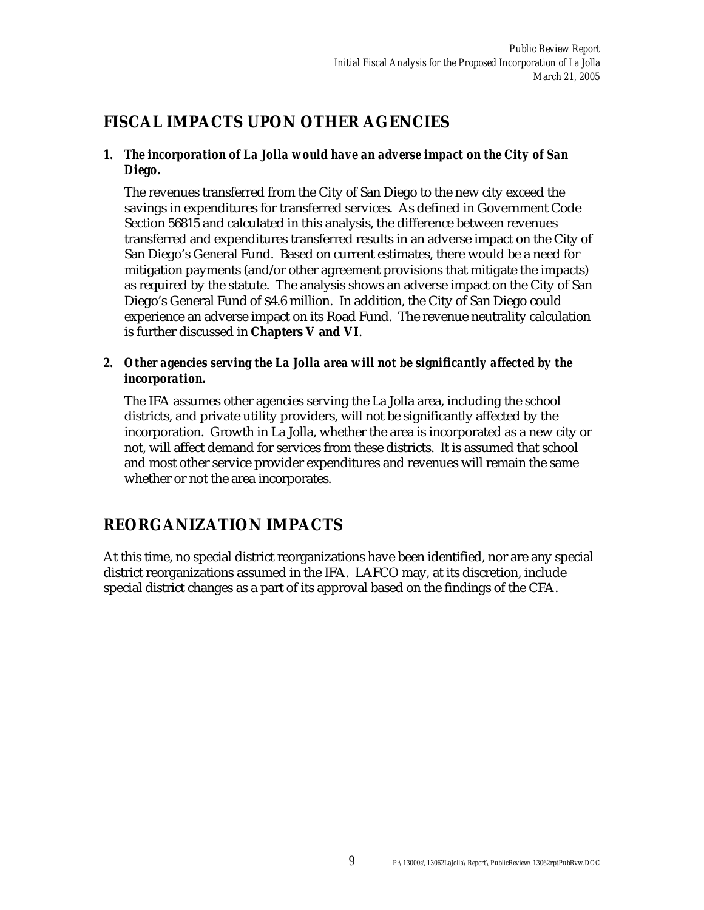### **FISCAL IMPACTS UPON OTHER AGENCIES**

#### *1. The incorporation of La Jolla would have an adverse impact on the City of San Diego.*

The revenues transferred from the City of San Diego to the new city exceed the savings in expenditures for transferred services. As defined in Government Code Section 56815 and calculated in this analysis, the difference between revenues transferred and expenditures transferred results in an adverse impact on the City of San Diego's General Fund. Based on current estimates, there would be a need for mitigation payments (and/or other agreement provisions that mitigate the impacts) as required by the statute. The analysis shows an adverse impact on the City of San Diego's General Fund of \$4.6 million. In addition, the City of San Diego could experience an adverse impact on its Road Fund. The revenue neutrality calculation is further discussed in **Chapters V and VI**.

#### *2. Other agencies serving the La Jolla area will not be significantly affected by the incorporation.*

The IFA assumes other agencies serving the La Jolla area, including the school districts, and private utility providers, will not be significantly affected by the incorporation. Growth in La Jolla, whether the area is incorporated as a new city or not, will affect demand for services from these districts. It is assumed that school and most other service provider expenditures and revenues will remain the same whether or not the area incorporates.

### **REORGANIZATION IMPACTS**

At this time, no special district reorganizations have been identified, nor are any special district reorganizations assumed in the IFA. LAFCO may, at its discretion, include special district changes as a part of its approval based on the findings of the CFA.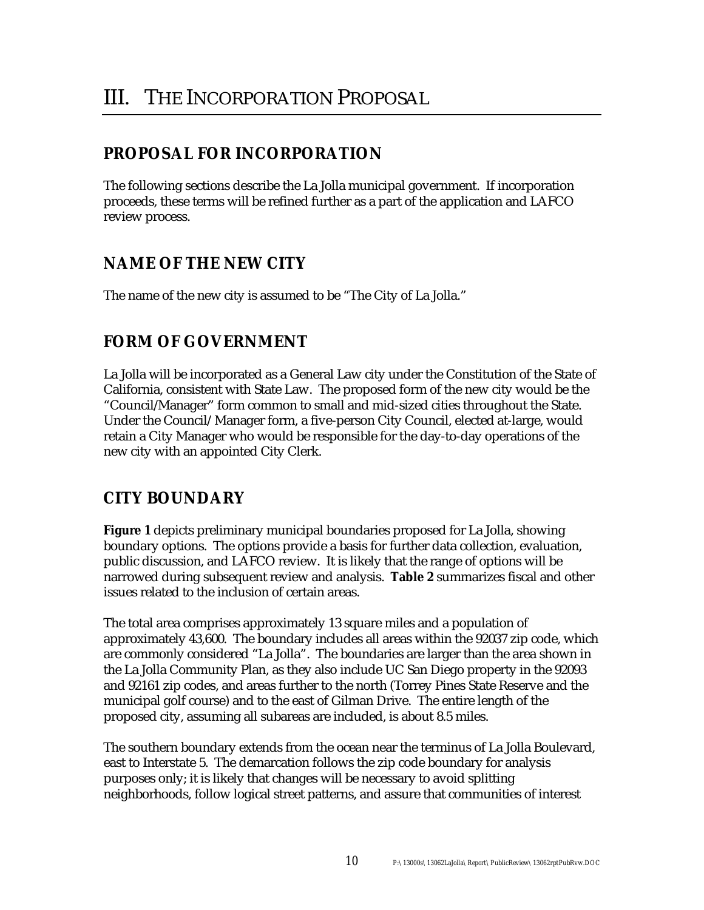### **PROPOSAL FOR INCORPORATION**

The following sections describe the La Jolla municipal government. If incorporation proceeds, these terms will be refined further as a part of the application and LAFCO review process.

### **NAME OF THE NEW CITY**

The name of the new city is assumed to be "The City of La Jolla."

### **FORM OF GOVERNMENT**

La Jolla will be incorporated as a General Law city under the Constitution of the State of California, consistent with State Law. The proposed form of the new city would be the "Council/Manager" form common to small and mid-sized cities throughout the State. Under the Council/ Manager form, a five-person City Council, elected at-large, would retain a City Manager who would be responsible for the day-to-day operations of the new city with an appointed City Clerk.

### **CITY BOUNDARY**

**Figure 1** depicts preliminary municipal boundaries proposed for La Jolla, showing boundary options. The options provide a basis for further data collection, evaluation, public discussion, and LAFCO review. It is likely that the range of options will be narrowed during subsequent review and analysis. **Table 2** summarizes fiscal and other issues related to the inclusion of certain areas.

The total area comprises approximately 13 square miles and a population of approximately 43,600. The boundary includes all areas within the 92037 zip code, which are commonly considered "La Jolla". The boundaries are larger than the area shown in the La Jolla Community Plan, as they also include UC San Diego property in the 92093 and 92161 zip codes, and areas further to the north (Torrey Pines State Reserve and the municipal golf course) and to the east of Gilman Drive. The entire length of the proposed city, assuming all subareas are included, is about 8.5 miles.

The southern boundary extends from the ocean near the terminus of La Jolla Boulevard, east to Interstate 5. The demarcation follows the zip code boundary for analysis purposes only; it is likely that changes will be necessary to avoid splitting neighborhoods, follow logical street patterns, and assure that communities of interest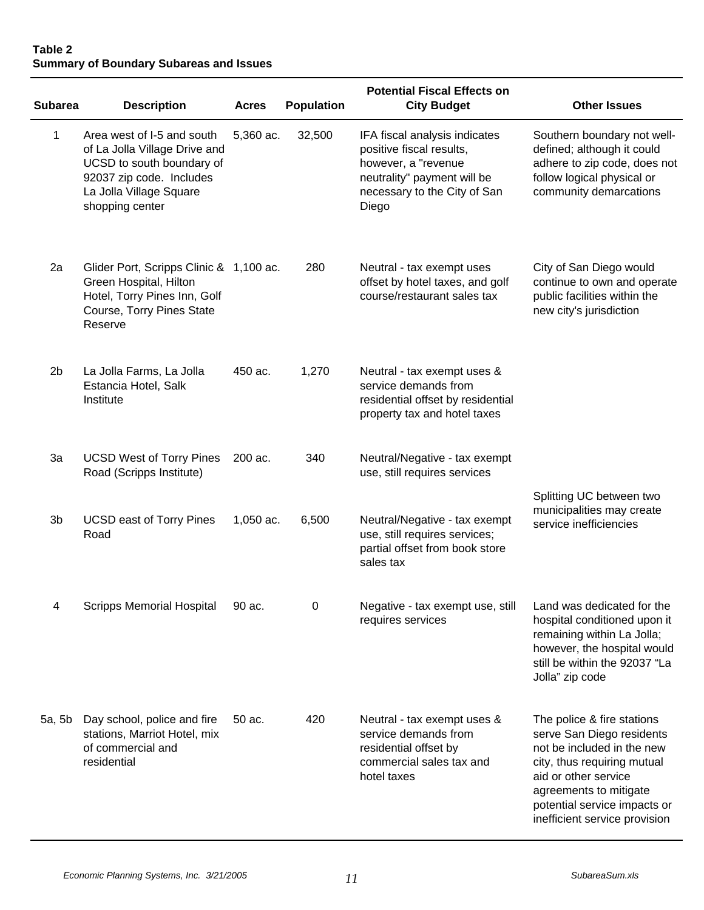#### **Table 2 Summary of Boundary Subareas and Issues**

|                |                                                                                                                                                                    |              |                   | <b>Potential Fiscal Effects on</b>                                                                                                                       |                                                                                                                                                                                                                                         |
|----------------|--------------------------------------------------------------------------------------------------------------------------------------------------------------------|--------------|-------------------|----------------------------------------------------------------------------------------------------------------------------------------------------------|-----------------------------------------------------------------------------------------------------------------------------------------------------------------------------------------------------------------------------------------|
| <b>Subarea</b> | <b>Description</b>                                                                                                                                                 | <b>Acres</b> | <b>Population</b> | <b>City Budget</b>                                                                                                                                       | <b>Other Issues</b>                                                                                                                                                                                                                     |
| 1              | Area west of I-5 and south<br>of La Jolla Village Drive and<br>UCSD to south boundary of<br>92037 zip code. Includes<br>La Jolla Village Square<br>shopping center | 5,360 ac.    | 32,500            | IFA fiscal analysis indicates<br>positive fiscal results,<br>however, a "revenue<br>neutrality" payment will be<br>necessary to the City of San<br>Diego | Southern boundary not well-<br>defined; although it could<br>adhere to zip code, does not<br>follow logical physical or<br>community demarcations                                                                                       |
| 2a             | Glider Port, Scripps Clinic & 1,100 ac.<br>Green Hospital, Hilton<br>Hotel, Torry Pines Inn, Golf<br>Course, Torry Pines State<br>Reserve                          |              | 280               | Neutral - tax exempt uses<br>offset by hotel taxes, and golf<br>course/restaurant sales tax                                                              | City of San Diego would<br>continue to own and operate<br>public facilities within the<br>new city's jurisdiction                                                                                                                       |
| 2 <sub>b</sub> | La Jolla Farms, La Jolla<br>Estancia Hotel, Salk<br>Institute                                                                                                      | 450 ac.      | 1,270             | Neutral - tax exempt uses &<br>service demands from<br>residential offset by residential<br>property tax and hotel taxes                                 |                                                                                                                                                                                                                                         |
| 3a             | <b>UCSD West of Torry Pines</b><br>Road (Scripps Institute)                                                                                                        | 200 ac.      | 340               | Neutral/Negative - tax exempt<br>use, still requires services                                                                                            |                                                                                                                                                                                                                                         |
| 3b             | <b>UCSD east of Torry Pines</b><br>Road                                                                                                                            | 1,050 ac.    | 6,500             | Neutral/Negative - tax exempt<br>use, still requires services;<br>partial offset from book store<br>sales tax                                            | Splitting UC between two<br>municipalities may create<br>service inefficiencies                                                                                                                                                         |
| 4              | <b>Scripps Memorial Hospital</b>                                                                                                                                   | 90 ac.       | $\mathbf 0$       | Negative - tax exempt use, still<br>requires services                                                                                                    | Land was dedicated for the<br>hospital conditioned upon it<br>remaining within La Jolla;<br>however, the hospital would<br>still be within the 92037 "La<br>Jolla" zip code                                                             |
| 5a, 5b         | Day school, police and fire<br>stations, Marriot Hotel, mix<br>of commercial and<br>residential                                                                    | 50 ac.       | 420               | Neutral - tax exempt uses &<br>service demands from<br>residential offset by<br>commercial sales tax and<br>hotel taxes                                  | The police & fire stations<br>serve San Diego residents<br>not be included in the new<br>city, thus requiring mutual<br>aid or other service<br>agreements to mitigate<br>potential service impacts or<br>inefficient service provision |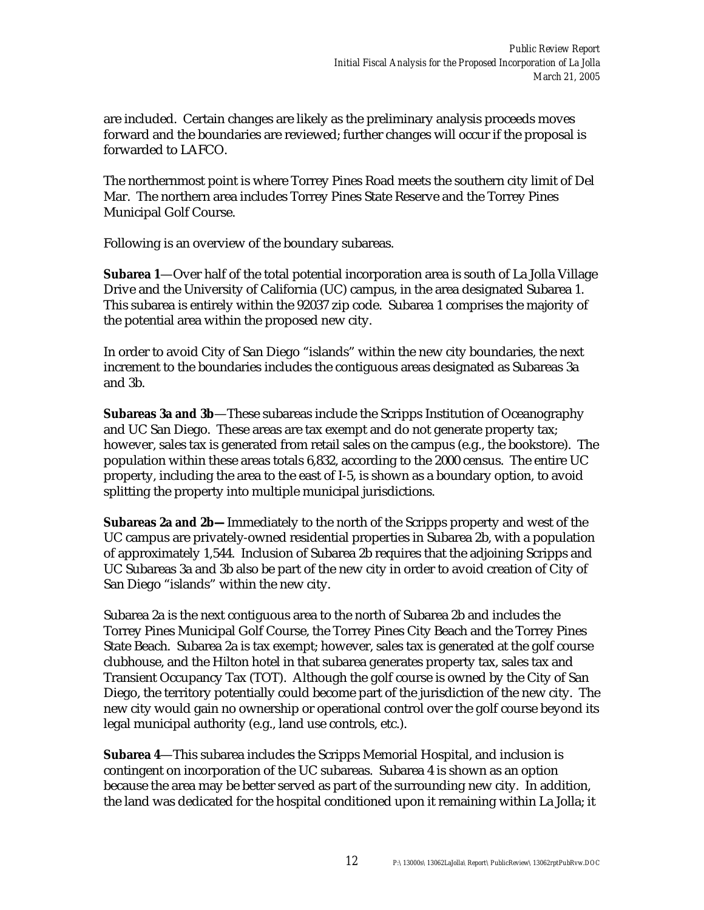are included. Certain changes are likely as the preliminary analysis proceeds moves forward and the boundaries are reviewed; further changes will occur if the proposal is forwarded to LAFCO.

The northernmost point is where Torrey Pines Road meets the southern city limit of Del Mar. The northern area includes Torrey Pines State Reserve and the Torrey Pines Municipal Golf Course.

Following is an overview of the boundary subareas.

**Subarea 1**—Over half of the total potential incorporation area is south of La Jolla Village Drive and the University of California (UC) campus, in the area designated Subarea 1. This subarea is entirely within the 92037 zip code. Subarea 1 comprises the majority of the potential area within the proposed new city.

In order to avoid City of San Diego "islands" within the new city boundaries, the next increment to the boundaries includes the contiguous areas designated as Subareas 3a and 3b.

**Subareas 3a and 3b**—These subareas include the Scripps Institution of Oceanography and UC San Diego. These areas are tax exempt and do not generate property tax; however, sales tax is generated from retail sales on the campus (e.g., the bookstore). The population within these areas totals 6,832, according to the 2000 census. The entire UC property, including the area to the east of I-5, is shown as a boundary option, to avoid splitting the property into multiple municipal jurisdictions.

**Subareas 2a and 2b—**Immediately to the north of the Scripps property and west of the UC campus are privately-owned residential properties in Subarea 2b, with a population of approximately 1,544. Inclusion of Subarea 2b requires that the adjoining Scripps and UC Subareas 3a and 3b also be part of the new city in order to avoid creation of City of San Diego "islands" within the new city.

Subarea 2a is the next contiguous area to the north of Subarea 2b and includes the Torrey Pines Municipal Golf Course, the Torrey Pines City Beach and the Torrey Pines State Beach. Subarea 2a is tax exempt; however, sales tax is generated at the golf course clubhouse, and the Hilton hotel in that subarea generates property tax, sales tax and Transient Occupancy Tax (TOT). Although the golf course is owned by the City of San Diego, the territory potentially could become part of the jurisdiction of the new city. The new city would gain no ownership or operational control over the golf course beyond its legal municipal authority (e.g., land use controls, etc.).

**Subarea 4**—This subarea includes the Scripps Memorial Hospital, and inclusion is contingent on incorporation of the UC subareas. Subarea 4 is shown as an option because the area may be better served as part of the surrounding new city. In addition, the land was dedicated for the hospital conditioned upon it remaining within La Jolla; it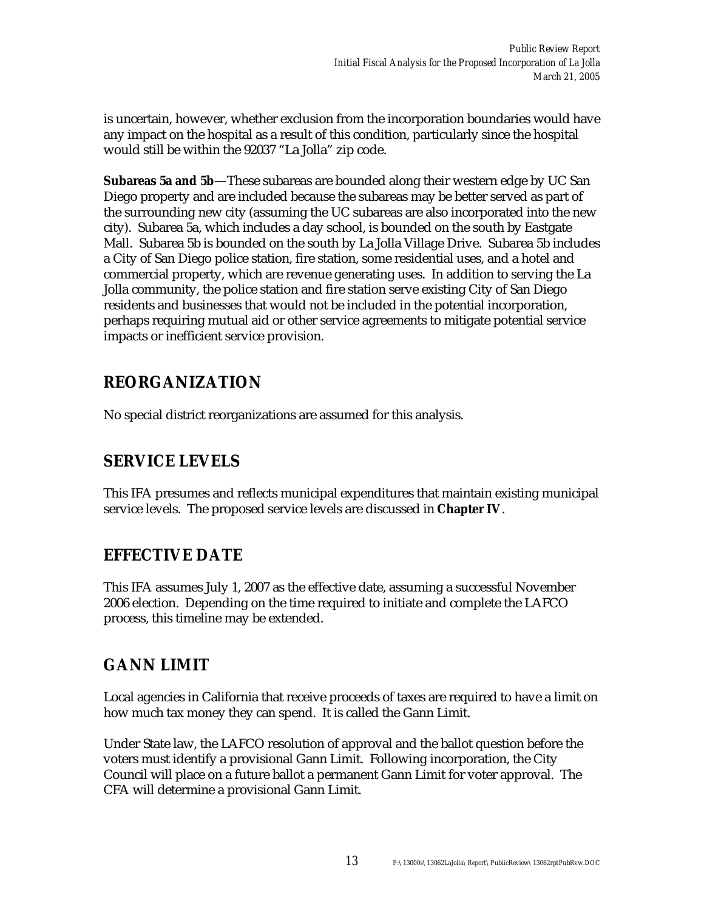is uncertain, however, whether exclusion from the incorporation boundaries would have any impact on the hospital as a result of this condition, particularly since the hospital would still be within the 92037 "La Jolla" zip code.

**Subareas 5a and 5b**—These subareas are bounded along their western edge by UC San Diego property and are included because the subareas may be better served as part of the surrounding new city (assuming the UC subareas are also incorporated into the new city). Subarea 5a, which includes a day school, is bounded on the south by Eastgate Mall. Subarea 5b is bounded on the south by La Jolla Village Drive. Subarea 5b includes a City of San Diego police station, fire station, some residential uses, and a hotel and commercial property, which are revenue generating uses. In addition to serving the La Jolla community, the police station and fire station serve existing City of San Diego residents and businesses that would not be included in the potential incorporation, perhaps requiring mutual aid or other service agreements to mitigate potential service impacts or inefficient service provision.

### **REORGANIZATION**

No special district reorganizations are assumed for this analysis.

### **SERVICE LEVELS**

This IFA presumes and reflects municipal expenditures that maintain existing municipal service levels. The proposed service levels are discussed in **Chapter IV**.

### **EFFECTIVE DATE**

This IFA assumes July 1, 2007 as the effective date, assuming a successful November 2006 election. Depending on the time required to initiate and complete the LAFCO process, this timeline may be extended.

### **GANN LIMIT**

Local agencies in California that receive proceeds of taxes are required to have a limit on how much tax money they can spend. It is called the Gann Limit.

Under State law, the LAFCO resolution of approval and the ballot question before the voters must identify a provisional Gann Limit. Following incorporation, the City Council will place on a future ballot a permanent Gann Limit for voter approval. The CFA will determine a provisional Gann Limit.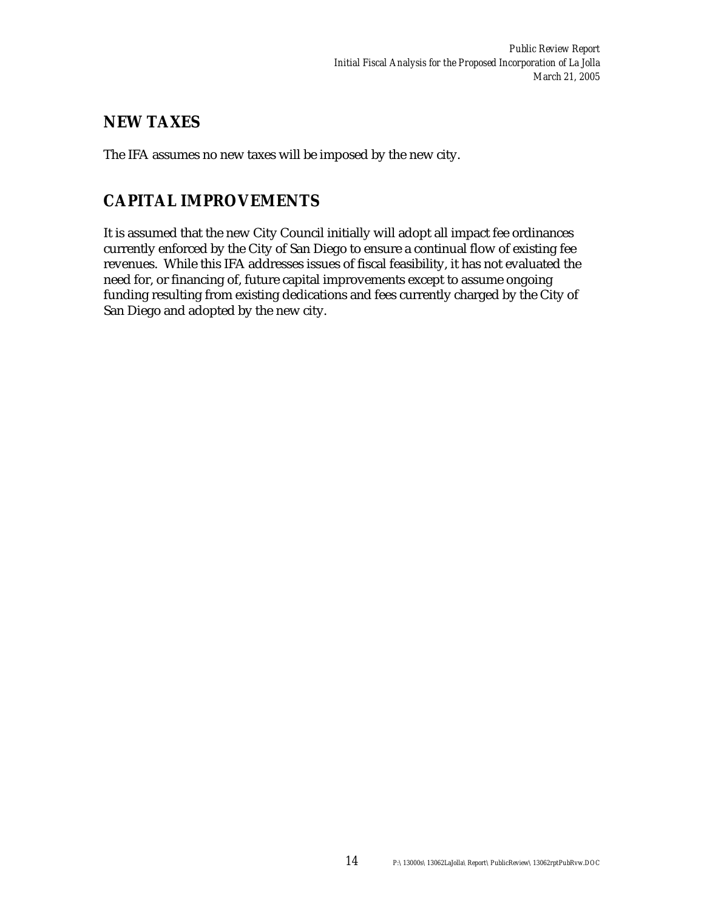### **NEW TAXES**

The IFA assumes no new taxes will be imposed by the new city.

### **CAPITAL IMPROVEMENTS**

It is assumed that the new City Council initially will adopt all impact fee ordinances currently enforced by the City of San Diego to ensure a continual flow of existing fee revenues. While this IFA addresses issues of fiscal feasibility, it has not evaluated the need for, or financing of, future capital improvements except to assume ongoing funding resulting from existing dedications and fees currently charged by the City of San Diego and adopted by the new city.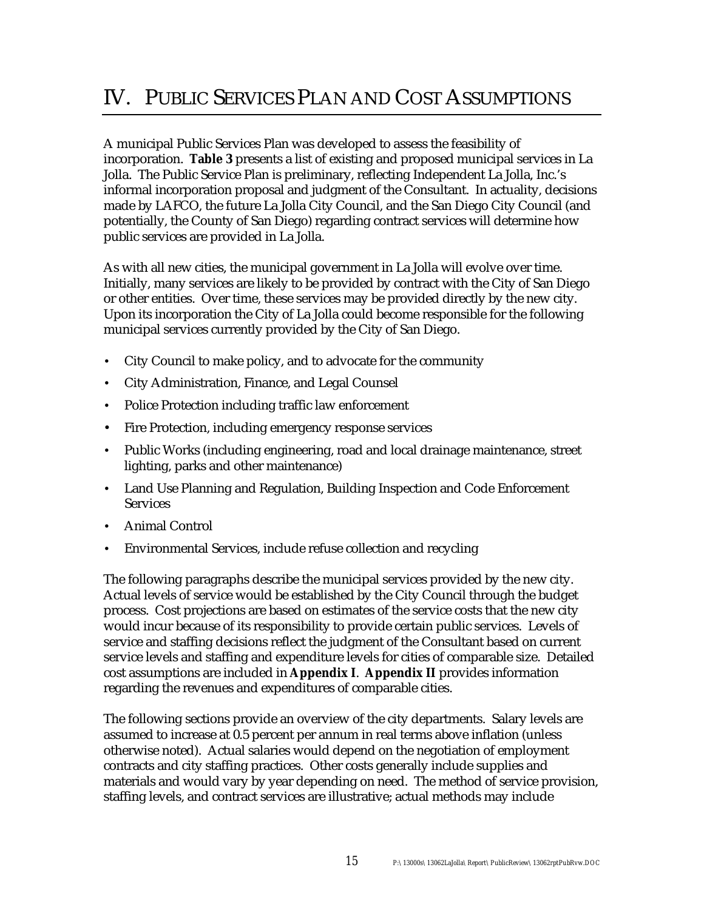A municipal Public Services Plan was developed to assess the feasibility of incorporation. **Table 3** presents a list of existing and proposed municipal services in La Jolla. The Public Service Plan is preliminary, reflecting Independent La Jolla, Inc.'s informal incorporation proposal and judgment of the Consultant. In actuality, decisions made by LAFCO, the future La Jolla City Council, and the San Diego City Council (and potentially, the County of San Diego) regarding contract services will determine how public services are provided in La Jolla.

As with all new cities, the municipal government in La Jolla will evolve over time. Initially, many services are likely to be provided by contract with the City of San Diego or other entities. Over time, these services may be provided directly by the new city. Upon its incorporation the City of La Jolla could become responsible for the following municipal services currently provided by the City of San Diego.

- City Council to make policy, and to advocate for the community
- City Administration, Finance, and Legal Counsel
- Police Protection including traffic law enforcement
- Fire Protection, including emergency response services
- Public Works (including engineering, road and local drainage maintenance, street lighting, parks and other maintenance)
- Land Use Planning and Regulation, Building Inspection and Code Enforcement **Services**
- Animal Control
- Environmental Services, include refuse collection and recycling

The following paragraphs describe the municipal services provided by the new city. Actual levels of service would be established by the City Council through the budget process. Cost projections are based on estimates of the service costs that the new city would incur because of its responsibility to provide certain public services. Levels of service and staffing decisions reflect the judgment of the Consultant based on current service levels and staffing and expenditure levels for cities of comparable size. Detailed cost assumptions are included in **Appendix I**. **Appendix II** provides information regarding the revenues and expenditures of comparable cities.

The following sections provide an overview of the city departments. Salary levels are assumed to increase at 0.5 percent per annum in real terms above inflation (unless otherwise noted). Actual salaries would depend on the negotiation of employment contracts and city staffing practices. Other costs generally include supplies and materials and would vary by year depending on need. The method of service provision, staffing levels, and contract services are illustrative; actual methods may include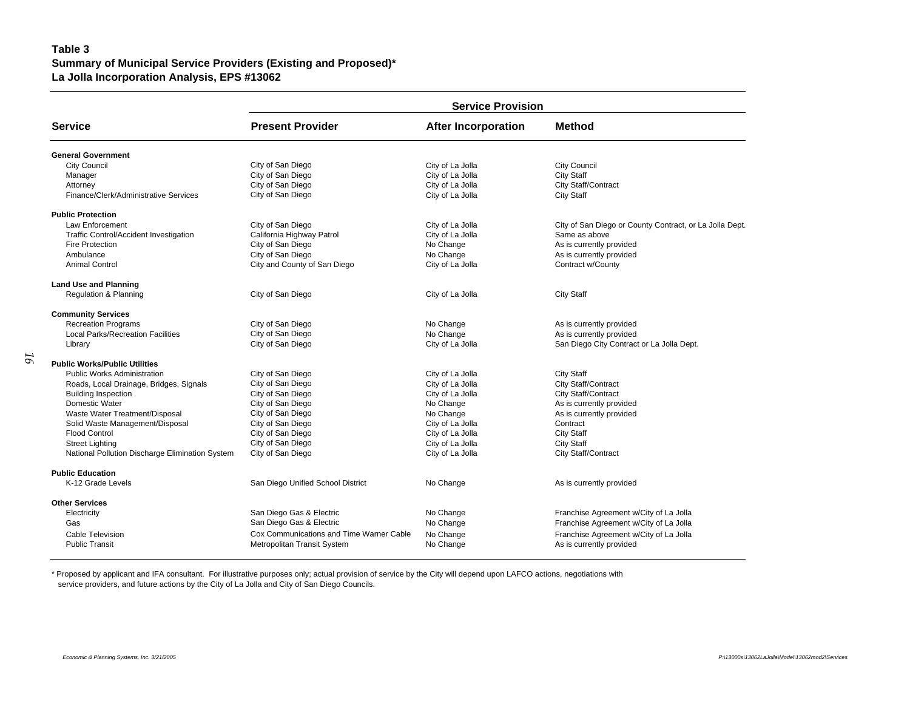#### **Table 3 Summary of Municipal Service Providers (Existing and Proposed)\* La Jolla Incorporation Analysis, EPS #13062**

| <b>Present Provider</b><br><b>Service</b><br><b>Method</b><br><b>After Incorporation</b><br>General Government<br><b>City Council</b><br>City of San Diego<br><b>City Council</b><br>City of La Jolla<br>City of San Diego<br>City of La Jolla<br><b>City Staff</b><br>Manager<br>City of San Diego<br>City of La Jolla<br>City Staff/Contract<br>Attorney<br>Finance/Clerk/Administrative Services<br>City of San Diego<br>City of La Jolla<br><b>City Staff</b><br><b>Public Protection</b><br>Law Enforcement<br>City of San Diego<br>City of La Jolla<br>City of San Diego or County Contract, or La Jolla Dept.<br>California Highway Patrol<br>Traffic Control/Accident Investigation<br>City of La Jolla<br>Same as above<br><b>Fire Protection</b><br>City of San Diego<br>No Change<br>As is currently provided<br>City of San Diego<br>No Change<br>As is currently provided<br>Ambulance<br>City and County of San Diego<br>City of La Jolla<br>Contract w/County<br><b>Animal Control</b> | <b>Service Provision</b> |  |  |  |  |  |  |  |
|-------------------------------------------------------------------------------------------------------------------------------------------------------------------------------------------------------------------------------------------------------------------------------------------------------------------------------------------------------------------------------------------------------------------------------------------------------------------------------------------------------------------------------------------------------------------------------------------------------------------------------------------------------------------------------------------------------------------------------------------------------------------------------------------------------------------------------------------------------------------------------------------------------------------------------------------------------------------------------------------------------|--------------------------|--|--|--|--|--|--|--|
|                                                                                                                                                                                                                                                                                                                                                                                                                                                                                                                                                                                                                                                                                                                                                                                                                                                                                                                                                                                                       |                          |  |  |  |  |  |  |  |
|                                                                                                                                                                                                                                                                                                                                                                                                                                                                                                                                                                                                                                                                                                                                                                                                                                                                                                                                                                                                       |                          |  |  |  |  |  |  |  |
|                                                                                                                                                                                                                                                                                                                                                                                                                                                                                                                                                                                                                                                                                                                                                                                                                                                                                                                                                                                                       |                          |  |  |  |  |  |  |  |
|                                                                                                                                                                                                                                                                                                                                                                                                                                                                                                                                                                                                                                                                                                                                                                                                                                                                                                                                                                                                       |                          |  |  |  |  |  |  |  |
|                                                                                                                                                                                                                                                                                                                                                                                                                                                                                                                                                                                                                                                                                                                                                                                                                                                                                                                                                                                                       |                          |  |  |  |  |  |  |  |
|                                                                                                                                                                                                                                                                                                                                                                                                                                                                                                                                                                                                                                                                                                                                                                                                                                                                                                                                                                                                       |                          |  |  |  |  |  |  |  |
|                                                                                                                                                                                                                                                                                                                                                                                                                                                                                                                                                                                                                                                                                                                                                                                                                                                                                                                                                                                                       |                          |  |  |  |  |  |  |  |
|                                                                                                                                                                                                                                                                                                                                                                                                                                                                                                                                                                                                                                                                                                                                                                                                                                                                                                                                                                                                       |                          |  |  |  |  |  |  |  |
|                                                                                                                                                                                                                                                                                                                                                                                                                                                                                                                                                                                                                                                                                                                                                                                                                                                                                                                                                                                                       |                          |  |  |  |  |  |  |  |
|                                                                                                                                                                                                                                                                                                                                                                                                                                                                                                                                                                                                                                                                                                                                                                                                                                                                                                                                                                                                       |                          |  |  |  |  |  |  |  |
|                                                                                                                                                                                                                                                                                                                                                                                                                                                                                                                                                                                                                                                                                                                                                                                                                                                                                                                                                                                                       |                          |  |  |  |  |  |  |  |
|                                                                                                                                                                                                                                                                                                                                                                                                                                                                                                                                                                                                                                                                                                                                                                                                                                                                                                                                                                                                       |                          |  |  |  |  |  |  |  |
| <b>Land Use and Planning</b>                                                                                                                                                                                                                                                                                                                                                                                                                                                                                                                                                                                                                                                                                                                                                                                                                                                                                                                                                                          |                          |  |  |  |  |  |  |  |
| City of San Diego<br>Regulation & Planning<br>City of La Jolla<br><b>City Staff</b>                                                                                                                                                                                                                                                                                                                                                                                                                                                                                                                                                                                                                                                                                                                                                                                                                                                                                                                   |                          |  |  |  |  |  |  |  |
| <b>Community Services</b>                                                                                                                                                                                                                                                                                                                                                                                                                                                                                                                                                                                                                                                                                                                                                                                                                                                                                                                                                                             |                          |  |  |  |  |  |  |  |
| City of San Diego<br><b>Recreation Programs</b><br>No Change<br>As is currently provided                                                                                                                                                                                                                                                                                                                                                                                                                                                                                                                                                                                                                                                                                                                                                                                                                                                                                                              |                          |  |  |  |  |  |  |  |
| City of San Diego<br><b>Local Parks/Recreation Facilities</b><br>No Change<br>As is currently provided                                                                                                                                                                                                                                                                                                                                                                                                                                                                                                                                                                                                                                                                                                                                                                                                                                                                                                |                          |  |  |  |  |  |  |  |
| City of San Diego<br>City of La Jolla<br>San Diego City Contract or La Jolla Dept.<br>Library                                                                                                                                                                                                                                                                                                                                                                                                                                                                                                                                                                                                                                                                                                                                                                                                                                                                                                         |                          |  |  |  |  |  |  |  |
| <b>Public Works/Public Utilities</b>                                                                                                                                                                                                                                                                                                                                                                                                                                                                                                                                                                                                                                                                                                                                                                                                                                                                                                                                                                  |                          |  |  |  |  |  |  |  |
| City of San Diego<br><b>Public Works Administration</b><br>City of La Jolla<br>City Staff                                                                                                                                                                                                                                                                                                                                                                                                                                                                                                                                                                                                                                                                                                                                                                                                                                                                                                             |                          |  |  |  |  |  |  |  |
| City of San Diego<br>City of La Jolla<br>City Staff/Contract<br>Roads, Local Drainage, Bridges, Signals                                                                                                                                                                                                                                                                                                                                                                                                                                                                                                                                                                                                                                                                                                                                                                                                                                                                                               |                          |  |  |  |  |  |  |  |
| City of La Jolla<br>City of San Diego<br><b>City Staff/Contract</b><br><b>Building Inspection</b>                                                                                                                                                                                                                                                                                                                                                                                                                                                                                                                                                                                                                                                                                                                                                                                                                                                                                                     |                          |  |  |  |  |  |  |  |
| Domestic Water<br>City of San Diego<br>As is currently provided<br>No Change                                                                                                                                                                                                                                                                                                                                                                                                                                                                                                                                                                                                                                                                                                                                                                                                                                                                                                                          |                          |  |  |  |  |  |  |  |
| Waste Water Treatment/Disposal<br>City of San Diego<br>No Change<br>As is currently provided                                                                                                                                                                                                                                                                                                                                                                                                                                                                                                                                                                                                                                                                                                                                                                                                                                                                                                          |                          |  |  |  |  |  |  |  |
| City of San Diego<br>Solid Waste Management/Disposal<br>City of La Jolla<br>Contract                                                                                                                                                                                                                                                                                                                                                                                                                                                                                                                                                                                                                                                                                                                                                                                                                                                                                                                  |                          |  |  |  |  |  |  |  |
| Flood Control<br>City of San Diego<br>City of La Jolla<br><b>City Staff</b>                                                                                                                                                                                                                                                                                                                                                                                                                                                                                                                                                                                                                                                                                                                                                                                                                                                                                                                           |                          |  |  |  |  |  |  |  |
| City of San Diego<br>City of La Jolla<br><b>City Staff</b><br><b>Street Lighting</b>                                                                                                                                                                                                                                                                                                                                                                                                                                                                                                                                                                                                                                                                                                                                                                                                                                                                                                                  |                          |  |  |  |  |  |  |  |
| National Pollution Discharge Elimination System<br>City of La Jolla<br>City of San Diego<br>City Staff/Contract                                                                                                                                                                                                                                                                                                                                                                                                                                                                                                                                                                                                                                                                                                                                                                                                                                                                                       |                          |  |  |  |  |  |  |  |
| <b>Public Education</b>                                                                                                                                                                                                                                                                                                                                                                                                                                                                                                                                                                                                                                                                                                                                                                                                                                                                                                                                                                               |                          |  |  |  |  |  |  |  |
| K-12 Grade Levels<br>San Diego Unified School District<br>No Change<br>As is currently provided                                                                                                                                                                                                                                                                                                                                                                                                                                                                                                                                                                                                                                                                                                                                                                                                                                                                                                       |                          |  |  |  |  |  |  |  |
| <b>Other Services</b>                                                                                                                                                                                                                                                                                                                                                                                                                                                                                                                                                                                                                                                                                                                                                                                                                                                                                                                                                                                 |                          |  |  |  |  |  |  |  |
| San Diego Gas & Electric<br>No Change<br>Franchise Agreement w/City of La Jolla<br>Electricity                                                                                                                                                                                                                                                                                                                                                                                                                                                                                                                                                                                                                                                                                                                                                                                                                                                                                                        |                          |  |  |  |  |  |  |  |
| San Diego Gas & Electric<br>Gas<br>No Change<br>Franchise Agreement w/City of La Jolla                                                                                                                                                                                                                                                                                                                                                                                                                                                                                                                                                                                                                                                                                                                                                                                                                                                                                                                |                          |  |  |  |  |  |  |  |
| Cable Television<br>Cox Communications and Time Warner Cable<br>No Change<br>Franchise Agreement w/City of La Jolla                                                                                                                                                                                                                                                                                                                                                                                                                                                                                                                                                                                                                                                                                                                                                                                                                                                                                   |                          |  |  |  |  |  |  |  |
| <b>Public Transit</b><br>Metropolitan Transit System<br>No Change<br>As is currently provided                                                                                                                                                                                                                                                                                                                                                                                                                                                                                                                                                                                                                                                                                                                                                                                                                                                                                                         |                          |  |  |  |  |  |  |  |

\* Proposed by applicant and IFA consultant. For illustrative purposes only; actual provision of service by the City will depend upon LAFCO actions, negotiations with service providers, and future actions by the City of La Jolla and City of San Diego Councils.

*16*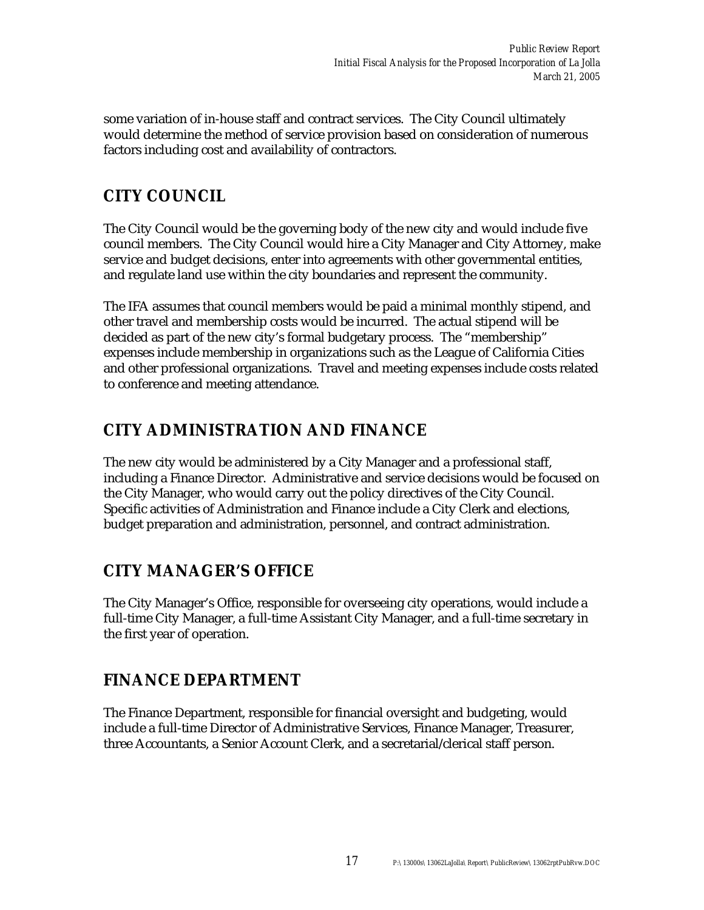some variation of in-house staff and contract services. The City Council ultimately would determine the method of service provision based on consideration of numerous factors including cost and availability of contractors.

### **CITY COUNCIL**

The City Council would be the governing body of the new city and would include five council members. The City Council would hire a City Manager and City Attorney, make service and budget decisions, enter into agreements with other governmental entities, and regulate land use within the city boundaries and represent the community.

The IFA assumes that council members would be paid a minimal monthly stipend, and other travel and membership costs would be incurred. The actual stipend will be decided as part of the new city's formal budgetary process. The "membership" expenses include membership in organizations such as the League of California Cities and other professional organizations. Travel and meeting expenses include costs related to conference and meeting attendance.

### **CITY ADMINISTRATION AND FINANCE**

The new city would be administered by a City Manager and a professional staff, including a Finance Director. Administrative and service decisions would be focused on the City Manager, who would carry out the policy directives of the City Council. Specific activities of Administration and Finance include a City Clerk and elections, budget preparation and administration, personnel, and contract administration.

### **CITY MANAGER'S OFFICE**

The City Manager's Office, responsible for overseeing city operations, would include a full-time City Manager, a full-time Assistant City Manager, and a full-time secretary in the first year of operation.

### **FINANCE DEPARTMENT**

The Finance Department, responsible for financial oversight and budgeting, would include a full-time Director of Administrative Services, Finance Manager, Treasurer, three Accountants, a Senior Account Clerk, and a secretarial/clerical staff person.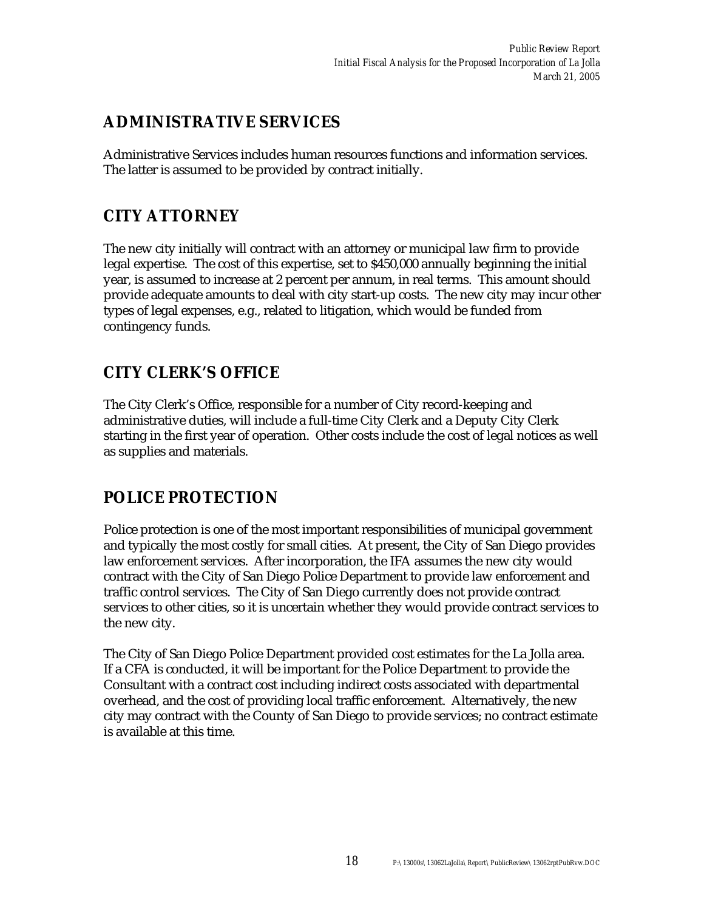### **ADMINISTRATIVE SERVICES**

Administrative Services includes human resources functions and information services. The latter is assumed to be provided by contract initially.

## **CITY ATTORNEY**

The new city initially will contract with an attorney or municipal law firm to provide legal expertise. The cost of this expertise, set to \$450,000 annually beginning the initial year, is assumed to increase at 2 percent per annum, in real terms. This amount should provide adequate amounts to deal with city start-up costs. The new city may incur other types of legal expenses, e.g., related to litigation, which would be funded from contingency funds.

### **CITY CLERK'S OFFICE**

The City Clerk's Office, responsible for a number of City record-keeping and administrative duties, will include a full-time City Clerk and a Deputy City Clerk starting in the first year of operation. Other costs include the cost of legal notices as well as supplies and materials.

### **POLICE PROTECTION**

Police protection is one of the most important responsibilities of municipal government and typically the most costly for small cities. At present, the City of San Diego provides law enforcement services. After incorporation, the IFA assumes the new city would contract with the City of San Diego Police Department to provide law enforcement and traffic control services. The City of San Diego currently does not provide contract services to other cities, so it is uncertain whether they would provide contract services to the new city.

The City of San Diego Police Department provided cost estimates for the La Jolla area. If a CFA is conducted, it will be important for the Police Department to provide the Consultant with a contract cost including indirect costs associated with departmental overhead, and the cost of providing local traffic enforcement. Alternatively, the new city may contract with the County of San Diego to provide services; no contract estimate is available at this time.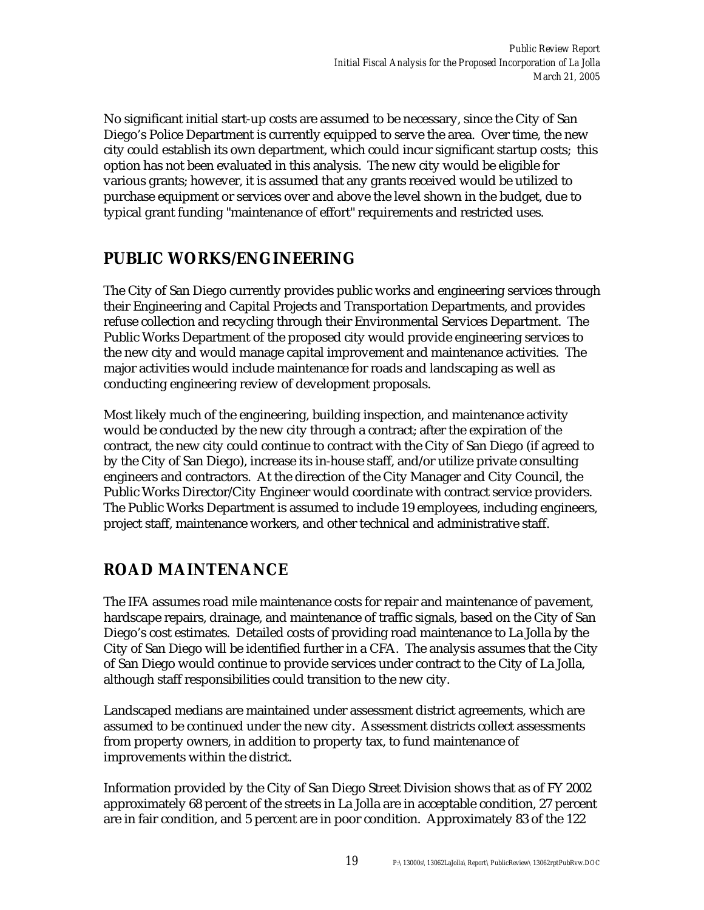No significant initial start-up costs are assumed to be necessary, since the City of San Diego's Police Department is currently equipped to serve the area. Over time, the new city could establish its own department, which could incur significant startup costs; this option has not been evaluated in this analysis. The new city would be eligible for various grants; however, it is assumed that any grants received would be utilized to purchase equipment or services over and above the level shown in the budget, due to typical grant funding "maintenance of effort" requirements and restricted uses.

### **PUBLIC WORKS/ENGINEERING**

The City of San Diego currently provides public works and engineering services through their Engineering and Capital Projects and Transportation Departments, and provides refuse collection and recycling through their Environmental Services Department. The Public Works Department of the proposed city would provide engineering services to the new city and would manage capital improvement and maintenance activities. The major activities would include maintenance for roads and landscaping as well as conducting engineering review of development proposals.

Most likely much of the engineering, building inspection, and maintenance activity would be conducted by the new city through a contract; after the expiration of the contract, the new city could continue to contract with the City of San Diego (if agreed to by the City of San Diego), increase its in-house staff, and/or utilize private consulting engineers and contractors. At the direction of the City Manager and City Council, the Public Works Director/City Engineer would coordinate with contract service providers. The Public Works Department is assumed to include 19 employees, including engineers, project staff, maintenance workers, and other technical and administrative staff.

### **ROAD MAINTENANCE**

The IFA assumes road mile maintenance costs for repair and maintenance of pavement, hardscape repairs, drainage, and maintenance of traffic signals, based on the City of San Diego's cost estimates. Detailed costs of providing road maintenance to La Jolla by the City of San Diego will be identified further in a CFA. The analysis assumes that the City of San Diego would continue to provide services under contract to the City of La Jolla, although staff responsibilities could transition to the new city.

Landscaped medians are maintained under assessment district agreements, which are assumed to be continued under the new city. Assessment districts collect assessments from property owners, in addition to property tax, to fund maintenance of improvements within the district.

Information provided by the City of San Diego Street Division shows that as of FY 2002 approximately 68 percent of the streets in La Jolla are in acceptable condition, 27 percent are in fair condition, and 5 percent are in poor condition. Approximately 83 of the 122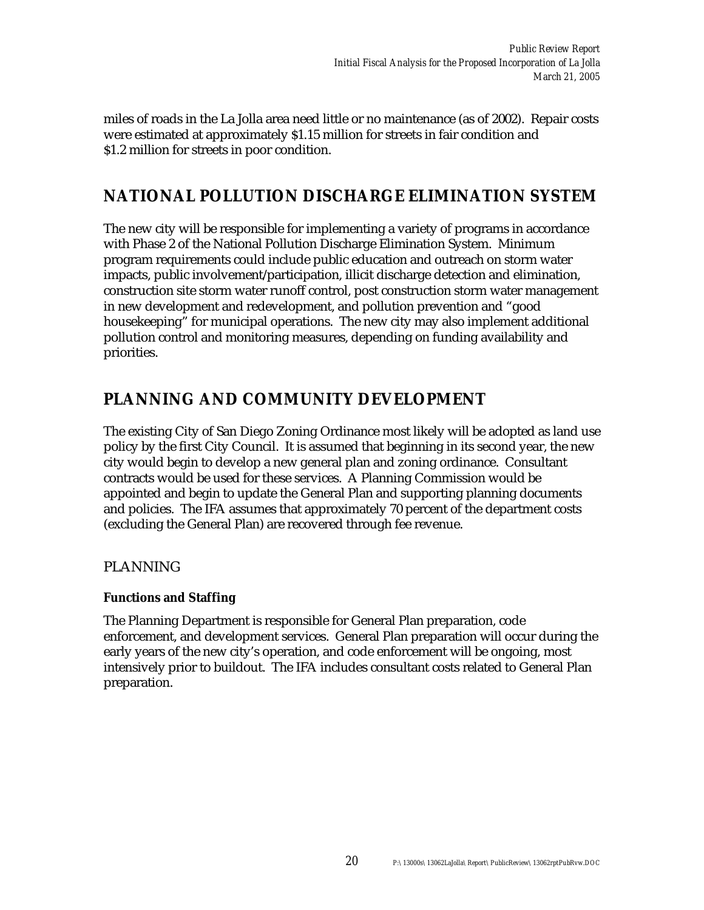miles of roads in the La Jolla area need little or no maintenance (as of 2002). Repair costs were estimated at approximately \$1.15 million for streets in fair condition and \$1.2 million for streets in poor condition.

### **NATIONAL POLLUTION DISCHARGE ELIMINATION SYSTEM**

The new city will be responsible for implementing a variety of programs in accordance with Phase 2 of the National Pollution Discharge Elimination System. Minimum program requirements could include public education and outreach on storm water impacts, public involvement/participation, illicit discharge detection and elimination, construction site storm water runoff control, post construction storm water management in new development and redevelopment, and pollution prevention and "good housekeeping" for municipal operations. The new city may also implement additional pollution control and monitoring measures, depending on funding availability and priorities.

### **PLANNING AND COMMUNITY DEVELOPMENT**

The existing City of San Diego Zoning Ordinance most likely will be adopted as land use policy by the first City Council. It is assumed that beginning in its second year, the new city would begin to develop a new general plan and zoning ordinance. Consultant contracts would be used for these services. A Planning Commission would be appointed and begin to update the General Plan and supporting planning documents and policies. The IFA assumes that approximately 70 percent of the department costs (excluding the General Plan) are recovered through fee revenue.

#### PLANNING

#### **Functions and Staffing**

The Planning Department is responsible for General Plan preparation, code enforcement, and development services. General Plan preparation will occur during the early years of the new city's operation, and code enforcement will be ongoing, most intensively prior to buildout. The IFA includes consultant costs related to General Plan preparation.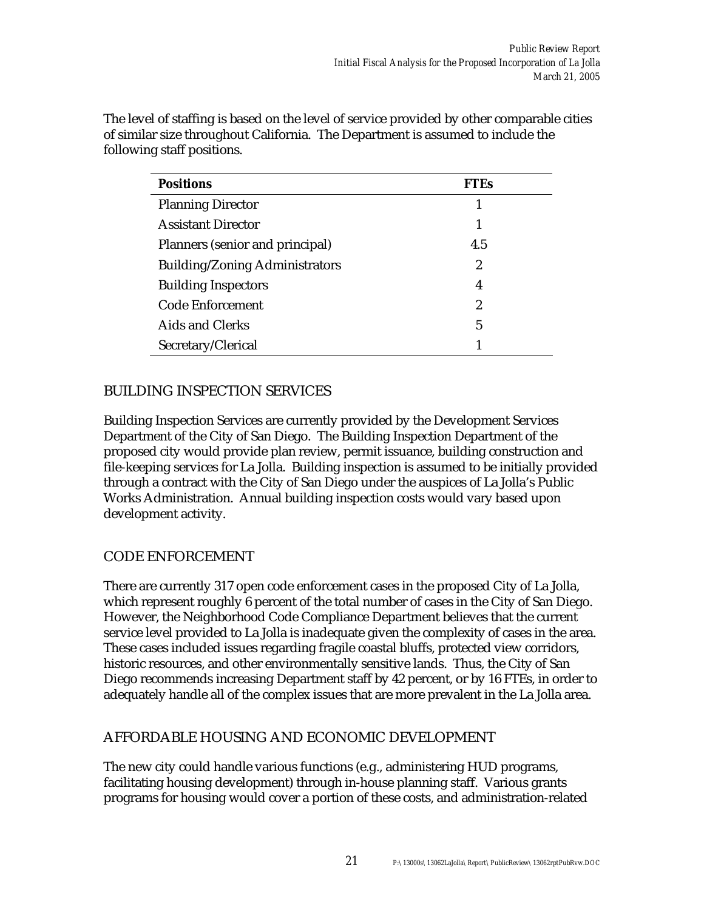| <b>Positions</b>                      | FTEs |
|---------------------------------------|------|
| <b>Planning Director</b>              |      |
| <b>Assistant Director</b>             |      |
| Planners (senior and principal)       | 4.5  |
| <b>Building/Zoning Administrators</b> | 2    |
| <b>Building Inspectors</b>            | 4    |
| <b>Code Enforcement</b>               | 2    |
| <b>Aids and Clerks</b>                | 5    |
| Secretary/Clerical                    |      |

The level of staffing is based on the level of service provided by other comparable cities of similar size throughout California. The Department is assumed to include the following staff positions.

#### BUILDING INSPECTION SERVICES

Building Inspection Services are currently provided by the Development Services Department of the City of San Diego. The Building Inspection Department of the proposed city would provide plan review, permit issuance, building construction and file-keeping services for La Jolla. Building inspection is assumed to be initially provided through a contract with the City of San Diego under the auspices of La Jolla's Public Works Administration. Annual building inspection costs would vary based upon development activity.

#### CODE ENFORCEMENT

There are currently 317 open code enforcement cases in the proposed City of La Jolla, which represent roughly 6 percent of the total number of cases in the City of San Diego. However, the Neighborhood Code Compliance Department believes that the current service level provided to La Jolla is inadequate given the complexity of cases in the area. These cases included issues regarding fragile coastal bluffs, protected view corridors, historic resources, and other environmentally sensitive lands. Thus, the City of San Diego recommends increasing Department staff by 42 percent, or by 16 FTEs, in order to adequately handle all of the complex issues that are more prevalent in the La Jolla area.

#### AFFORDABLE HOUSING AND ECONOMIC DEVELOPMENT

The new city could handle various functions (e.g., administering HUD programs, facilitating housing development) through in-house planning staff. Various grants programs for housing would cover a portion of these costs, and administration-related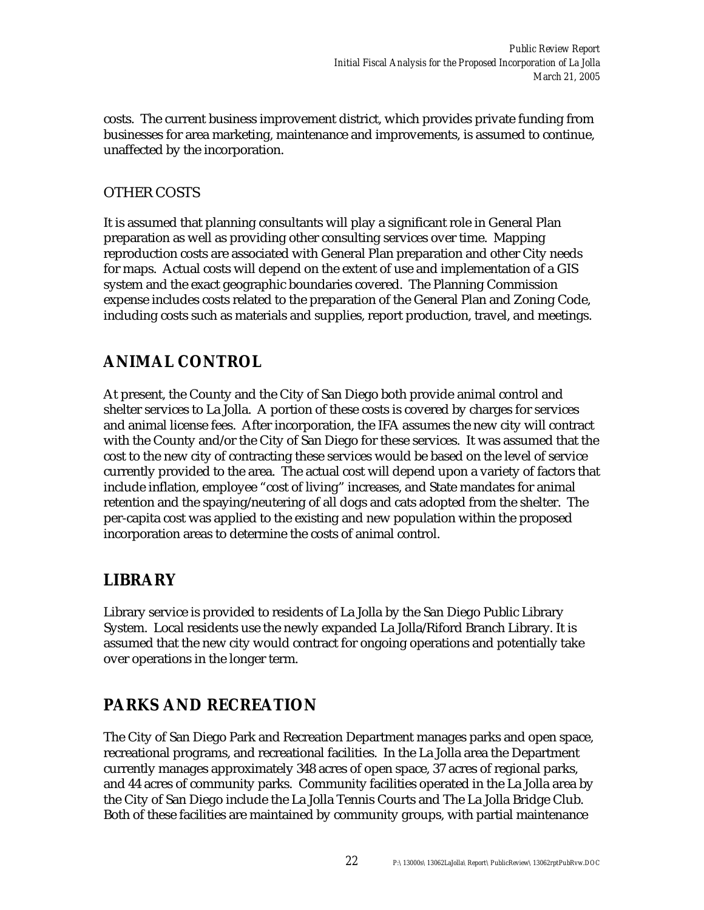costs. The current business improvement district, which provides private funding from businesses for area marketing, maintenance and improvements, is assumed to continue, unaffected by the incorporation.

### OTHER COSTS

It is assumed that planning consultants will play a significant role in General Plan preparation as well as providing other consulting services over time. Mapping reproduction costs are associated with General Plan preparation and other City needs for maps. Actual costs will depend on the extent of use and implementation of a GIS system and the exact geographic boundaries covered. The Planning Commission expense includes costs related to the preparation of the General Plan and Zoning Code, including costs such as materials and supplies, report production, travel, and meetings.

### **ANIMAL CONTROL**

At present, the County and the City of San Diego both provide animal control and shelter services to La Jolla. A portion of these costs is covered by charges for services and animal license fees. After incorporation, the IFA assumes the new city will contract with the County and/or the City of San Diego for these services. It was assumed that the cost to the new city of contracting these services would be based on the level of service currently provided to the area. The actual cost will depend upon a variety of factors that include inflation, employee "cost of living" increases, and State mandates for animal retention and the spaying/neutering of all dogs and cats adopted from the shelter. The per-capita cost was applied to the existing and new population within the proposed incorporation areas to determine the costs of animal control.

### **LIBRARY**

Library service is provided to residents of La Jolla by the San Diego Public Library System. Local residents use the newly expanded La Jolla/Riford Branch Library. It is assumed that the new city would contract for ongoing operations and potentially take over operations in the longer term.

### **PARKS AND RECREATION**

The City of San Diego Park and Recreation Department manages parks and open space, recreational programs, and recreational facilities. In the La Jolla area the Department currently manages approximately 348 acres of open space, 37 acres of regional parks, and 44 acres of community parks. Community facilities operated in the La Jolla area by the City of San Diego include the La Jolla Tennis Courts and The La Jolla Bridge Club. Both of these facilities are maintained by community groups, with partial maintenance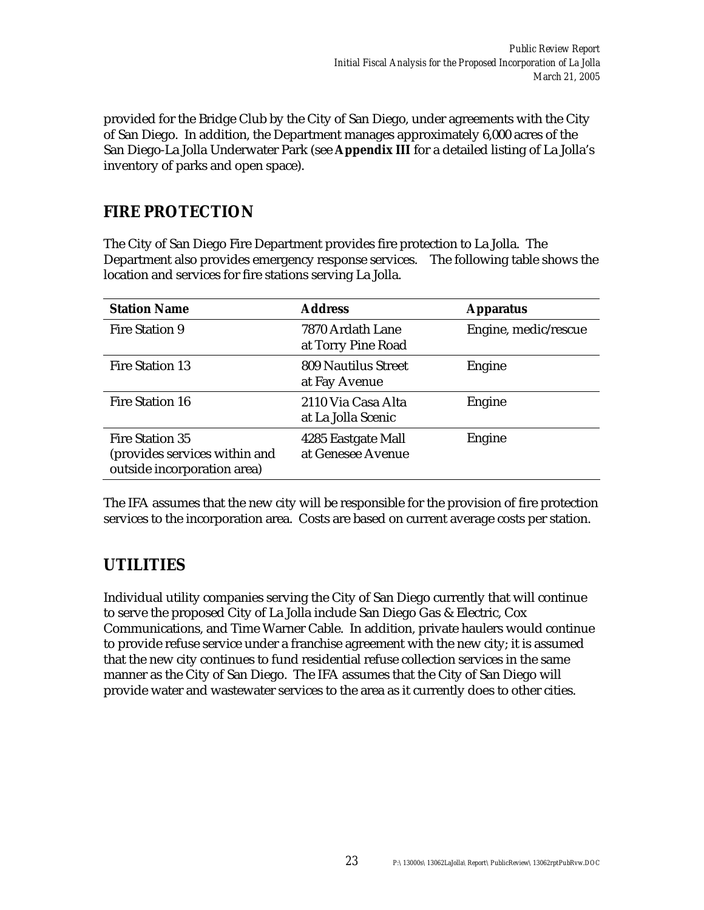provided for the Bridge Club by the City of San Diego, under agreements with the City of San Diego. In addition, the Department manages approximately 6,000 acres of the San Diego-La Jolla Underwater Park (see **Appendix III** for a detailed listing of La Jolla's inventory of parks and open space).

### **FIRE PROTECTION**

The City of San Diego Fire Department provides fire protection to La Jolla. The Department also provides emergency response services. The following table shows the location and services for fire stations serving La Jolla.

| <b>Station Name</b>                                                                    | <b>Address</b>                              | <b>Apparatus</b>     |
|----------------------------------------------------------------------------------------|---------------------------------------------|----------------------|
| Fire Station 9                                                                         | 7870 Ardath Lane<br>at Torry Pine Road      | Engine, medic/rescue |
| Fire Station 13                                                                        | <b>809 Nautilus Street</b><br>at Fay Avenue | Engine               |
| Fire Station 16                                                                        | 2110 Via Casa Alta<br>at La Jolla Scenic    | Engine               |
| <b>Fire Station 35</b><br>(provides services within and<br>outside incorporation area) | 4285 Eastgate Mall<br>at Genesee Avenue     | Engine               |

The IFA assumes that the new city will be responsible for the provision of fire protection services to the incorporation area. Costs are based on current average costs per station.

### **UTILITIES**

Individual utility companies serving the City of San Diego currently that will continue to serve the proposed City of La Jolla include San Diego Gas & Electric, Cox Communications, and Time Warner Cable. In addition, private haulers would continue to provide refuse service under a franchise agreement with the new city; it is assumed that the new city continues to fund residential refuse collection services in the same manner as the City of San Diego. The IFA assumes that the City of San Diego will provide water and wastewater services to the area as it currently does to other cities.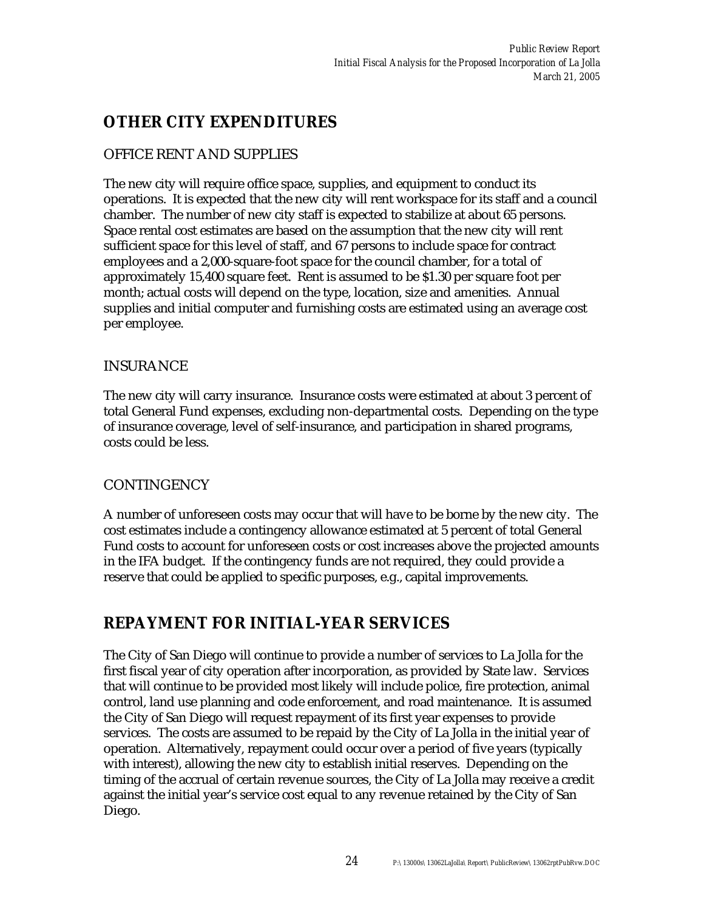### **OTHER CITY EXPENDITURES**

#### OFFICE RENT AND SUPPLIES

The new city will require office space, supplies, and equipment to conduct its operations. It is expected that the new city will rent workspace for its staff and a council chamber. The number of new city staff is expected to stabilize at about 65 persons. Space rental cost estimates are based on the assumption that the new city will rent sufficient space for this level of staff, and 67 persons to include space for contract employees and a 2,000-square-foot space for the council chamber, for a total of approximately 15,400 square feet. Rent is assumed to be \$1.30 per square foot per month; actual costs will depend on the type, location, size and amenities. Annual supplies and initial computer and furnishing costs are estimated using an average cost per employee.

#### INSURANCE

The new city will carry insurance. Insurance costs were estimated at about 3 percent of total General Fund expenses, excluding non-departmental costs. Depending on the type of insurance coverage, level of self-insurance, and participation in shared programs, costs could be less.

#### **CONTINGENCY**

A number of unforeseen costs may occur that will have to be borne by the new city. The cost estimates include a contingency allowance estimated at 5 percent of total General Fund costs to account for unforeseen costs or cost increases above the projected amounts in the IFA budget. If the contingency funds are not required, they could provide a reserve that could be applied to specific purposes, e.g., capital improvements.

### **REPAYMENT FOR INITIAL-YEAR SERVICES**

The City of San Diego will continue to provide a number of services to La Jolla for the first fiscal year of city operation after incorporation, as provided by State law. Services that will continue to be provided most likely will include police, fire protection, animal control, land use planning and code enforcement, and road maintenance. It is assumed the City of San Diego will request repayment of its first year expenses to provide services. The costs are assumed to be repaid by the City of La Jolla in the initial year of operation. Alternatively, repayment could occur over a period of five years (typically with interest), allowing the new city to establish initial reserves. Depending on the timing of the accrual of certain revenue sources, the City of La Jolla may receive a credit against the initial year's service cost equal to any revenue retained by the City of San Diego.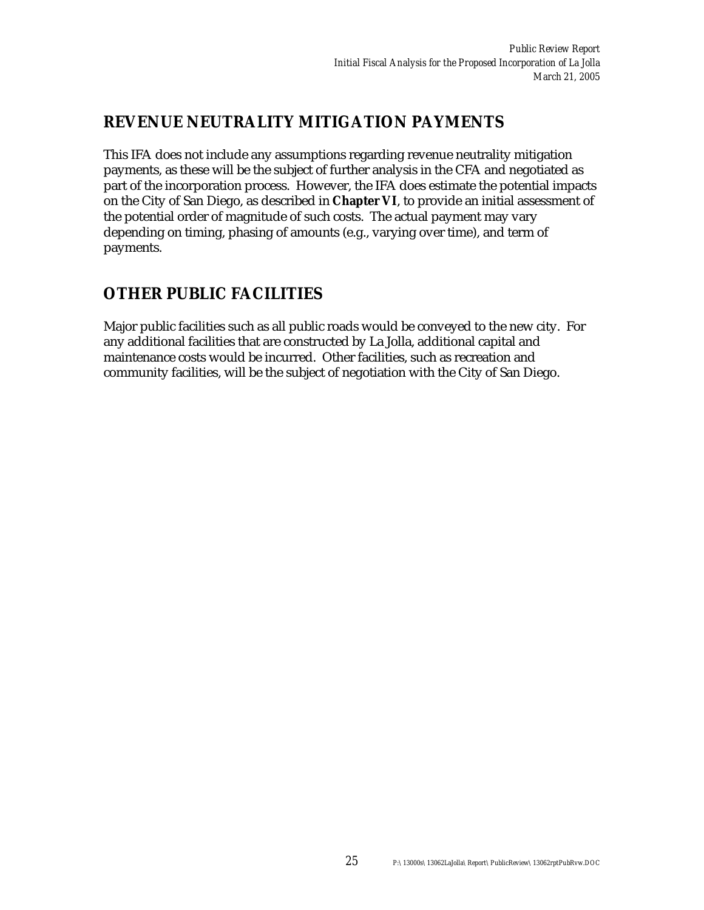### **REVENUE NEUTRALITY MITIGATION PAYMENTS**

This IFA does not include any assumptions regarding revenue neutrality mitigation payments, as these will be the subject of further analysis in the CFA and negotiated as part of the incorporation process. However, the IFA does estimate the potential impacts on the City of San Diego, as described in **Chapter VI**, to provide an initial assessment of the potential order of magnitude of such costs. The actual payment may vary depending on timing, phasing of amounts (e.g., varying over time), and term of payments.

### **OTHER PUBLIC FACILITIES**

Major public facilities such as all public roads would be conveyed to the new city. For any additional facilities that are constructed by La Jolla, additional capital and maintenance costs would be incurred. Other facilities, such as recreation and community facilities, will be the subject of negotiation with the City of San Diego.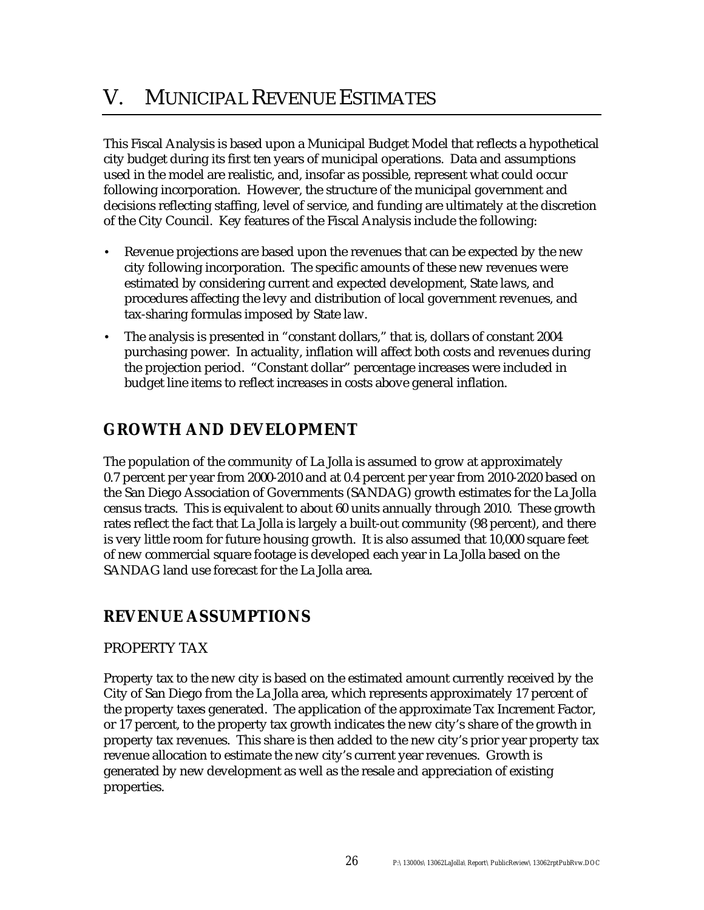# V. MUNICIPAL REVENUE ESTIMATES

This Fiscal Analysis is based upon a Municipal Budget Model that reflects a hypothetical city budget during its first ten years of municipal operations. Data and assumptions used in the model are realistic, and, insofar as possible, represent what could occur following incorporation. However, the structure of the municipal government and decisions reflecting staffing, level of service, and funding are ultimately at the discretion of the City Council. Key features of the Fiscal Analysis include the following:

- Revenue projections are based upon the revenues that can be expected by the new city following incorporation. The specific amounts of these new revenues were estimated by considering current and expected development, State laws, and procedures affecting the levy and distribution of local government revenues, and tax-sharing formulas imposed by State law.
- The analysis is presented in "constant dollars," that is, dollars of constant 2004 purchasing power. In actuality, inflation will affect both costs and revenues during the projection period. "Constant dollar" percentage increases were included in budget line items to reflect increases in costs above general inflation.

### **GROWTH AND DEVELOPMENT**

The population of the community of La Jolla is assumed to grow at approximately 0.7 percent per year from 2000-2010 and at 0.4 percent per year from 2010-2020 based on the San Diego Association of Governments (SANDAG) growth estimates for the La Jolla census tracts. This is equivalent to about 60 units annually through 2010. These growth rates reflect the fact that La Jolla is largely a built-out community (98 percent), and there is very little room for future housing growth. It is also assumed that 10,000 square feet of new commercial square footage is developed each year in La Jolla based on the SANDAG land use forecast for the La Jolla area.

### **REVENUE ASSUMPTIONS**

#### PROPERTY TAX

Property tax to the new city is based on the estimated amount currently received by the City of San Diego from the La Jolla area, which represents approximately 17 percent of the property taxes generated. The application of the approximate Tax Increment Factor, or 17 percent, to the property tax growth indicates the new city's share of the growth in property tax revenues. This share is then added to the new city's prior year property tax revenue allocation to estimate the new city's current year revenues. Growth is generated by new development as well as the resale and appreciation of existing properties.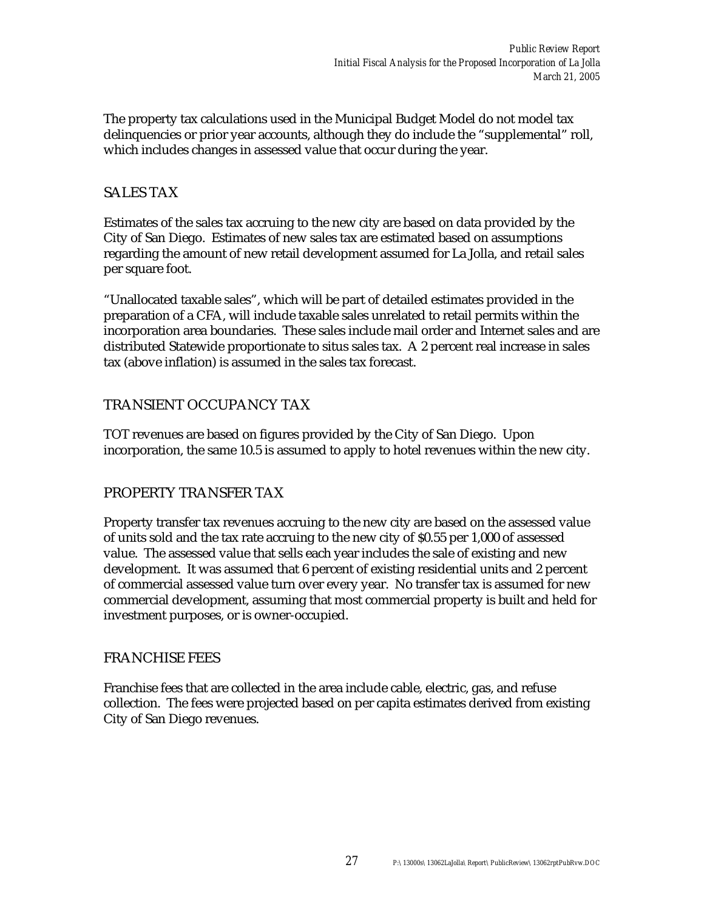The property tax calculations used in the Municipal Budget Model do not model tax delinquencies or prior year accounts, although they do include the "supplemental" roll, which includes changes in assessed value that occur during the year.

#### SALES TAX

Estimates of the sales tax accruing to the new city are based on data provided by the City of San Diego. Estimates of new sales tax are estimated based on assumptions regarding the amount of new retail development assumed for La Jolla, and retail sales per square foot.

"Unallocated taxable sales", which will be part of detailed estimates provided in the preparation of a CFA, will include taxable sales unrelated to retail permits within the incorporation area boundaries. These sales include mail order and Internet sales and are distributed Statewide proportionate to situs sales tax. A 2 percent real increase in sales tax (above inflation) is assumed in the sales tax forecast.

#### TRANSIENT OCCUPANCY TAX

TOT revenues are based on figures provided by the City of San Diego. Upon incorporation, the same 10.5 is assumed to apply to hotel revenues within the new city.

#### PROPERTY TRANSFER TAX

Property transfer tax revenues accruing to the new city are based on the assessed value of units sold and the tax rate accruing to the new city of \$0.55 per 1,000 of assessed value. The assessed value that sells each year includes the sale of existing and new development. It was assumed that 6 percent of existing residential units and 2 percent of commercial assessed value turn over every year. No transfer tax is assumed for new commercial development, assuming that most commercial property is built and held for investment purposes, or is owner-occupied.

#### FRANCHISE FEES

Franchise fees that are collected in the area include cable, electric, gas, and refuse collection. The fees were projected based on per capita estimates derived from existing City of San Diego revenues.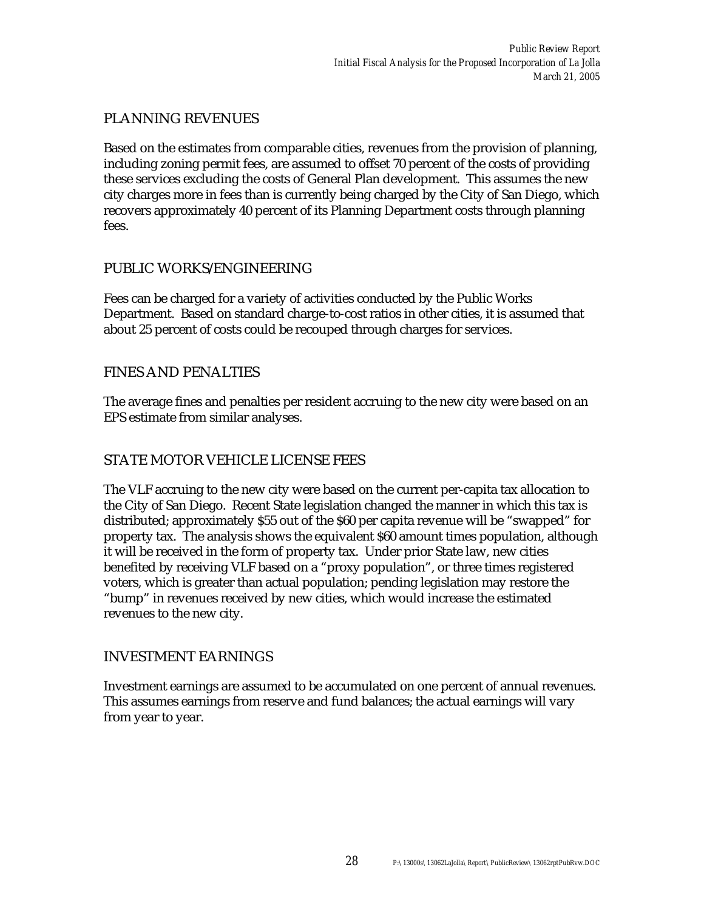#### PLANNING REVENUES

Based on the estimates from comparable cities, revenues from the provision of planning, including zoning permit fees, are assumed to offset 70 percent of the costs of providing these services excluding the costs of General Plan development. This assumes the new city charges more in fees than is currently being charged by the City of San Diego, which recovers approximately 40 percent of its Planning Department costs through planning fees.

#### PUBLIC WORKS/ENGINEERING

Fees can be charged for a variety of activities conducted by the Public Works Department. Based on standard charge-to-cost ratios in other cities, it is assumed that about 25 percent of costs could be recouped through charges for services.

#### FINES AND PENALTIES

The average fines and penalties per resident accruing to the new city were based on an EPS estimate from similar analyses.

#### STATE MOTOR VEHICLE LICENSE FEES

The VLF accruing to the new city were based on the current per-capita tax allocation to the City of San Diego. Recent State legislation changed the manner in which this tax is distributed; approximately \$55 out of the \$60 per capita revenue will be "swapped" for property tax. The analysis shows the equivalent \$60 amount times population, although it will be received in the form of property tax. Under prior State law, new cities benefited by receiving VLF based on a "proxy population", or three times registered voters, which is greater than actual population; pending legislation may restore the "bump" in revenues received by new cities, which would increase the estimated revenues to the new city.

#### INVESTMENT EARNINGS

Investment earnings are assumed to be accumulated on one percent of annual revenues. This assumes earnings from reserve and fund balances; the actual earnings will vary from year to year.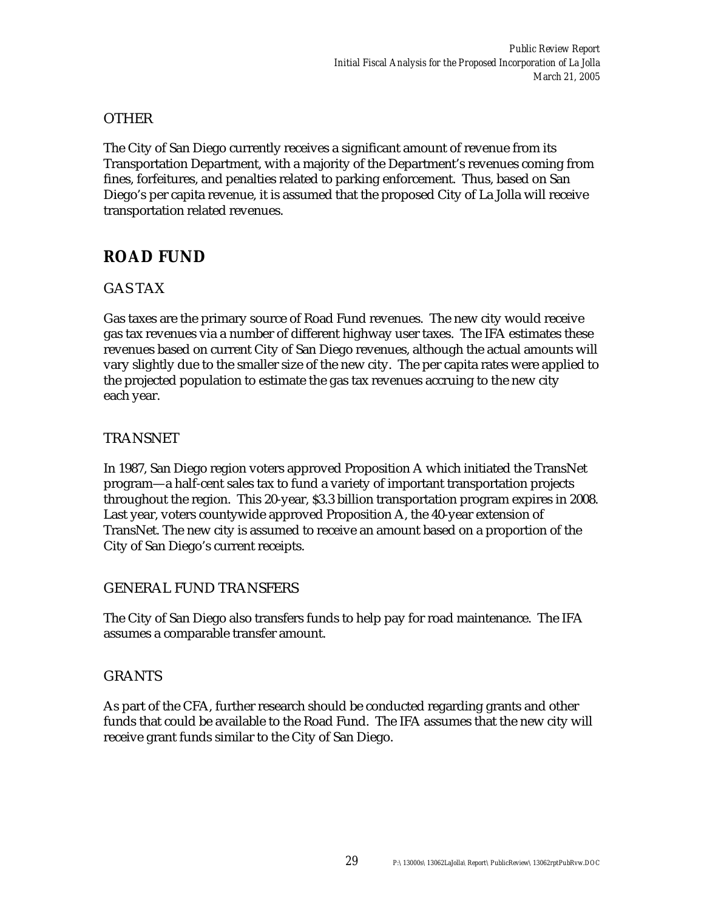#### OTHER

The City of San Diego currently receives a significant amount of revenue from its Transportation Department, with a majority of the Department's revenues coming from fines, forfeitures, and penalties related to parking enforcement. Thus, based on San Diego's per capita revenue, it is assumed that the proposed City of La Jolla will receive transportation related revenues.

### **ROAD FUND**

#### GAS TAX

Gas taxes are the primary source of Road Fund revenues. The new city would receive gas tax revenues via a number of different highway user taxes. The IFA estimates these revenues based on current City of San Diego revenues, although the actual amounts will vary slightly due to the smaller size of the new city. The per capita rates were applied to the projected population to estimate the gas tax revenues accruing to the new city each year.

#### TRANSNET

In 1987, San Diego region voters approved Proposition A which initiated the TransNet program—a half-cent sales tax to fund a variety of important transportation projects throughout the region. This 20-year, \$3.3 billion transportation program expires in 2008. Last year, voters countywide approved Proposition A, the 40-year extension of TransNet. The new city is assumed to receive an amount based on a proportion of the City of San Diego's current receipts.

#### GENERAL FUND TRANSFERS

The City of San Diego also transfers funds to help pay for road maintenance. The IFA assumes a comparable transfer amount.

#### GRANTS

As part of the CFA, further research should be conducted regarding grants and other funds that could be available to the Road Fund. The IFA assumes that the new city will receive grant funds similar to the City of San Diego.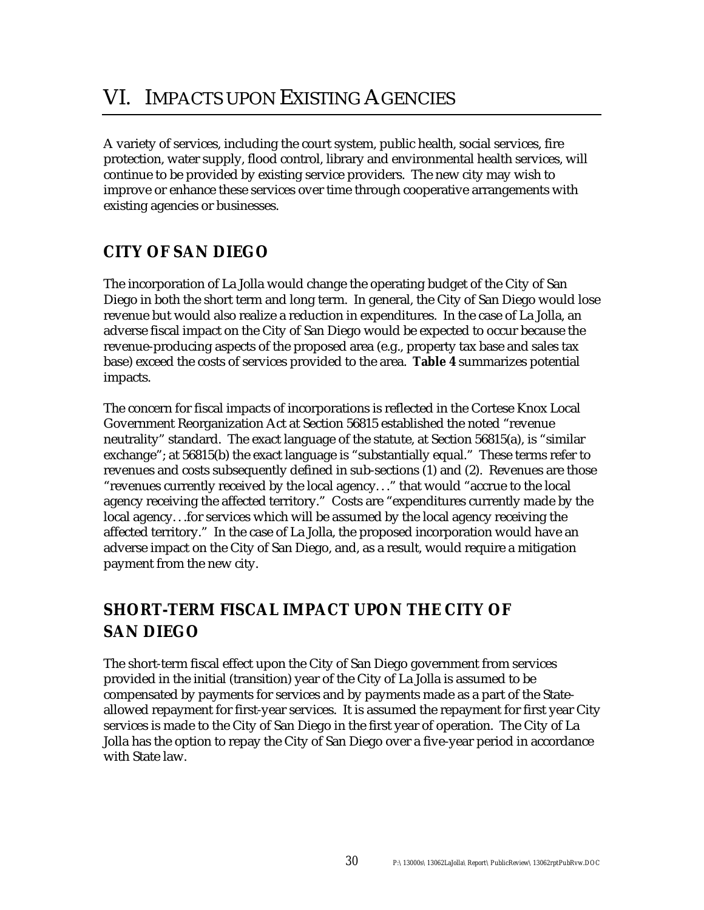A variety of services, including the court system, public health, social services, fire protection, water supply, flood control, library and environmental health services, will continue to be provided by existing service providers. The new city may wish to improve or enhance these services over time through cooperative arrangements with existing agencies or businesses.

## **CITY OF SAN DIEGO**

The incorporation of La Jolla would change the operating budget of the City of San Diego in both the short term and long term. In general, the City of San Diego would lose revenue but would also realize a reduction in expenditures. In the case of La Jolla, an adverse fiscal impact on the City of San Diego would be expected to occur because the revenue-producing aspects of the proposed area (e.g., property tax base and sales tax base) exceed the costs of services provided to the area. **Table 4** summarizes potential impacts.

The concern for fiscal impacts of incorporations is reflected in the Cortese Knox Local Government Reorganization Act at Section 56815 established the noted "revenue neutrality" standard. The exact language of the statute, at Section 56815(a), is "similar exchange"; at 56815(b) the exact language is "substantially equal." These terms refer to revenues and costs subsequently defined in sub-sections (1) and (2). Revenues are those "revenues currently received by the local agency. . ." that would "accrue to the local agency receiving the affected territory." Costs are "expenditures currently made by the local agency. . .for services which will be assumed by the local agency receiving the affected territory." In the case of La Jolla, the proposed incorporation would have an adverse impact on the City of San Diego, and, as a result, would require a mitigation payment from the new city.

### **SHORT-TERM FISCAL IMPACT UPON THE CITY OF SAN DIEGO**

The short-term fiscal effect upon the City of San Diego government from services provided in the initial (transition) year of the City of La Jolla is assumed to be compensated by payments for services and by payments made as a part of the Stateallowed repayment for first-year services. It is assumed the repayment for first year City services is made to the City of San Diego in the first year of operation. The City of La Jolla has the option to repay the City of San Diego over a five-year period in accordance with State law.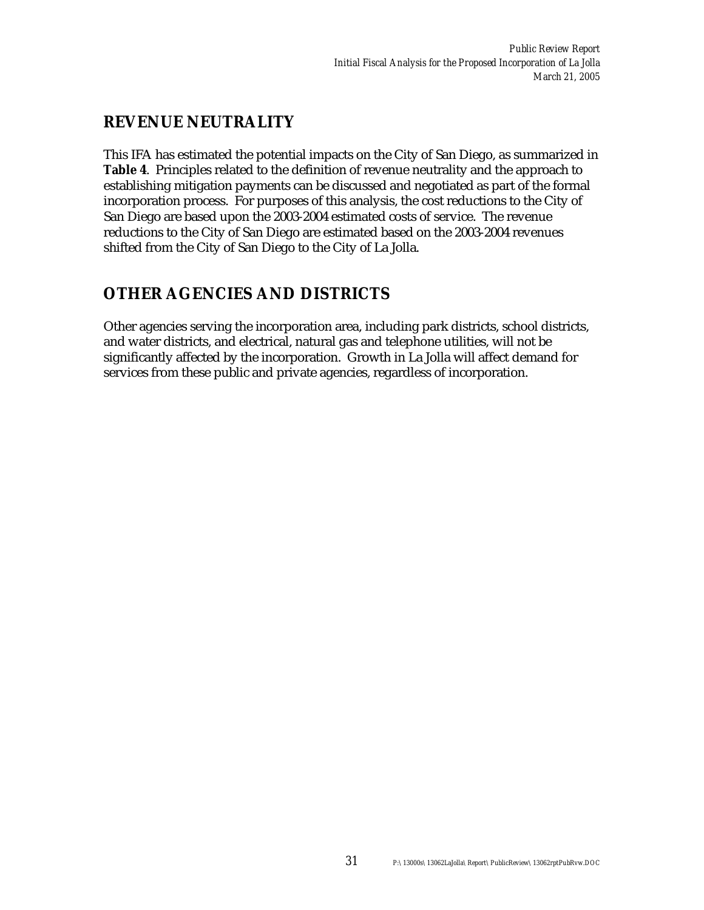### **REVENUE NEUTRALITY**

This IFA has estimated the potential impacts on the City of San Diego, as summarized in **Table 4**. Principles related to the definition of revenue neutrality and the approach to establishing mitigation payments can be discussed and negotiated as part of the formal incorporation process. For purposes of this analysis, the cost reductions to the City of San Diego are based upon the 2003-2004 estimated costs of service. The revenue reductions to the City of San Diego are estimated based on the 2003-2004 revenues shifted from the City of San Diego to the City of La Jolla.

### **OTHER AGENCIES AND DISTRICTS**

Other agencies serving the incorporation area, including park districts, school districts, and water districts, and electrical, natural gas and telephone utilities, will not be significantly affected by the incorporation. Growth in La Jolla will affect demand for services from these public and private agencies, regardless of incorporation.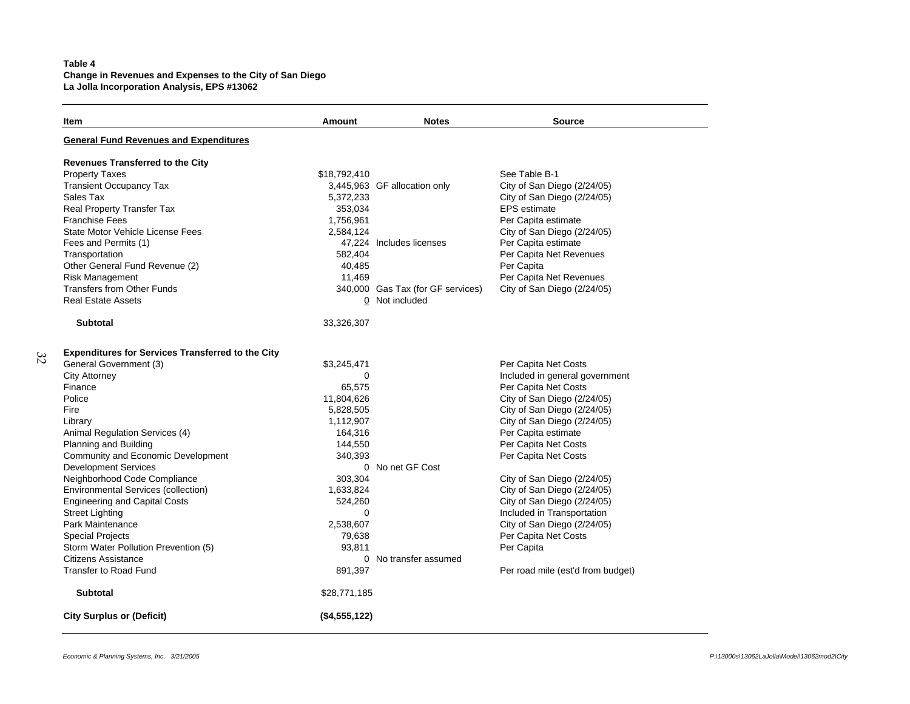# **Table 4 Change in Revenues and Expenses to the City of San Diego La Jolla Incorporation Analysis, EPS #13062**

| Item                                                     | Amount        | <b>Notes</b>                      | <b>Source</b>                     |  |  |  |
|----------------------------------------------------------|---------------|-----------------------------------|-----------------------------------|--|--|--|
| <b>General Fund Revenues and Expenditures</b>            |               |                                   |                                   |  |  |  |
| <b>Revenues Transferred to the City</b>                  |               |                                   |                                   |  |  |  |
| <b>Property Taxes</b>                                    | \$18,792,410  |                                   | See Table B-1                     |  |  |  |
| <b>Transient Occupancy Tax</b>                           |               | 3,445,963 GF allocation only      | City of San Diego (2/24/05)       |  |  |  |
| Sales Tax                                                | 5,372,233     |                                   | City of San Diego (2/24/05)       |  |  |  |
| Real Property Transfer Tax                               | 353,034       |                                   | <b>EPS</b> estimate               |  |  |  |
| <b>Franchise Fees</b>                                    | 1,756,961     |                                   | Per Capita estimate               |  |  |  |
| State Motor Vehicle License Fees                         | 2,584,124     |                                   | City of San Diego (2/24/05)       |  |  |  |
| Fees and Permits (1)                                     |               | 47,224 Includes licenses          | Per Capita estimate               |  |  |  |
| Transportation                                           | 582,404       |                                   | Per Capita Net Revenues           |  |  |  |
| Other General Fund Revenue (2)                           | 40,485        |                                   | Per Capita                        |  |  |  |
| <b>Risk Management</b>                                   | 11,469        |                                   | Per Capita Net Revenues           |  |  |  |
| <b>Transfers from Other Funds</b>                        |               | 340,000 Gas Tax (for GF services) | City of San Diego (2/24/05)       |  |  |  |
| <b>Real Estate Assets</b>                                |               | 0 Not included                    |                                   |  |  |  |
| <b>Subtotal</b>                                          | 33,326,307    |                                   |                                   |  |  |  |
| <b>Expenditures for Services Transferred to the City</b> |               |                                   |                                   |  |  |  |
| General Government (3)                                   | \$3,245,471   |                                   | Per Capita Net Costs              |  |  |  |
| <b>City Attorney</b>                                     | 0             |                                   | Included in general government    |  |  |  |
| Finance                                                  | 65,575        |                                   | Per Capita Net Costs              |  |  |  |
| Police                                                   | 11,804,626    |                                   | City of San Diego (2/24/05)       |  |  |  |
| Fire                                                     | 5,828,505     |                                   | City of San Diego (2/24/05)       |  |  |  |
| Library                                                  | 1,112,907     |                                   | City of San Diego (2/24/05)       |  |  |  |
| Animal Regulation Services (4)                           | 164,316       |                                   | Per Capita estimate               |  |  |  |
| Planning and Building                                    | 144,550       |                                   | Per Capita Net Costs              |  |  |  |
| Community and Economic Development                       | 340,393       |                                   | Per Capita Net Costs              |  |  |  |
| <b>Development Services</b>                              |               | 0 No net GF Cost                  |                                   |  |  |  |
| Neighborhood Code Compliance                             | 303,304       |                                   | City of San Diego (2/24/05)       |  |  |  |
| <b>Environmental Services (collection)</b>               | 1,633,824     |                                   | City of San Diego (2/24/05)       |  |  |  |
| <b>Engineering and Capital Costs</b>                     | 524,260       |                                   | City of San Diego (2/24/05)       |  |  |  |
| <b>Street Lighting</b>                                   | $\Omega$      |                                   | Included in Transportation        |  |  |  |
| Park Maintenance                                         | 2,538,607     |                                   | City of San Diego (2/24/05)       |  |  |  |
| <b>Special Projects</b>                                  | 79,638        |                                   | Per Capita Net Costs              |  |  |  |
| Storm Water Pollution Prevention (5)                     | 93,811        |                                   | Per Capita                        |  |  |  |
| <b>Citizens Assistance</b>                               |               | 0 No transfer assumed             |                                   |  |  |  |
| Transfer to Road Fund                                    | 891,397       |                                   | Per road mile (est'd from budget) |  |  |  |
| <b>Subtotal</b>                                          | \$28,771,185  |                                   |                                   |  |  |  |
| <b>City Surplus or (Deficit)</b>                         | (\$4,555,122) |                                   |                                   |  |  |  |

*32*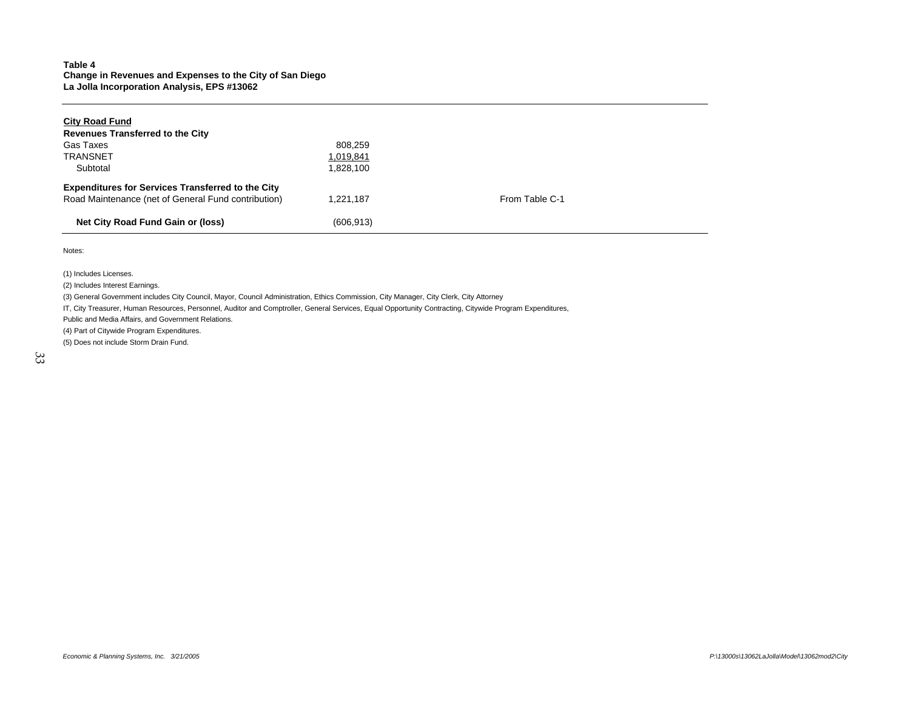## **Table 4 Change in Revenues and Expenses to the City of San Diego La Jolla Incorporation Analysis, EPS #13062**

| <b>City Road Fund</b>                                    |            |                |  |
|----------------------------------------------------------|------------|----------------|--|
| <b>Revenues Transferred to the City</b>                  |            |                |  |
| Gas Taxes                                                | 808.259    |                |  |
| <b>TRANSNET</b>                                          | 1,019,841  |                |  |
| Subtotal                                                 | 1.828.100  |                |  |
| <b>Expenditures for Services Transferred to the City</b> |            |                |  |
| Road Maintenance (net of General Fund contribution)      | 1.221.187  | From Table C-1 |  |
| Net City Road Fund Gain or (loss)                        | (606, 913) |                |  |

Notes:

(1) Includes Licenses.

(2) Includes Interest Earnings.

(3) General Government includes City Council, Mayor, Council Administration, Ethics Commission, City Manager, City Clerk, City Attorney

IT, City Treasurer, Human Resources, Personnel, Auditor and Comptroller, General Services, Equal Opportunity Contracting, Citywide Program Expenditures,

Public and Media Affairs, and Government Relations.

(4) Part of Citywide Program Expenditures.

(5) Does not include Storm Drain Fund.

*33*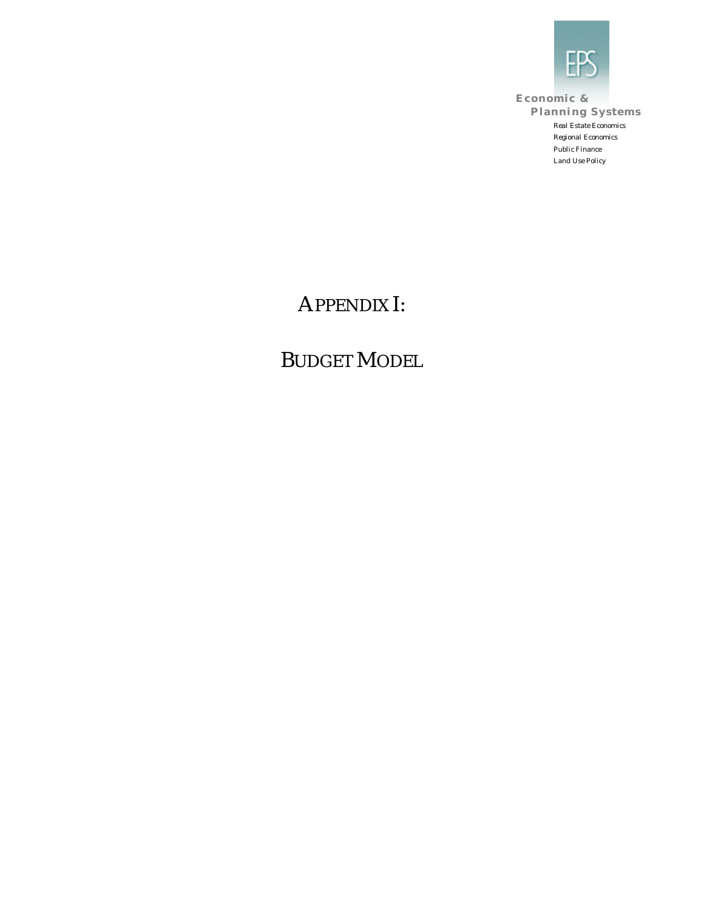

**Economic & Planning Systems** *Real Estate Economics Regional Economics Public Finance Land Use Policy*

# APPENDIX I:

# BUDGET MODEL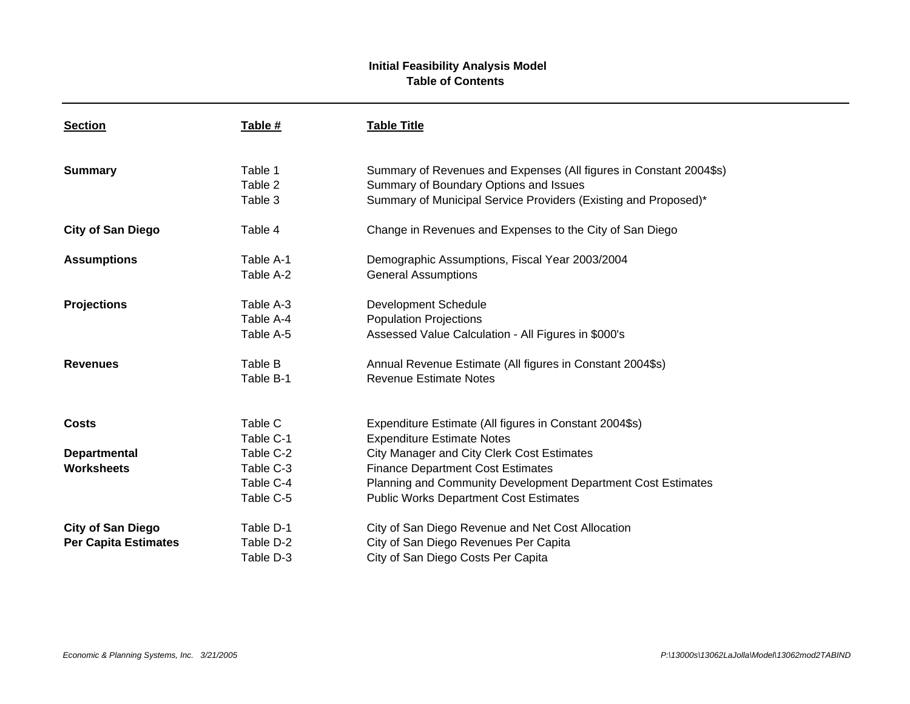# **Initial Feasibility Analysis Model Table of Contents**

| <b>Section</b>              | Table #   | <b>Table Title</b>                                                 |
|-----------------------------|-----------|--------------------------------------------------------------------|
| <b>Summary</b>              | Table 1   | Summary of Revenues and Expenses (All figures in Constant 2004\$s) |
|                             | Table 2   | Summary of Boundary Options and Issues                             |
|                             | Table 3   | Summary of Municipal Service Providers (Existing and Proposed)*    |
| <b>City of San Diego</b>    | Table 4   | Change in Revenues and Expenses to the City of San Diego           |
| <b>Assumptions</b>          | Table A-1 | Demographic Assumptions, Fiscal Year 2003/2004                     |
|                             | Table A-2 | <b>General Assumptions</b>                                         |
| <b>Projections</b>          | Table A-3 | Development Schedule                                               |
|                             | Table A-4 | <b>Population Projections</b>                                      |
|                             | Table A-5 | Assessed Value Calculation - All Figures in \$000's                |
| <b>Revenues</b>             | Table B   | Annual Revenue Estimate (All figures in Constant 2004\$s)          |
|                             | Table B-1 | <b>Revenue Estimate Notes</b>                                      |
|                             |           |                                                                    |
| <b>Costs</b>                | Table C   | Expenditure Estimate (All figures in Constant 2004\$s)             |
|                             | Table C-1 | <b>Expenditure Estimate Notes</b>                                  |
| <b>Departmental</b>         | Table C-2 | <b>City Manager and City Clerk Cost Estimates</b>                  |
| <b>Worksheets</b>           | Table C-3 | <b>Finance Department Cost Estimates</b>                           |
|                             | Table C-4 | Planning and Community Development Department Cost Estimates       |
|                             | Table C-5 | <b>Public Works Department Cost Estimates</b>                      |
| <b>City of San Diego</b>    | Table D-1 | City of San Diego Revenue and Net Cost Allocation                  |
| <b>Per Capita Estimates</b> | Table D-2 | City of San Diego Revenues Per Capita                              |
|                             | Table D-3 | City of San Diego Costs Per Capita                                 |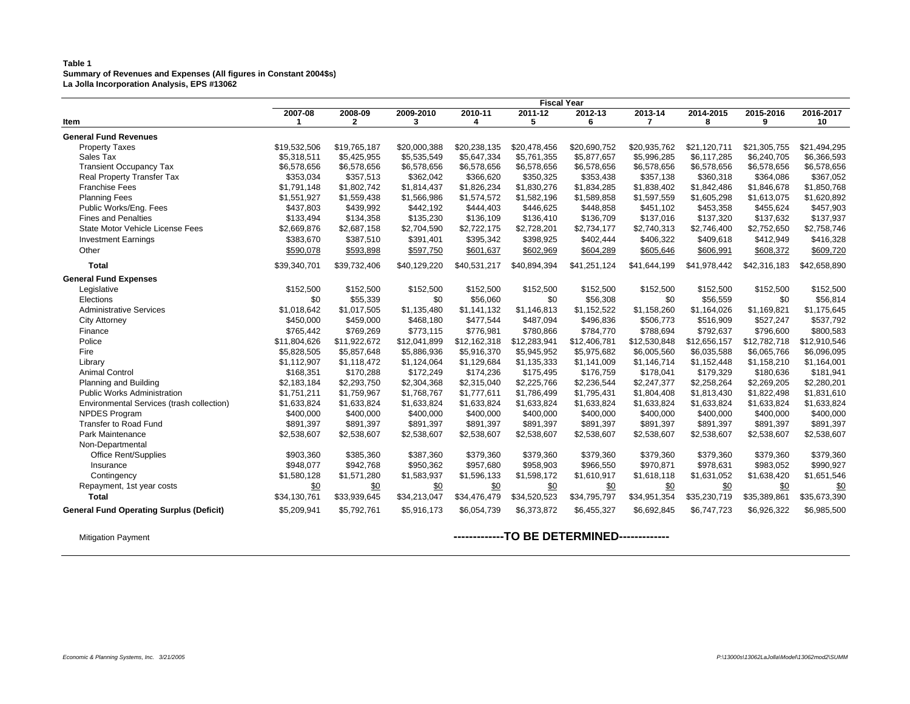#### **Table 1 Summary of Revenues and Expenses (All figures in Constant 2004\$s) La Jolla Incorporation Analysis, EPS #13062**

|                                                 |              |              |              |              | <b>Fiscal Year</b> |              |              |              |              |              |
|-------------------------------------------------|--------------|--------------|--------------|--------------|--------------------|--------------|--------------|--------------|--------------|--------------|
|                                                 | 2007-08      | 2008-09      | 2009-2010    | 2010-11      | 2011-12            | 2012-13      | 2013-14      | 2014-2015    | 2015-2016    | 2016-2017    |
| Item                                            | 1            | $\mathbf{2}$ | 3            | 4            | 5                  | 6            | 7            | 8            | 9            | 10           |
| <b>General Fund Revenues</b>                    |              |              |              |              |                    |              |              |              |              |              |
| <b>Property Taxes</b>                           | \$19,532,506 | \$19,765,187 | \$20,000.388 | \$20.238.135 | \$20,478,456       | \$20.690.752 | \$20.935.762 | \$21,120,711 | \$21,305,755 | \$21.494.295 |
| Sales Tax                                       | \$5,318,511  | \$5,425,955  | \$5,535,549  | \$5,647,334  | \$5,761,355        | \$5,877,657  | \$5,996,285  | \$6,117,285  | \$6,240,705  | \$6,366,593  |
| <b>Transient Occupancy Tax</b>                  | \$6,578,656  | \$6,578,656  | \$6,578,656  | \$6,578,656  | \$6,578,656        | \$6,578,656  | \$6,578,656  | \$6,578,656  | \$6,578,656  | \$6,578,656  |
| Real Property Transfer Tax                      | \$353,034    | \$357,513    | \$362,042    | \$366,620    | \$350,325          | \$353,438    | \$357,138    | \$360,318    | \$364,086    | \$367,052    |
| <b>Franchise Fees</b>                           | \$1,791,148  | \$1,802,742  | \$1,814,437  | \$1,826,234  | \$1,830,276        | \$1,834,285  | \$1,838,402  | \$1,842,486  | \$1,846,678  | \$1,850,768  |
| <b>Planning Fees</b>                            | \$1,551,927  | \$1,559,438  | \$1,566,986  | \$1,574,572  | \$1,582,196        | \$1,589,858  | \$1,597,559  | \$1,605,298  | \$1,613,075  | \$1,620,892  |
| Public Works/Eng. Fees                          | \$437,803    | \$439,992    | \$442,192    | \$444,403    | \$446,625          | \$448,858    | \$451,102    | \$453,358    | \$455,624    | \$457,903    |
| <b>Fines and Penalties</b>                      | \$133,494    | \$134,358    | \$135,230    | \$136,109    | \$136,410          | \$136,709    | \$137,016    | \$137,320    | \$137,632    | \$137,937    |
| State Motor Vehicle License Fees                | \$2,669,876  | \$2,687,158  | \$2,704,590  | \$2,722,175  | \$2,728,201        | \$2,734,177  | \$2,740,313  | \$2,746,400  | \$2,752,650  | \$2,758,746  |
| <b>Investment Earnings</b>                      | \$383,670    | \$387,510    | \$391,401    | \$395,342    | \$398,925          | \$402,444    | \$406,322    | \$409,618    | \$412,949    | \$416,328    |
| Other                                           | \$590,078    | \$593,898    | \$597,750    | \$601,637    | \$602,969          | \$604,289    | \$605,646    | \$606,991    | \$608,372    | \$609,720    |
| <b>Total</b>                                    | \$39,340,701 | \$39,732,406 | \$40,129,220 | \$40,531,217 | \$40,894,394       | \$41,251,124 | \$41,644,199 | \$41,978,442 | \$42,316,183 | \$42,658,890 |
| <b>General Fund Expenses</b>                    |              |              |              |              |                    |              |              |              |              |              |
| Legislative                                     | \$152,500    | \$152,500    | \$152,500    | \$152,500    | \$152,500          | \$152,500    | \$152,500    | \$152,500    | \$152,500    | \$152,500    |
| Elections                                       | \$0          | \$55,339     | \$0          | \$56,060     | \$0                | \$56,308     | \$0          | \$56,559     | \$0          | \$56,814     |
| <b>Administrative Services</b>                  | \$1,018,642  | \$1,017,505  | \$1,135,480  | \$1,141,132  | \$1,146,813        | \$1,152,522  | \$1,158,260  | \$1,164,026  | \$1,169,821  | \$1,175,645  |
| <b>City Attorney</b>                            | \$450,000    | \$459,000    | \$468,180    | \$477,544    | \$487,094          | \$496,836    | \$506,773    | \$516,909    | \$527,247    | \$537,792    |
| Finance                                         | \$765,442    | \$769,269    | \$773,115    | \$776,981    | \$780,866          | \$784,770    | \$788,694    | \$792,637    | \$796,600    | \$800,583    |
| Police                                          | \$11,804,626 | \$11,922,672 | \$12,041,899 | \$12,162,318 | \$12,283,941       | \$12,406,781 | \$12,530,848 | \$12,656,157 | \$12,782,718 | \$12,910,546 |
| Fire                                            | \$5,828,505  | \$5,857,648  | \$5,886,936  | \$5,916,370  | \$5,945,952        | \$5,975,682  | \$6,005,560  | \$6,035,588  | \$6,065,766  | \$6,096,095  |
| Library                                         | \$1,112,907  | \$1,118,472  | \$1,124,064  | \$1,129,684  | \$1,135,333        | \$1,141,009  | \$1,146,714  | \$1,152,448  | \$1,158,210  | \$1,164,001  |
| <b>Animal Control</b>                           | \$168,351    | \$170,288    | \$172,249    | \$174,236    | \$175,495          | \$176,759    | \$178,041    | \$179,329    | \$180,636    | \$181,941    |
| Planning and Building                           | \$2,183,184  | \$2,293,750  | \$2,304,368  | \$2,315,040  | \$2,225,766        | \$2,236,544  | \$2,247,377  | \$2,258,264  | \$2,269,205  | \$2,280,201  |
| <b>Public Works Administration</b>              | \$1,751,211  | \$1,759,967  | \$1,768,767  | \$1,777,611  | \$1,786,499        | \$1,795,431  | \$1,804,408  | \$1,813,430  | \$1,822,498  | \$1,831,610  |
| Environmental Services (trash collection)       | \$1,633,824  | \$1,633,824  | \$1,633,824  | \$1,633,824  | \$1,633,824        | \$1,633,824  | \$1,633,824  | \$1,633,824  | \$1,633,824  | \$1,633,824  |
| NPDES Program                                   | \$400,000    | \$400,000    | \$400,000    | \$400,000    | \$400,000          | \$400,000    | \$400,000    | \$400,000    | \$400,000    | \$400,000    |
| Transfer to Road Fund                           | \$891,397    | \$891,397    | \$891,397    | \$891,397    | \$891,397          | \$891,397    | \$891,397    | \$891,397    | \$891,397    | \$891,397    |
| Park Maintenance                                | \$2,538,607  | \$2,538,607  | \$2,538,607  | \$2,538,607  | \$2,538,607        | \$2,538,607  | \$2,538,607  | \$2,538,607  | \$2,538,607  | \$2,538,607  |
| Non-Departmental                                |              |              |              |              |                    |              |              |              |              |              |
| <b>Office Rent/Supplies</b>                     | \$903,360    | \$385,360    | \$387,360    | \$379,360    | \$379,360          | \$379,360    | \$379,360    | \$379,360    | \$379,360    | \$379,360    |
| Insurance                                       | \$948,077    | \$942,768    | \$950,362    | \$957,680    | \$958,903          | \$966,550    | \$970,871    | \$978,631    | \$983,052    | \$990,927    |
| Contingency                                     | \$1,580,128  | \$1,571,280  | \$1,583,937  | \$1,596,133  | \$1,598,172        | \$1,610,917  | \$1,618,118  | \$1,631,052  | \$1,638,420  | \$1,651,546  |
| Repayment, 1st year costs                       | \$0          | \$0          | \$0          | \$0          | \$0                | \$0          | \$0          | \$0          | \$0          | \$0          |
| <b>Total</b>                                    | \$34,130,761 | \$33,939,645 | \$34,213,047 | \$34,476,479 | \$34,520,523       | \$34,795,797 | \$34,951,354 | \$35,230,719 | \$35,389,861 | \$35,673,390 |
| <b>General Fund Operating Surplus (Deficit)</b> | \$5,209,941  | \$5,792,761  | \$5,916,173  | \$6,054,739  | \$6,373,872        | \$6,455,327  | \$6,692,845  | \$6,747,723  | \$6,926,322  | \$6,985,500  |
|                                                 |              |              |              |              |                    |              |              |              |              |              |

# Mitigation Payment **-------------TO BE DETERMINED-------------**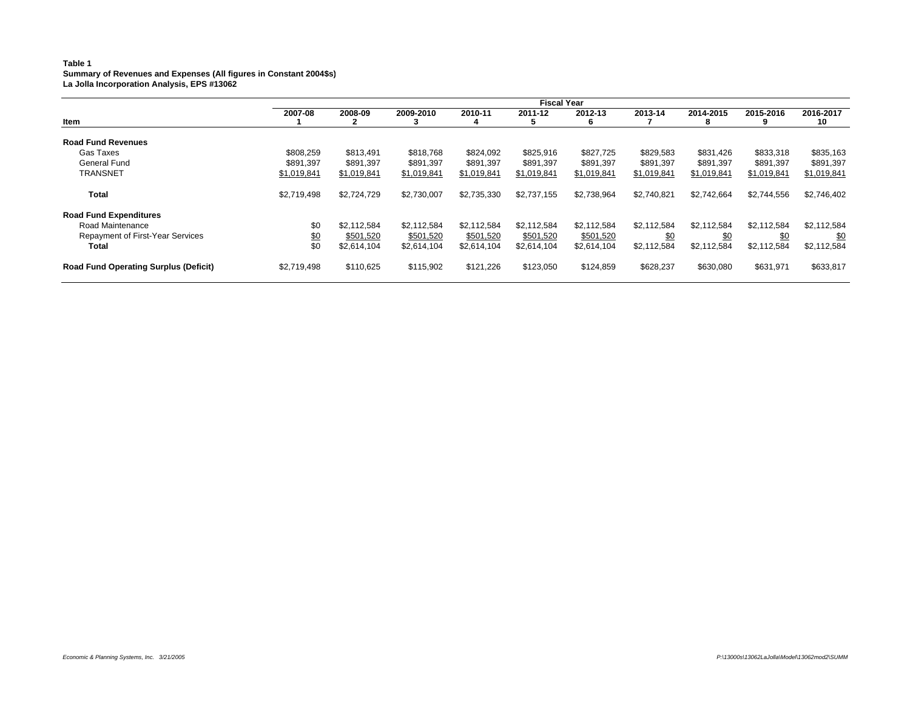#### **Table 1 Summary of Revenues and Expenses (All figures in Constant 2004\$s) La Jolla Incorporation Analysis, EPS #13062**

| Item<br><b>Road Fund Revenues</b><br>Gas Taxes<br><b>General Fund</b><br><b>TRANSNET</b> |             |             |             |             | <b>Fiscal Year</b> |              |             |                 |             |                 |
|------------------------------------------------------------------------------------------|-------------|-------------|-------------|-------------|--------------------|--------------|-------------|-----------------|-------------|-----------------|
|                                                                                          | 2007-08     | 2008-09     | 2009-2010   | 2010-11     | 2011-12            | 2012-13<br>6 | 2013-14     | 2014-2015<br>85 | 2015-2016   | 2016-2017<br>10 |
|                                                                                          |             |             |             |             |                    |              |             |                 |             |                 |
|                                                                                          | \$808,259   | \$813.491   | \$818.768   | \$824,092   | \$825,916          | \$827,725    | \$829,583   | \$831,426       | \$833,318   | \$835,163       |
|                                                                                          | \$891.397   | \$891.397   | \$891.397   | \$891.397   | \$891.397          | \$891,397    | \$891.397   | \$891.397       | \$891,397   | \$891,397       |
|                                                                                          | \$1,019,841 | \$1,019,841 | \$1,019,841 | \$1,019,841 | \$1,019,841        | \$1,019,841  | \$1,019,841 | \$1,019,841     | \$1,019,841 | \$1,019,841     |
| Total                                                                                    | \$2,719,498 | \$2,724,729 | \$2,730,007 | \$2,735,330 | \$2,737,155        | \$2,738,964  | \$2.740.821 | \$2,742,664     | \$2,744,556 | \$2,746,402     |
| <b>Road Fund Expenditures</b>                                                            |             |             |             |             |                    |              |             |                 |             |                 |
| Road Maintenance                                                                         | \$0         | \$2.112.584 | \$2,112,584 | \$2,112,584 | \$2,112,584        | \$2,112,584  | \$2.112.584 | \$2.112.584     | \$2,112,584 | \$2,112,584     |
| Repayment of First-Year Services                                                         | \$0         | \$501,520   | \$501,520   | \$501,520   | \$501,520          | \$501,520    | \$0         | \$0             | \$0         | \$0             |
| Total                                                                                    | \$0         | \$2,614,104 | \$2,614,104 | \$2,614,104 | \$2,614,104        | \$2,614,104  | \$2,112,584 | \$2,112,584     | \$2,112,584 | \$2,112,584     |
| <b>Road Fund Operating Surplus (Deficit)</b>                                             | \$2,719,498 | \$110,625   | \$115,902   | \$121,226   | \$123,050          | \$124,859    | \$628,237   | \$630,080       | \$631,971   | \$633,817       |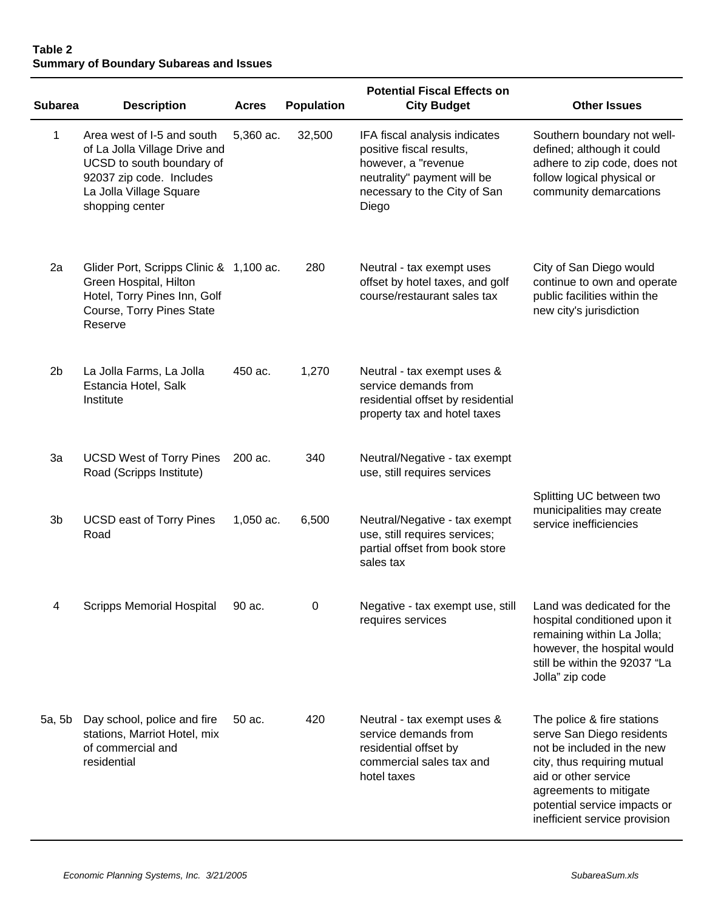# **Table 2 Summary of Boundary Subareas and Issues**

| <b>Subarea</b> | <b>Description</b>                                                                                                                                                 | <b>Acres</b> | <b>Population</b> | <b>City Budget</b>                                                                                                                                       | <b>Other Issues</b>                                                                                                                                                                                                                     |
|----------------|--------------------------------------------------------------------------------------------------------------------------------------------------------------------|--------------|-------------------|----------------------------------------------------------------------------------------------------------------------------------------------------------|-----------------------------------------------------------------------------------------------------------------------------------------------------------------------------------------------------------------------------------------|
| 1              | Area west of I-5 and south<br>of La Jolla Village Drive and<br>UCSD to south boundary of<br>92037 zip code. Includes<br>La Jolla Village Square<br>shopping center | 5,360 ac.    | 32,500            | IFA fiscal analysis indicates<br>positive fiscal results,<br>however, a "revenue<br>neutrality" payment will be<br>necessary to the City of San<br>Diego | Southern boundary not well-<br>defined; although it could<br>adhere to zip code, does not<br>follow logical physical or<br>community demarcations                                                                                       |
| 2a             | Glider Port, Scripps Clinic & 1,100 ac.<br>Green Hospital, Hilton<br>Hotel, Torry Pines Inn, Golf<br>Course, Torry Pines State<br>Reserve                          |              | 280               | Neutral - tax exempt uses<br>offset by hotel taxes, and golf<br>course/restaurant sales tax                                                              | City of San Diego would<br>continue to own and operate<br>public facilities within the<br>new city's jurisdiction                                                                                                                       |
| 2 <sub>b</sub> | La Jolla Farms, La Jolla<br>Estancia Hotel, Salk<br>Institute                                                                                                      | 450 ac.      | 1,270             | Neutral - tax exempt uses &<br>service demands from<br>residential offset by residential<br>property tax and hotel taxes                                 |                                                                                                                                                                                                                                         |
| 3a             | <b>UCSD West of Torry Pines</b><br>Road (Scripps Institute)                                                                                                        | 200 ac.      | 340               | Neutral/Negative - tax exempt<br>use, still requires services                                                                                            |                                                                                                                                                                                                                                         |
| 3b             | <b>UCSD east of Torry Pines</b><br>Road                                                                                                                            | 1,050 ac.    | 6,500             | Neutral/Negative - tax exempt<br>use, still requires services;<br>partial offset from book store<br>sales tax                                            | Splitting UC between two<br>municipalities may create<br>service inefficiencies                                                                                                                                                         |
| 4              | <b>Scripps Memorial Hospital</b>                                                                                                                                   | 90 ac.       | $\mathbf 0$       | Negative - tax exempt use, still<br>requires services                                                                                                    | Land was dedicated for the<br>hospital conditioned upon it<br>remaining within La Jolla;<br>however, the hospital would<br>still be within the 92037 "La<br>Jolla" zip code                                                             |
| 5a, 5b         | Day school, police and fire<br>stations, Marriot Hotel, mix<br>of commercial and<br>residential                                                                    | 50 ac.       | 420               | Neutral - tax exempt uses &<br>service demands from<br>residential offset by<br>commercial sales tax and<br>hotel taxes                                  | The police & fire stations<br>serve San Diego residents<br>not be included in the new<br>city, thus requiring mutual<br>aid or other service<br>agreements to mitigate<br>potential service impacts or<br>inefficient service provision |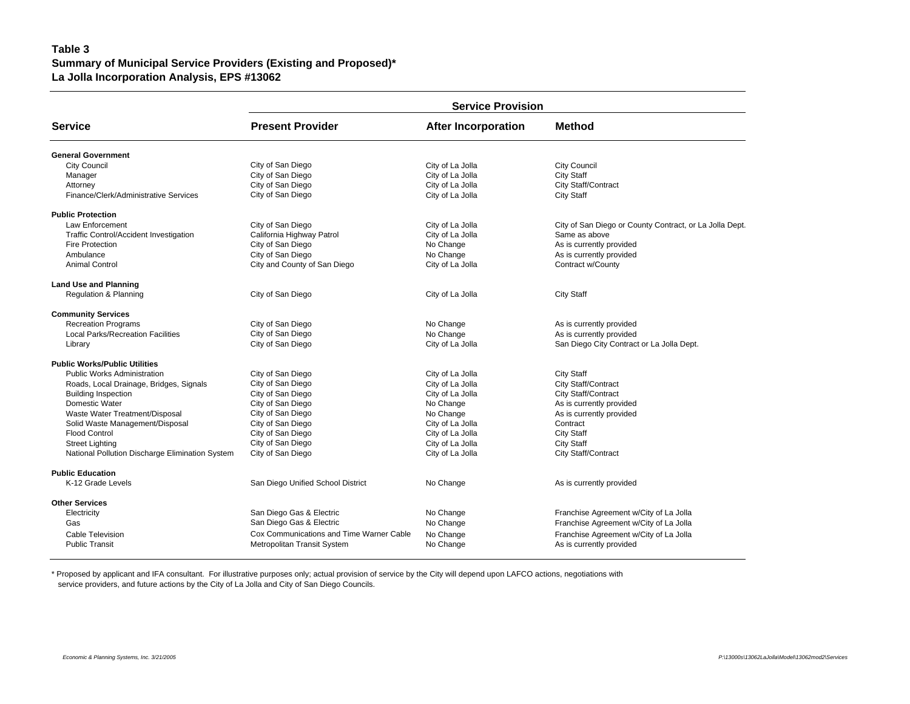# **Table 3 Summary of Municipal Service Providers (Existing and Proposed)\* La Jolla Incorporation Analysis, EPS #13062**

|                                                 | <b>Service Provision</b>                 |                            |                                                         |  |  |  |  |  |  |  |
|-------------------------------------------------|------------------------------------------|----------------------------|---------------------------------------------------------|--|--|--|--|--|--|--|
| <b>Service</b>                                  | <b>Present Provider</b>                  | <b>After Incorporation</b> | <b>Method</b>                                           |  |  |  |  |  |  |  |
| <b>General Government</b>                       |                                          |                            |                                                         |  |  |  |  |  |  |  |
| <b>City Council</b>                             | City of San Diego                        | City of La Jolla           | <b>City Council</b>                                     |  |  |  |  |  |  |  |
| Manager                                         | City of San Diego                        | City of La Jolla           | <b>City Staff</b>                                       |  |  |  |  |  |  |  |
| Attorney                                        | City of San Diego                        | City of La Jolla           | City Staff/Contract                                     |  |  |  |  |  |  |  |
| Finance/Clerk/Administrative Services           | City of San Diego                        | City of La Jolla           | <b>City Staff</b>                                       |  |  |  |  |  |  |  |
| <b>Public Protection</b>                        |                                          |                            |                                                         |  |  |  |  |  |  |  |
| <b>Law Enforcement</b>                          | City of San Diego                        | City of La Jolla           | City of San Diego or County Contract, or La Jolla Dept. |  |  |  |  |  |  |  |
| Traffic Control/Accident Investigation          | California Highway Patrol                | City of La Jolla           | Same as above                                           |  |  |  |  |  |  |  |
| Fire Protection                                 | City of San Diego                        | No Change                  | As is currently provided                                |  |  |  |  |  |  |  |
| Ambulance                                       | City of San Diego                        | No Change                  | As is currently provided                                |  |  |  |  |  |  |  |
| <b>Animal Control</b>                           | City and County of San Diego             | City of La Jolla           | Contract w/County                                       |  |  |  |  |  |  |  |
| <b>Land Use and Planning</b>                    |                                          |                            |                                                         |  |  |  |  |  |  |  |
| <b>Regulation &amp; Planning</b>                | City of San Diego                        | City of La Jolla           | City Staff                                              |  |  |  |  |  |  |  |
| <b>Community Services</b>                       |                                          |                            |                                                         |  |  |  |  |  |  |  |
| <b>Recreation Programs</b>                      | City of San Diego                        | No Change                  | As is currently provided                                |  |  |  |  |  |  |  |
| <b>Local Parks/Recreation Facilities</b>        | City of San Diego                        | No Change                  | As is currently provided                                |  |  |  |  |  |  |  |
| Library                                         | City of San Diego                        | City of La Jolla           | San Diego City Contract or La Jolla Dept.               |  |  |  |  |  |  |  |
| <b>Public Works/Public Utilities</b>            |                                          |                            |                                                         |  |  |  |  |  |  |  |
| <b>Public Works Administration</b>              | City of San Diego                        | City of La Jolla           | <b>City Staff</b>                                       |  |  |  |  |  |  |  |
| Roads, Local Drainage, Bridges, Signals         | City of San Diego                        | City of La Jolla           | City Staff/Contract                                     |  |  |  |  |  |  |  |
| <b>Building Inspection</b>                      | City of San Diego                        | City of La Jolla           | City Staff/Contract                                     |  |  |  |  |  |  |  |
| Domestic Water                                  | City of San Diego                        | No Change                  | As is currently provided                                |  |  |  |  |  |  |  |
| Waste Water Treatment/Disposal                  | City of San Diego                        | No Change                  | As is currently provided                                |  |  |  |  |  |  |  |
| Solid Waste Management/Disposal                 | City of San Diego                        | City of La Jolla           | Contract                                                |  |  |  |  |  |  |  |
| <b>Flood Control</b>                            | City of San Diego                        | City of La Jolla           | City Staff                                              |  |  |  |  |  |  |  |
| <b>Street Lighting</b>                          | City of San Diego                        | City of La Jolla           | <b>City Staff</b>                                       |  |  |  |  |  |  |  |
| National Pollution Discharge Elimination System | City of San Diego                        | City of La Jolla           | City Staff/Contract                                     |  |  |  |  |  |  |  |
| <b>Public Education</b>                         |                                          |                            |                                                         |  |  |  |  |  |  |  |
| K-12 Grade Levels                               | San Diego Unified School District        | No Change                  | As is currently provided                                |  |  |  |  |  |  |  |
| <b>Other Services</b>                           |                                          |                            |                                                         |  |  |  |  |  |  |  |
| Electricity                                     | San Diego Gas & Electric                 | No Change                  | Franchise Agreement w/City of La Jolla                  |  |  |  |  |  |  |  |
| Gas                                             | San Diego Gas & Electric                 | No Change                  | Franchise Agreement w/City of La Jolla                  |  |  |  |  |  |  |  |
| <b>Cable Television</b>                         | Cox Communications and Time Warner Cable | No Change                  | Franchise Agreement w/City of La Jolla                  |  |  |  |  |  |  |  |
| <b>Public Transit</b>                           | Metropolitan Transit System              | No Change                  | As is currently provided                                |  |  |  |  |  |  |  |

\* Proposed by applicant and IFA consultant. For illustrative purposes only; actual provision of service by the City will depend upon LAFCO actions, negotiations with service providers, and future actions by the City of La Jolla and City of San Diego Councils.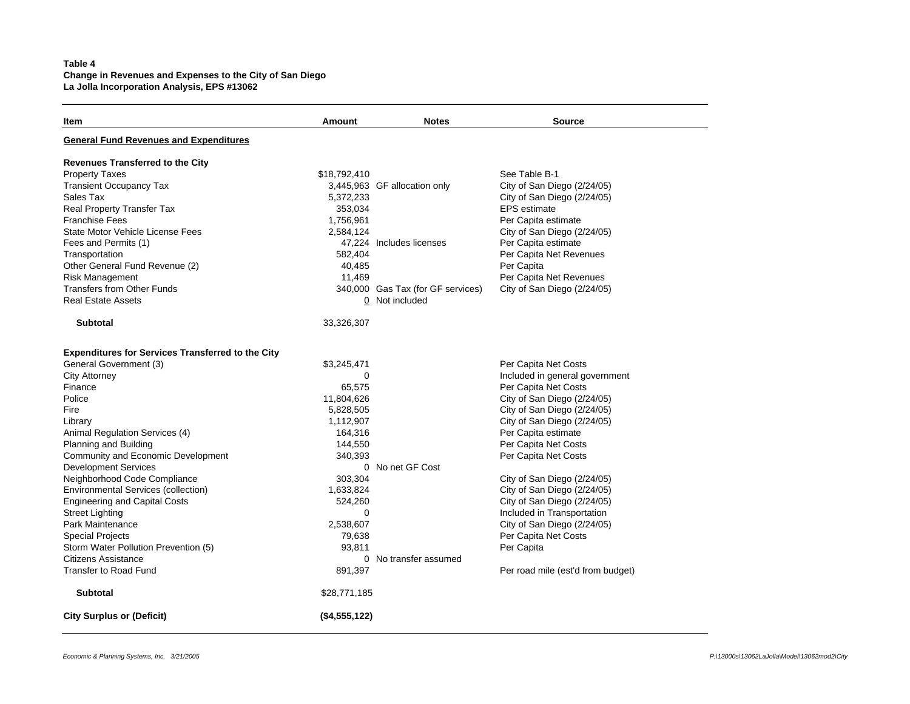# **Table 4 Change in Revenues and Expenses to the City of San Diego La Jolla Incorporation Analysis, EPS #13062**

| Item                                                     | Amount        | <b>Notes</b>                      | Source                            |  |  |  |
|----------------------------------------------------------|---------------|-----------------------------------|-----------------------------------|--|--|--|
| <b>General Fund Revenues and Expenditures</b>            |               |                                   |                                   |  |  |  |
| <b>Revenues Transferred to the City</b>                  |               |                                   |                                   |  |  |  |
| <b>Property Taxes</b>                                    | \$18,792,410  |                                   | See Table B-1                     |  |  |  |
| <b>Transient Occupancy Tax</b>                           |               | 3,445,963 GF allocation only      | City of San Diego (2/24/05)       |  |  |  |
| Sales Tax                                                | 5,372,233     |                                   | City of San Diego (2/24/05)       |  |  |  |
| Real Property Transfer Tax                               | 353,034       |                                   | <b>EPS</b> estimate               |  |  |  |
| <b>Franchise Fees</b>                                    | 1,756,961     |                                   | Per Capita estimate               |  |  |  |
| State Motor Vehicle License Fees                         | 2,584,124     |                                   | City of San Diego (2/24/05)       |  |  |  |
| Fees and Permits (1)                                     |               | 47,224 Includes licenses          | Per Capita estimate               |  |  |  |
| Transportation                                           | 582,404       |                                   | Per Capita Net Revenues           |  |  |  |
| Other General Fund Revenue (2)                           | 40,485        |                                   | Per Capita                        |  |  |  |
| <b>Risk Management</b>                                   | 11,469        |                                   | Per Capita Net Revenues           |  |  |  |
| <b>Transfers from Other Funds</b>                        |               | 340,000 Gas Tax (for GF services) | City of San Diego (2/24/05)       |  |  |  |
| <b>Real Estate Assets</b>                                |               | 0 Not included                    |                                   |  |  |  |
| <b>Subtotal</b>                                          | 33,326,307    |                                   |                                   |  |  |  |
| <b>Expenditures for Services Transferred to the City</b> |               |                                   |                                   |  |  |  |
| General Government (3)                                   | \$3,245,471   |                                   | Per Capita Net Costs              |  |  |  |
| <b>City Attorney</b>                                     | 0             |                                   | Included in general government    |  |  |  |
| Finance                                                  | 65,575        |                                   | Per Capita Net Costs              |  |  |  |
| Police                                                   | 11,804,626    |                                   | City of San Diego (2/24/05)       |  |  |  |
| Fire                                                     | 5,828,505     |                                   | City of San Diego (2/24/05)       |  |  |  |
| Library                                                  | 1,112,907     |                                   | City of San Diego (2/24/05)       |  |  |  |
| Animal Regulation Services (4)                           | 164,316       |                                   | Per Capita estimate               |  |  |  |
| Planning and Building                                    | 144,550       |                                   | Per Capita Net Costs              |  |  |  |
| Community and Economic Development                       | 340,393       |                                   | Per Capita Net Costs              |  |  |  |
| <b>Development Services</b>                              |               | 0 No net GF Cost                  |                                   |  |  |  |
| Neighborhood Code Compliance                             | 303,304       |                                   | City of San Diego (2/24/05)       |  |  |  |
| <b>Environmental Services (collection)</b>               | 1,633,824     |                                   | City of San Diego (2/24/05)       |  |  |  |
| <b>Engineering and Capital Costs</b>                     | 524,260       |                                   | City of San Diego (2/24/05)       |  |  |  |
| <b>Street Lighting</b>                                   | $\Omega$      |                                   | Included in Transportation        |  |  |  |
| Park Maintenance                                         | 2,538,607     |                                   | City of San Diego (2/24/05)       |  |  |  |
| <b>Special Projects</b>                                  | 79,638        |                                   | Per Capita Net Costs              |  |  |  |
| Storm Water Pollution Prevention (5)                     | 93,811        |                                   | Per Capita                        |  |  |  |
| <b>Citizens Assistance</b>                               |               | 0 No transfer assumed             |                                   |  |  |  |
| Transfer to Road Fund                                    | 891,397       |                                   | Per road mile (est'd from budget) |  |  |  |
| <b>Subtotal</b>                                          | \$28,771,185  |                                   |                                   |  |  |  |
| <b>City Surplus or (Deficit)</b>                         | (\$4,555,122) |                                   |                                   |  |  |  |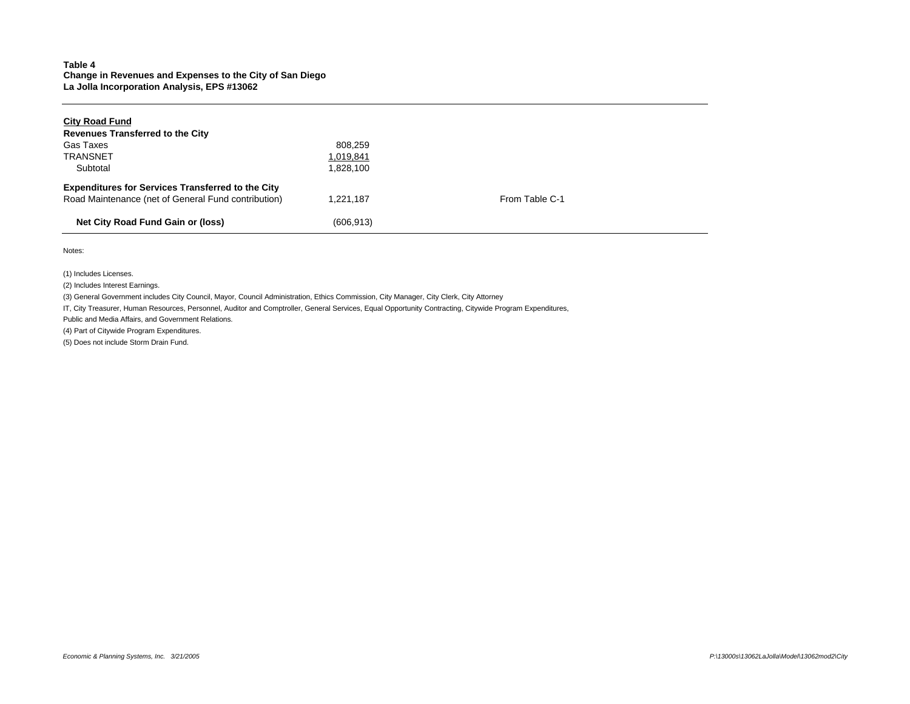## **Table 4 Change in Revenues and Expenses to the City of San Diego La Jolla Incorporation Analysis, EPS #13062**

| <b>City Road Fund</b>                                    |            |                |  |
|----------------------------------------------------------|------------|----------------|--|
| <b>Revenues Transferred to the City</b>                  |            |                |  |
| Gas Taxes                                                | 808.259    |                |  |
| <b>TRANSNET</b>                                          | 1,019,841  |                |  |
| Subtotal                                                 | 1.828.100  |                |  |
| <b>Expenditures for Services Transferred to the City</b> |            |                |  |
| Road Maintenance (net of General Fund contribution)      | 1.221.187  | From Table C-1 |  |
| Net City Road Fund Gain or (loss)                        | (606, 913) |                |  |

Notes:

(1) Includes Licenses.

(2) Includes Interest Earnings.

(3) General Government includes City Council, Mayor, Council Administration, Ethics Commission, City Manager, City Clerk, City Attorney

IT, City Treasurer, Human Resources, Personnel, Auditor and Comptroller, General Services, Equal Opportunity Contracting, Citywide Program Expenditures,

Public and Media Affairs, and Government Relations.

(4) Part of Citywide Program Expenditures.

(5) Does not include Storm Drain Fund.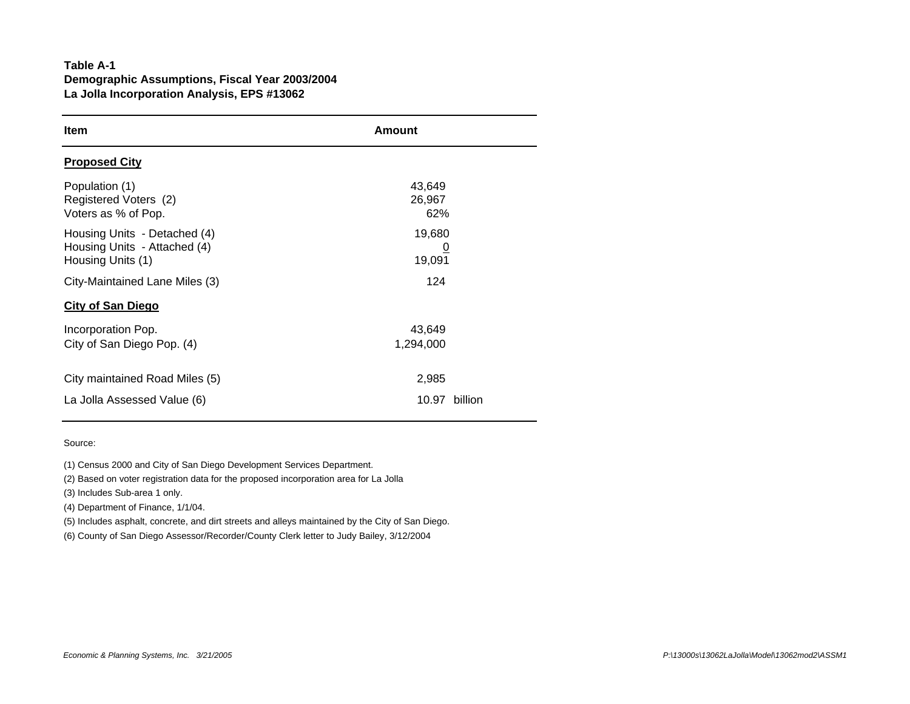# **Table A-1 Demographic Assumptions, Fiscal Year 2003/2004 La Jolla Incorporation Analysis, EPS #13062**

| <b>Item</b>                                                                       | Amount                       |  |  |  |  |  |
|-----------------------------------------------------------------------------------|------------------------------|--|--|--|--|--|
| <b>Proposed City</b>                                                              |                              |  |  |  |  |  |
| Population (1)<br>Registered Voters (2)<br>Voters as % of Pop.                    | 43,649<br>26,967<br>62%      |  |  |  |  |  |
| Housing Units - Detached (4)<br>Housing Units - Attached (4)<br>Housing Units (1) | 19,680<br><u>0</u><br>19,091 |  |  |  |  |  |
| City-Maintained Lane Miles (3)                                                    | 124                          |  |  |  |  |  |
| <b>City of San Diego</b>                                                          |                              |  |  |  |  |  |
| Incorporation Pop.<br>City of San Diego Pop. (4)                                  | 43,649<br>1,294,000          |  |  |  |  |  |
| City maintained Road Miles (5)                                                    | 2,985                        |  |  |  |  |  |
| La Jolla Assessed Value (6)                                                       | 10.97<br>billion             |  |  |  |  |  |

## Source:

(1) Census 2000 and City of San Diego Development Services Department.

(2) Based on voter registration data for the proposed incorporation area for La Jolla

(3) Includes Sub-area 1 only.

(4) Department of Finance, 1/1/04.

(5) Includes asphalt, concrete, and dirt streets and alleys maintained by the City of San Diego.

(6) County of San Diego Assessor/Recorder/County Clerk letter to Judy Bailey, 3/12/2004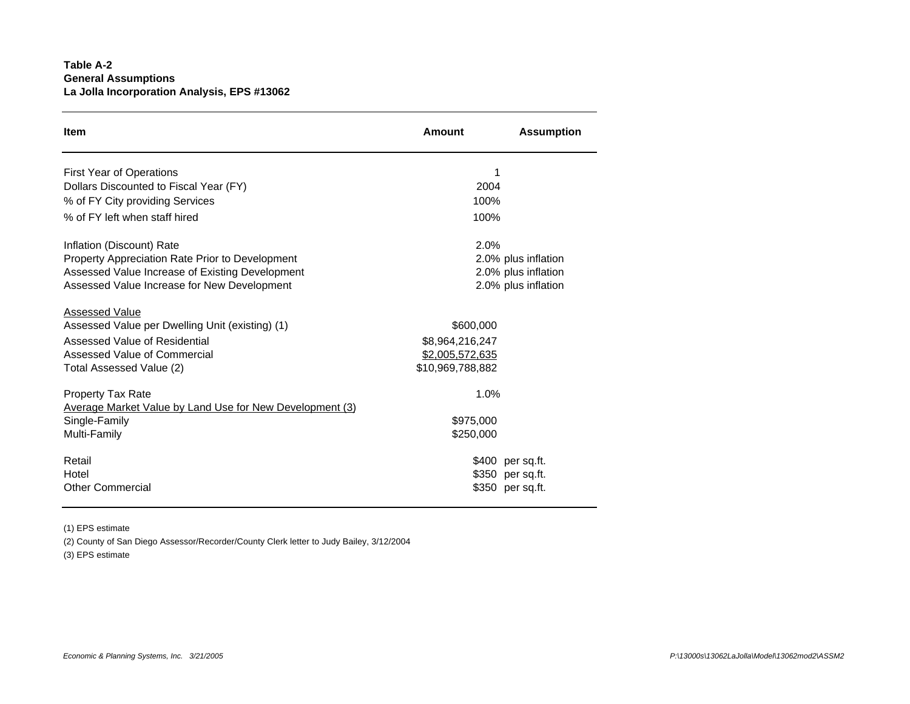# **Table A-2 General Assumptions La Jolla Incorporation Analysis, EPS #13062**

| <b>Item</b>                                              | Amount           | <b>Assumption</b>   |
|----------------------------------------------------------|------------------|---------------------|
| <b>First Year of Operations</b>                          | 1                |                     |
| Dollars Discounted to Fiscal Year (FY)                   | 2004             |                     |
| % of FY City providing Services                          | 100%             |                     |
| % of FY left when staff hired                            | 100%             |                     |
| Inflation (Discount) Rate                                | 2.0%             |                     |
| <b>Property Appreciation Rate Prior to Development</b>   |                  | 2.0% plus inflation |
| Assessed Value Increase of Existing Development          |                  | 2.0% plus inflation |
| Assessed Value Increase for New Development              |                  | 2.0% plus inflation |
| <b>Assessed Value</b>                                    |                  |                     |
| Assessed Value per Dwelling Unit (existing) (1)          | \$600,000        |                     |
| Assessed Value of Residential                            | \$8,964,216,247  |                     |
| Assessed Value of Commercial                             | \$2,005,572,635  |                     |
| Total Assessed Value (2)                                 | \$10,969,788,882 |                     |
| <b>Property Tax Rate</b>                                 | 1.0%             |                     |
| Average Market Value by Land Use for New Development (3) |                  |                     |
| Single-Family                                            | \$975,000        |                     |
| Multi-Family                                             | \$250,000        |                     |
| Retail                                                   |                  | \$400 per sq.ft.    |
| Hotel                                                    |                  | \$350 per sq.ft.    |
| <b>Other Commercial</b>                                  |                  | \$350 per sq.ft.    |

(1) EPS estimate

(2) County of San Diego Assessor/Recorder/County Clerk letter to Judy Bailey, 3/12/2004

(3) EPS estimate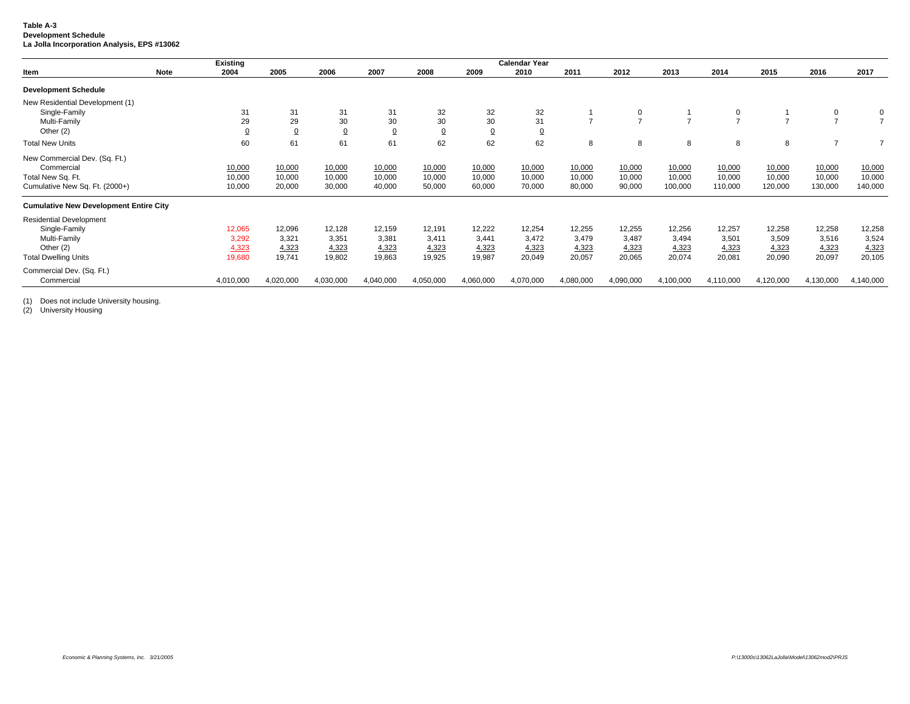#### **Table A-3 Development Schedule La Jolla Incorporation Analysis, EPS #13062**

|                                               | <b>Existing</b>     |                |                |                |                |                 | <b>Calendar Year</b> |                |                |                |                |                |                |           |
|-----------------------------------------------|---------------------|----------------|----------------|----------------|----------------|-----------------|----------------------|----------------|----------------|----------------|----------------|----------------|----------------|-----------|
| Item                                          | <b>Note</b><br>2004 | 2005           | 2006           | 2007           | 2008           | 2009            | 2010                 | 2011           | 2012           | 2013           | 2014           | 2015           | 2016           | 2017      |
| <b>Development Schedule</b>                   |                     |                |                |                |                |                 |                      |                |                |                |                |                |                |           |
| New Residential Development (1)               |                     |                |                |                |                |                 |                      |                |                |                |                |                |                |           |
| Single-Family                                 | 31                  | 31             | 31             | 31             | 32             | 32              | 32                   |                | 0              |                | 0              |                | 0              | 0         |
| Multi-Family                                  | 29                  | 29             | 30             | 30             | 30             | 30              | 31                   | $\overline{ }$ | $\overline{ }$ | $\overline{ }$ | $\overline{ }$ | $\overline{ }$ | $\overline{ }$ |           |
| Other (2)                                     |                     | $\overline{0}$ | $\overline{0}$ | $\overline{0}$ | $\overline{0}$ | $\underline{0}$ | $\overline{0}$       |                |                |                |                |                |                |           |
| <b>Total New Units</b>                        | 60                  | 61             | 61             | 61             | 62             | 62              | 62                   | 8              | 8              | 8              | 8              | 8              | $\overline{7}$ |           |
| New Commercial Dev. (Sq. Ft.)                 |                     |                |                |                |                |                 |                      |                |                |                |                |                |                |           |
| Commercial                                    | 10,000              | 10,000         | 10,000         | 10,000         | 10,000         | 10,000          | 10,000               | 10,000         | 10,000         | 10,000         | 10,000         | 10,000         | 10,000         | 10,000    |
| Total New Sq. Ft.                             | 10,000              | 10,000         | 10,000         | 10,000         | 10,000         | 10,000          | 10,000               | 10,000         | 10,000         | 10,000         | 10,000         | 10,000         | 10,000         | 10,000    |
| Cumulative New Sq. Ft. (2000+)                | 10,000              | 20,000         | 30,000         | 40,000         | 50,000         | 60,000          | 70,000               | 80,000         | 90,000         | 100,000        | 110,000        | 120,000        | 130,000        | 140,000   |
| <b>Cumulative New Development Entire City</b> |                     |                |                |                |                |                 |                      |                |                |                |                |                |                |           |
| <b>Residential Development</b>                |                     |                |                |                |                |                 |                      |                |                |                |                |                |                |           |
| Single-Family                                 | 12,065              | 12,096         | 12,128         | 12,159         | 12,191         | 12,222          | 12,254               | 12,255         | 12,255         | 12,256         | 12,257         | 12,258         | 12,258         | 12,258    |
| Multi-Family                                  | 3,292               | 3,321          | 3,351          | 3,381          | 3,411          | 3,441           | 3,472                | 3,479          | 3,487          | 3,494          | 3,501          | 3,509          | 3,516          | 3,524     |
| Other (2)                                     | 4,323               | 4,323          | 4,323          | 4,323          | 4,323          | 4,323           | 4,323                | 4,323          | 4,323          | 4,323          | 4,323          | 4,323          | 4,323          | 4,323     |
| <b>Total Dwelling Units</b>                   | 19,680              | 19,741         | 19,802         | 19,863         | 19,925         | 19,987          | 20,049               | 20,057         | 20,065         | 20,074         | 20,081         | 20,090         | 20,097         | 20,105    |
| Commercial Dev. (Sq. Ft.)                     |                     |                |                |                |                |                 |                      |                |                |                |                |                |                |           |
| Commercial                                    | 4,010,000           | 4,020,000      | 4,030,000      | 4,040,000      | 4,050,000      | 4,060,000       | 4,070,000            | 4,080,000      | 4,090,000      | 4,100,000      | 4,110,000      | 4,120,000      | 4,130,000      | 4,140,000 |

(1) Does not include University housing.

(2) University Housing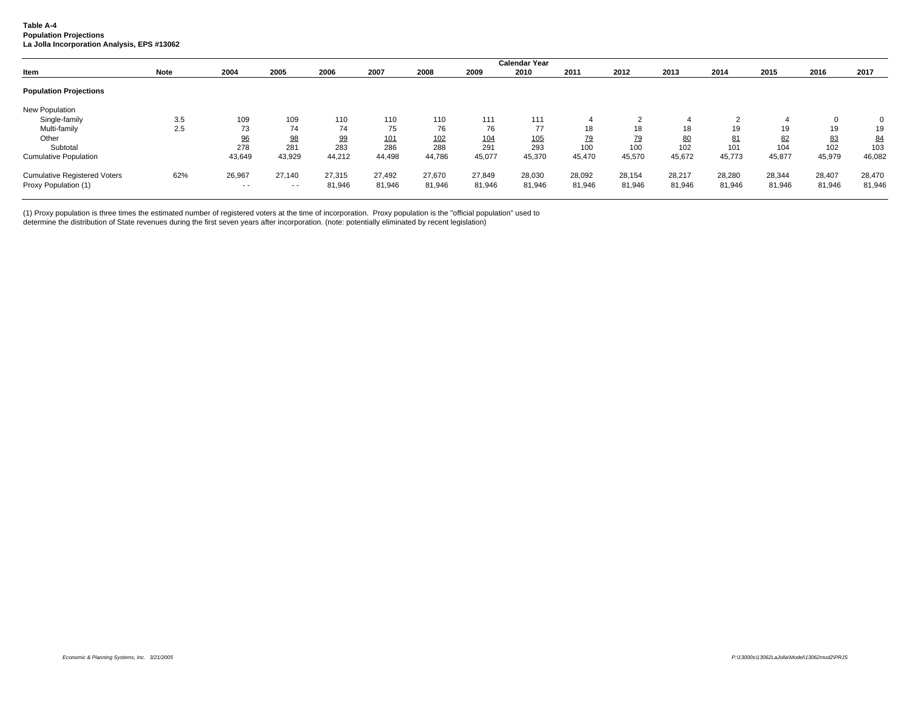#### **Table A-4 Population Projections La Jolla Incorporation Analysis, EPS #13062**

|                                     |             |        |        |        |        |        |        | <b>Calendar Year</b> |        |           |        |        |        |              |                |
|-------------------------------------|-------------|--------|--------|--------|--------|--------|--------|----------------------|--------|-----------|--------|--------|--------|--------------|----------------|
| Item                                | <b>Note</b> | 2004   | 2005   | 2006   | 2007   | 2008   | 2009   | 2010                 | 2011   | 2012      | 2013   | 2014   | 2015   | 2016         | 2017           |
| <b>Population Projections</b>       |             |        |        |        |        |        |        |                      |        |           |        |        |        |              |                |
| New Population                      |             |        |        |        |        |        |        |                      |        |           |        |        |        |              |                |
| Single-family                       | 3.5         | 109    | 109    | 110    | 110    | 110    | 111    | 111                  |        |           |        |        |        | $\mathbf{0}$ | $\overline{0}$ |
| Multi-family                        | 2.5         | 73     | 74     | 74     | 75     | 76     | 76     | 77                   | 18     | 18        | 18     | 19     | 19     | 19           | 19             |
| Other                               |             | 96     | 98     | 99     | 101    | 102    | 104    | 105                  | 79     | <u>79</u> | 80     | 81     | 82     | 83           | 84             |
| Subtotal                            |             | 278    | 281    | 283    | 286    | 288    | 291    | 293                  | 100    | 100       | 102    | 101    | 104    | 102          | 103            |
| <b>Cumulative Population</b>        |             | 43,649 | 43,929 | 44,212 | 44,498 | 44,786 | 45,077 | 45,370               | 45,470 | 45,570    | 45,672 | 45,773 | 45,877 | 45,979       | 46,082         |
| <b>Cumulative Registered Voters</b> | 62%         | 26,967 | 27.140 | 27.315 | 27.492 | 27.670 | 27,849 | 28,030               | 28,092 | 28,154    | 28,217 | 28,280 | 28,344 | 28,407       | 28,470         |
| Proxy Population (1)                |             | $ -$   | $ -$   | 81,946 | 81,946 | 81,946 | 81,946 | 81,946               | 81,946 | 81,946    | 81,946 | 81,946 | 81,946 | 81,946       | 81,946         |

(1) Proxy population is three times the estimated number of registered voters at the time of incorporation. Proxy population is the "official population" used to

determine the distribution of State revenues during the first seven years after incorporation. (note: potentially eliminated by recent legislation)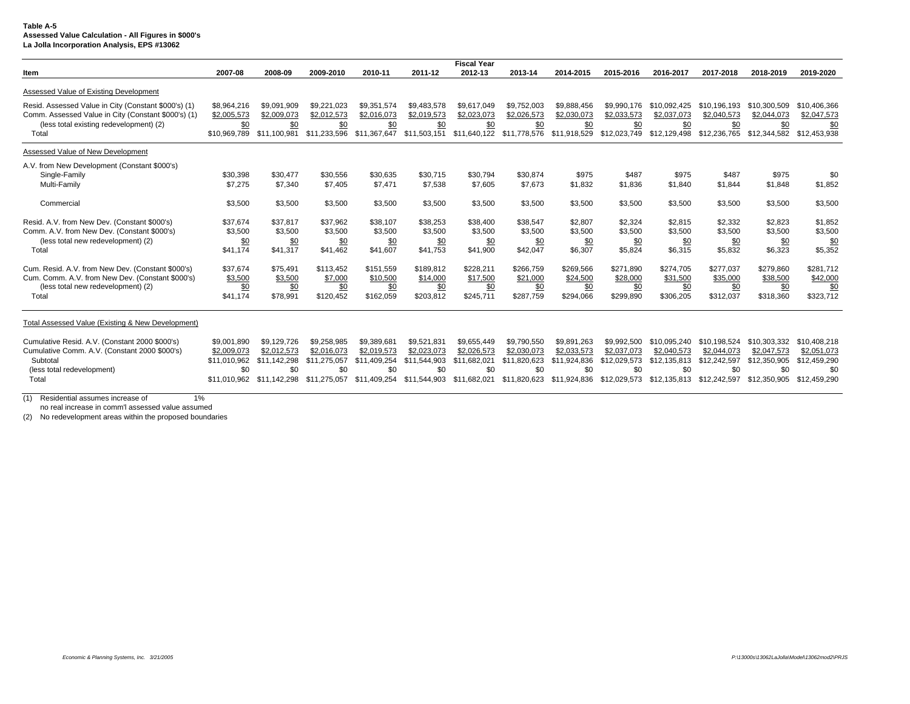#### **Table A-5 Assessed Value Calculation - All Figures in \$000's La Jolla Incorporation Analysis, EPS #13062**

|                                                                                                             |                             |                             |                             |                             |                             | <b>Fiscal Year</b>          |                             |                             |                             |                             |                             |                             |                             |
|-------------------------------------------------------------------------------------------------------------|-----------------------------|-----------------------------|-----------------------------|-----------------------------|-----------------------------|-----------------------------|-----------------------------|-----------------------------|-----------------------------|-----------------------------|-----------------------------|-----------------------------|-----------------------------|
| Item                                                                                                        | 2007-08                     | 2008-09                     | 2009-2010                   | 2010-11                     | 2011-12                     | 2012-13                     | 2013-14                     | 2014-2015                   | 2015-2016                   | 2016-2017                   | 2017-2018                   | 2018-2019                   | 2019-2020                   |
| Assessed Value of Existing Development                                                                      |                             |                             |                             |                             |                             |                             |                             |                             |                             |                             |                             |                             |                             |
| Resid. Assessed Value in City (Constant \$000's) (1)<br>Comm. Assessed Value in City (Constant \$000's) (1) | \$8,964,216<br>\$2,005,573  | \$9,091,909<br>\$2,009,073  | \$9,221,023<br>\$2,012,573  | \$9,351,574<br>\$2,016,073  | \$9,483,578<br>\$2,019,573  | \$9.617.049<br>\$2,023,073  | \$9,752,003<br>\$2,026,573  | \$9,888,456<br>\$2,030,073  | \$9,990,176<br>\$2,033,573  | \$10.092.425<br>\$2,037,073 | \$10.196.193<br>\$2,040,573 | \$10,300,509<br>\$2,044,073 | \$10,406,366<br>\$2,047,573 |
| (less total existing redevelopment) (2)<br>Total                                                            | \$0<br>\$10.969.789         | \$0<br>\$11,100.981         | \$0<br>\$11.233.596         | \$0<br>\$11,367,647         | \$0<br>\$11.503.151         | \$0<br>\$11,640,122         | \$0<br>\$11,778,576         | \$0<br>\$11,918,529         | \$0<br>\$12,023,749         | \$0<br>\$12.129.498         | \$0<br>\$12,236,765         | \$0<br>\$12,344,582         | \$0<br>\$12,453,938         |
| Assessed Value of New Development                                                                           |                             |                             |                             |                             |                             |                             |                             |                             |                             |                             |                             |                             |                             |
| A.V. from New Development (Constant \$000's)<br>Single-Family                                               | \$30.398                    | \$30.477                    | \$30,556                    | \$30.635                    | \$30,715                    | \$30.794                    | \$30,874                    | \$975                       | \$487                       | \$975                       | \$487                       | \$975                       | \$0                         |
| Multi-Family                                                                                                | \$7,275                     | \$7,340                     | \$7,405                     | \$7.471                     | \$7,538                     | \$7,605                     | \$7,673                     | \$1.832                     | \$1,836                     | \$1.840                     | \$1,844                     | \$1.848                     | \$1,852                     |
| Commercial                                                                                                  | \$3,500                     | \$3,500                     | \$3,500                     | \$3,500                     | \$3,500                     | \$3,500                     | \$3,500                     | \$3,500                     | \$3,500                     | \$3,500                     | \$3,500                     | \$3,500                     | \$3,500                     |
| Resid. A.V. from New Dev. (Constant \$000's)                                                                | \$37.674                    | \$37.817                    | \$37,962                    | \$38.107                    | \$38,253                    | \$38,400                    | \$38,547                    | \$2.807                     | \$2,324<br>\$3.500          | \$2.815<br>\$3.500          | \$2,332                     | \$2.823<br>\$3.500          | \$1,852                     |
| Comm. A.V. from New Dev. (Constant \$000's)<br>(less total new redevelopment) (2)                           | \$3,500<br>\$0              | \$3,500<br>\$0              | \$3,500<br>\$0              | \$3,500<br>\$0              | \$3,500<br>\$0              | \$3,500<br>\$0              | \$3,500<br>\$0              | \$3.500<br>\$0              | \$0                         | \$0                         | \$3,500<br>\$0              | \$0                         | \$3,500<br>\$0              |
| Total                                                                                                       | \$41.174                    | \$41,317                    | \$41.462                    | \$41,607                    | \$41.753                    | \$41.900                    | \$42,047                    | \$6,307                     | \$5,824                     | \$6.315                     | \$5,832                     | \$6.323                     | \$5,352                     |
| Cum. Resid. A.V. from New Dev. (Constant \$000's)<br>Cum. Comm. A.V. from New Dev. (Constant \$000's)       | \$37,674<br>\$3,500         | \$75,491<br>\$3,500         | \$113,452<br>\$7,000        | \$151,559<br>\$10,500       | \$189,812<br>\$14,000       | \$228,211<br>\$17,500       | \$266,759<br>\$21,000       | \$269,566<br>\$24,500       | \$271,890<br>\$28,000       | \$274,705<br>\$31,500       | \$277,037<br>\$35,000       | \$279,860<br>\$38,500       | \$281.712<br>\$42,000       |
| (less total new redevelopment) (2)<br>Total                                                                 | \$0<br>\$41,174             | \$0<br>\$78,991             | \$0<br>\$120,452            | \$0<br>\$162,059            | \$0<br>\$203,812            | \$0<br>\$245,711            | \$0<br>\$287,759            | \$0<br>\$294,066            | \$0<br>\$299,890            | \$0<br>\$306,205            | \$0<br>\$312,037            | \$0<br>\$318,360            | \$0<br>\$323,712            |
|                                                                                                             |                             |                             |                             |                             |                             |                             |                             |                             |                             |                             |                             |                             |                             |
| Total Assessed Value (Existing & New Development)                                                           |                             |                             |                             |                             |                             |                             |                             |                             |                             |                             |                             |                             |                             |
| Cumulative Resid. A.V. (Constant 2000 \$000's)                                                              | \$9,001.890                 | \$9,129,726                 | \$9.258.985                 | \$9.389.68                  | \$9.521.831                 | \$9.655,449                 | \$9.790.550                 | \$9.891.263                 | \$9.992.500                 | \$10.095.240                | \$10.198.524                | \$10,303,332                | \$10,408,218                |
| Cumulative Comm. A.V. (Constant 2000 \$000's)<br>Subtotal                                                   | \$2,009.073<br>\$11,010,962 | \$2.012.573<br>\$11.142.298 | \$2.016.073<br>\$11,275,057 | \$2.019.573<br>\$11.409.254 | \$2.023.073<br>\$11.544.903 | \$2.026.573<br>\$11.682.021 | \$2,030,073<br>\$11.820.623 | \$2.033.573<br>\$11.924.836 | \$2,037,073<br>\$12,029,573 | \$2.040.573<br>\$12.135.813 | \$2,044,073<br>\$12,242,597 | \$2.047.573<br>\$12,350,905 | \$2.051.073<br>\$12,459,290 |
| (less total redevelopment)<br>Total                                                                         | \$0<br>\$11.010.962         | \$0<br>\$11.142.298         | \$0<br>\$11.275.057         | \$0<br>\$11.409.254         | \$0<br>\$11.544.903         | \$0<br>\$11.682.021         | \$0<br>\$11.820.623         | \$0<br>\$11.924.836         | \$0<br>\$12.029.573         | \$0<br>\$12.135.813         | \$0<br>\$12,242,597         | \$0<br>\$12,350,905         | \$0<br>\$12,459,290         |
|                                                                                                             |                             |                             |                             |                             |                             |                             |                             |                             |                             |                             |                             |                             |                             |

(1) Residential assumes increase of 1%

no real increase in comm'l assessed value assumed

(2) No redevelopment areas within the proposed boundaries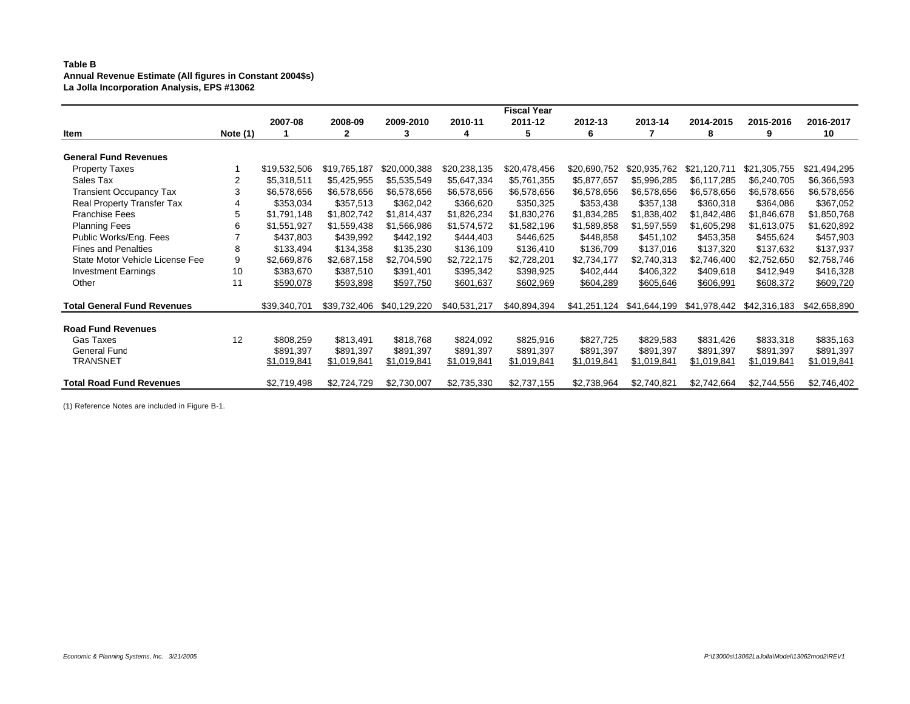## **Table B Annual Revenue Estimate (All figures in Constant 2004\$s) La Jolla Incorporation Analysis, EPS #13062**

|                                    |            |              |              |              |              | <b>Fiscal Year</b> |              |              |              |              |              |
|------------------------------------|------------|--------------|--------------|--------------|--------------|--------------------|--------------|--------------|--------------|--------------|--------------|
|                                    |            | 2007-08      | 2008-09      | 2009-2010    | 2010-11      | 2011-12            | 2012-13      | 2013-14      | 2014-2015    | 2015-2016    | 2016-2017    |
| Item                               | Note $(1)$ |              | 2            | 3            | 4            | 5                  | 6            |              | 8            | 9            | 10           |
|                                    |            |              |              |              |              |                    |              |              |              |              |              |
| <b>General Fund Revenues</b>       |            |              |              |              |              |                    |              |              |              |              |              |
| <b>Property Taxes</b>              |            | \$19,532,506 | \$19,765,187 | \$20,000,388 | \$20,238,135 | \$20,478,456       | \$20,690,752 | \$20,935,762 | \$21,120,711 | \$21,305,755 | \$21,494,295 |
| Sales Tax                          | 2          | \$5,318,511  | \$5,425,955  | \$5,535,549  | \$5,647,334  | \$5,761,355        | \$5,877,657  | \$5,996,285  | \$6,117,285  | \$6,240,705  | \$6,366,593  |
| <b>Transient Occupancy Tax</b>     | 3          | \$6,578,656  | \$6,578,656  | \$6,578,656  | \$6,578,656  | \$6,578,656        | \$6,578,656  | \$6,578,656  | \$6,578,656  | \$6,578,656  | \$6,578,656  |
| Real Property Transfer Tax         |            | \$353,034    | \$357,513    | \$362,042    | \$366,620    | \$350,325          | \$353,438    | \$357,138    | \$360,318    | \$364,086    | \$367,052    |
| <b>Franchise Fees</b>              | 5          | \$1,791,148  | \$1,802,742  | \$1,814,437  | \$1,826,234  | \$1,830,276        | \$1,834,285  | \$1,838,402  | \$1,842,486  | \$1,846,678  | \$1,850,768  |
| <b>Planning Fees</b>               | 6          | \$1,551,927  | \$1,559,438  | \$1,566,986  | \$1,574,572  | \$1,582,196        | \$1,589,858  | \$1,597,559  | \$1,605,298  | \$1,613,075  | \$1,620,892  |
| Public Works/Eng. Fees             |            | \$437,803    | \$439,992    | \$442,192    | \$444,403    | \$446,625          | \$448,858    | \$451,102    | \$453,358    | \$455,624    | \$457,903    |
| <b>Fines and Penalties</b>         | 8          | \$133,494    | \$134,358    | \$135,230    | \$136,109    | \$136,410          | \$136,709    | \$137,016    | \$137,320    | \$137,632    | \$137,937    |
| State Motor Vehicle License Fee    | 9          | \$2,669,876  | \$2,687,158  | \$2,704,590  | \$2,722,175  | \$2,728,201        | \$2,734,177  | \$2,740,313  | \$2,746,400  | \$2,752,650  | \$2,758,746  |
| <b>Investment Earnings</b>         | 10         | \$383,670    | \$387,510    | \$391,401    | \$395,342    | \$398,925          | \$402,444    | \$406,322    | \$409,618    | \$412,949    | \$416,328    |
| Other                              | 11         | \$590,078    | \$593,898    | \$597,750    | \$601,637    | \$602,969          | \$604,289    | \$605,646    | \$606,991    | \$608,372    | \$609,720    |
| <b>Total General Fund Revenues</b> |            | \$39,340,701 | \$39,732,406 | \$40,129,220 | \$40,531,217 | \$40,894,394       | \$41,251,124 | \$41,644,199 | \$41,978,442 | \$42,316,183 | \$42,658,890 |
| <b>Road Fund Revenues</b>          |            |              |              |              |              |                    |              |              |              |              |              |
| Gas Taxes                          | 12         | \$808,259    | \$813,491    | \$818,768    | \$824,092    | \$825,916          | \$827,725    | \$829,583    | \$831,426    | \$833,318    | \$835,163    |
| General Func                       |            | \$891,397    | \$891,397    | \$891,397    | \$891,397    | \$891,397          | \$891,397    | \$891,397    | \$891,397    | \$891,397    | \$891,397    |
| <b>TRANSNET</b>                    |            | \$1,019,841  | \$1,019,841  | \$1,019,841  | \$1,019,841  | \$1,019,841        | \$1,019,841  | \$1,019,841  | \$1,019,841  | \$1,019,841  | \$1,019,841  |
|                                    |            |              |              |              |              |                    |              |              |              |              |              |
| <b>Total Road Fund Revenues</b>    |            | \$2,719,498  | \$2,724,729  | \$2,730,007  | \$2,735,330  | \$2,737,155        | \$2,738,964  | \$2,740,821  | \$2,742,664  | \$2,744,556  | \$2,746,402  |

(1) Reference Notes are included in Figure B-1.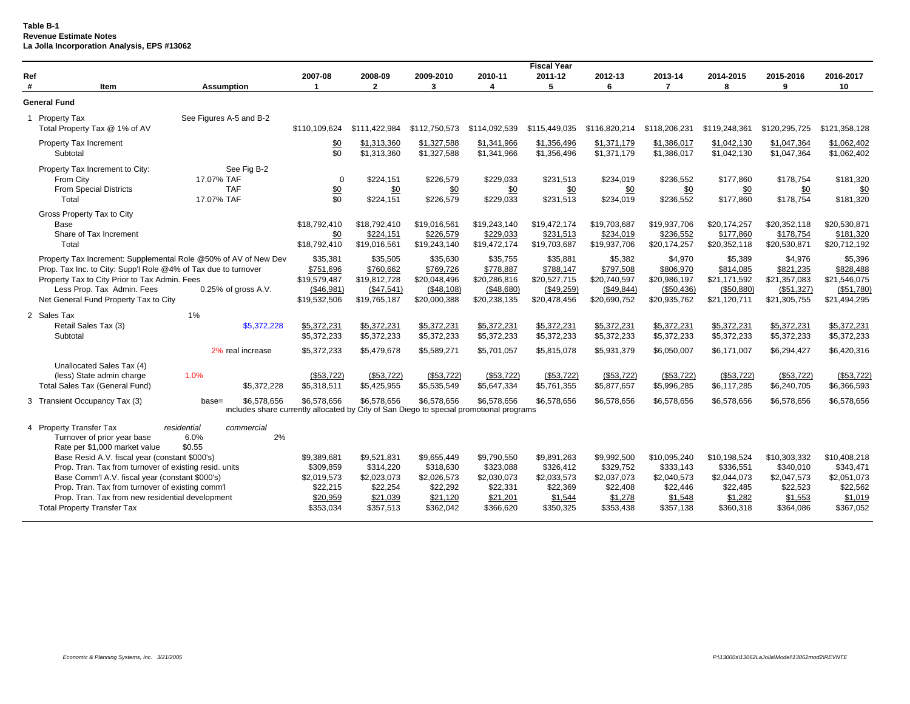**Table B-1 Revenue Estimate Notes La Jolla Incorporation Analysis, EPS #13062**

|          |                                                                                                                                                                                                                                                                                                           |                                                       |                                                                                                        |                                                                              |                                                                              |                                                                              | <b>Fiscal Year</b>                                                          |                                                                             |                                                                              |                                                                              |                                                                              |                                                                              |
|----------|-----------------------------------------------------------------------------------------------------------------------------------------------------------------------------------------------------------------------------------------------------------------------------------------------------------|-------------------------------------------------------|--------------------------------------------------------------------------------------------------------|------------------------------------------------------------------------------|------------------------------------------------------------------------------|------------------------------------------------------------------------------|-----------------------------------------------------------------------------|-----------------------------------------------------------------------------|------------------------------------------------------------------------------|------------------------------------------------------------------------------|------------------------------------------------------------------------------|------------------------------------------------------------------------------|
| Ref<br># | Item                                                                                                                                                                                                                                                                                                      | <b>Assumption</b>                                     | 2007-08<br>1                                                                                           | 2008-09<br>$\mathbf{2}$                                                      | 2009-2010<br>3                                                               | 2010-11<br>4                                                                 | 2011-12<br>5                                                                | 2012-13<br>6                                                                | 2013-14<br>7                                                                 | 2014-2015<br>8                                                               | 2015-2016<br>9                                                               | 2016-2017<br>10                                                              |
|          | <b>General Fund</b>                                                                                                                                                                                                                                                                                       |                                                       |                                                                                                        |                                                                              |                                                                              |                                                                              |                                                                             |                                                                             |                                                                              |                                                                              |                                                                              |                                                                              |
|          | 1 Property Tax<br>Total Property Tax @ 1% of AV                                                                                                                                                                                                                                                           | See Figures A-5 and B-2                               | \$110,109,624                                                                                          | \$111,422,984                                                                | \$112,750,573                                                                | \$114,092,539                                                                | \$115,449,035                                                               | \$116,820,214                                                               | \$118,206,231                                                                | \$119,248,361                                                                | \$120,295,725                                                                | \$121.358.128                                                                |
|          | Property Tax Increment<br>Subtotal                                                                                                                                                                                                                                                                        |                                                       | \$0<br>\$0                                                                                             | \$1,313,360<br>\$1,313,360                                                   | \$1,327,588<br>\$1,327,588                                                   | \$1,341,966<br>\$1,341,966                                                   | \$1,356,496<br>\$1,356,496                                                  | \$1,371,179<br>\$1,371,179                                                  | \$1,386,017<br>\$1,386,017                                                   | \$1.042.130<br>\$1,042,130                                                   | \$1,047,364<br>\$1,047,364                                                   | \$1,062,402<br>\$1,062,402                                                   |
|          | Property Tax Increment to City:<br>From City<br><b>From Special Districts</b><br>Total                                                                                                                                                                                                                    | See Fig B-2<br>17.07% TAF<br><b>TAF</b><br>17.07% TAF | $\mathbf 0$<br>\$0<br>\$0                                                                              | \$224,151<br>\$0<br>\$224,151                                                | \$226,579<br>\$0<br>\$226,579                                                | \$229,033<br>\$0<br>\$229,033                                                | \$231,513<br>\$0<br>\$231,513                                               | \$234,019<br>\$0<br>\$234,019                                               | \$236,552<br>\$0<br>\$236,552                                                | \$177,860<br>\$0<br>\$177,860                                                | \$178,754<br>\$0<br>\$178,754                                                | \$181,320<br>\$0<br>\$181,320                                                |
|          | Gross Property Tax to City<br>Base<br>Share of Tax Increment<br>Total                                                                                                                                                                                                                                     |                                                       | \$18,792,410<br>\$0<br>\$18,792,410                                                                    | \$18,792,410<br>\$224.151<br>\$19,016,561                                    | \$19,016,561<br>\$226.579<br>\$19,243,140                                    | \$19,243,140<br>\$229.033<br>\$19,472,174                                    | \$19,472,174<br>\$231.513<br>\$19,703,687                                   | \$19,703,687<br>\$234,019<br>\$19,937,706                                   | \$19,937,706<br>\$236,552<br>\$20,174,257                                    | \$20,174,257<br>\$177.860<br>\$20,352,118                                    | \$20,352,118<br>\$178,754<br>\$20,530,871                                    | \$20,530,871<br>\$181,320<br>\$20,712,192                                    |
|          | Property Tax Increment: Supplemental Role @50% of AV of New Dev<br>Prop. Tax Inc. to City: Supp'l Role @4% of Tax due to turnover<br>Property Tax to City Prior to Tax Admin. Fees<br>Less Prop. Tax Admin. Fees<br>Net General Fund Property Tax to City                                                 | 0.25% of gross A.V.                                   | \$35,381<br>\$751,696<br>\$19,579,487<br>(\$46,981)<br>\$19,532,506                                    | \$35,505<br>\$760,662<br>\$19,812,728<br>(\$47,541)<br>\$19,765,187          | \$35,630<br>\$769,726<br>\$20,048,496<br>(\$48,108)<br>\$20,000,388          | \$35,755<br>\$778,887<br>\$20,286,816<br>(\$48,680)<br>\$20,238,135          | \$35,881<br>\$788,147<br>\$20,527,715<br>(\$49,259)<br>\$20,478,456         | \$5,382<br>\$797,508<br>\$20,740,597<br>(\$49,844)<br>\$20,690,752          | \$4,970<br>\$806,970<br>\$20,986,197<br>(\$50,436)<br>\$20,935,762           | \$5,389<br>\$814,085<br>\$21,171,592<br>(\$50,880)<br>\$21,120,711           | \$4,976<br>\$821,235<br>\$21,357,083<br>(\$51,327)<br>\$21,305,755           | \$5,396<br>\$828,488<br>\$21.546.075<br>(\$51,780)<br>\$21,494,295           |
|          | 2 Sales Tax<br>Retail Sales Tax (3)<br>Subtotal                                                                                                                                                                                                                                                           | 1%<br>\$5,372,228                                     | \$5,372,231<br>\$5,372,233                                                                             | \$5,372,231<br>\$5,372,233                                                   | \$5,372,231<br>\$5,372,233                                                   | \$5,372,231<br>\$5,372,233                                                   | \$5,372,231<br>\$5,372,233                                                  | \$5.372.231<br>\$5,372,233                                                  | \$5,372,231<br>\$5,372,233                                                   | \$5,372,231<br>\$5,372,233                                                   | \$5,372,231<br>\$5,372,233                                                   | \$5,372,231<br>\$5,372,233                                                   |
|          |                                                                                                                                                                                                                                                                                                           | 2% real increase                                      | \$5,372,233                                                                                            | \$5,479,678                                                                  | \$5,589,271                                                                  | \$5,701,057                                                                  | \$5,815,078                                                                 | \$5,931,379                                                                 | \$6,050,007                                                                  | \$6,171,007                                                                  | \$6,294,427                                                                  | \$6,420,316                                                                  |
|          | Unallocated Sales Tax (4)<br>(less) State admin charge<br>Total Sales Tax (General Fund)                                                                                                                                                                                                                  | 1.0%<br>\$5,372,228                                   | (\$53,722)<br>\$5,318,511                                                                              | (\$53,722)<br>\$5,425,955                                                    | (\$53,722)<br>\$5,535,549                                                    | (\$53,722)<br>\$5,647,334                                                    | (\$53,722)<br>\$5,761,355                                                   | (\$53,722)<br>\$5,877,657                                                   | (\$53,722)<br>\$5,996,285                                                    | (\$53,722)<br>\$6,117,285                                                    | (\$53,722)<br>\$6,240,705                                                    | (\$53,722)<br>\$6,366,593                                                    |
|          | 3 Transient Occupancy Tax (3)                                                                                                                                                                                                                                                                             | \$6,578,656<br>$base =$                               | \$6,578,656<br>includes share currently allocated by City of San Diego to special promotional programs | \$6,578,656                                                                  | \$6,578,656                                                                  | \$6,578,656                                                                  | \$6,578,656                                                                 | \$6,578,656                                                                 | \$6,578,656                                                                  | \$6,578,656                                                                  | \$6,578,656                                                                  | \$6,578,656                                                                  |
|          | 4 Property Transfer Tax<br>Turnover of prior year base<br>Rate per \$1,000 market value                                                                                                                                                                                                                   | residential<br>commercial<br>2%<br>6.0%<br>\$0.55     |                                                                                                        |                                                                              |                                                                              |                                                                              |                                                                             |                                                                             |                                                                              |                                                                              |                                                                              |                                                                              |
|          | Base Resid A.V. fiscal year (constant \$000's)<br>Prop. Tran. Tax from turnover of existing resid. units<br>Base Comm'l A.V. fiscal year (constant \$000's)<br>Prop. Tran. Tax from turnover of existing comm'l<br>Prop. Tran. Tax from new residential development<br><b>Total Property Transfer Tax</b> |                                                       | \$9,389,681<br>\$309,859<br>\$2,019,573<br>\$22,215<br>\$20,959<br>\$353,034                           | \$9,521,831<br>\$314,220<br>\$2,023,073<br>\$22,254<br>\$21,039<br>\$357,513 | \$9,655,449<br>\$318,630<br>\$2,026,573<br>\$22,292<br>\$21,120<br>\$362,042 | \$9,790,550<br>\$323,088<br>\$2,030,073<br>\$22,331<br>\$21,201<br>\$366,620 | \$9,891,263<br>\$326,412<br>\$2,033,573<br>\$22,369<br>\$1,544<br>\$350,325 | \$9,992,500<br>\$329,752<br>\$2,037,073<br>\$22,408<br>\$1,278<br>\$353,438 | \$10,095,240<br>\$333,143<br>\$2,040,573<br>\$22,446<br>\$1,548<br>\$357,138 | \$10,198,524<br>\$336,551<br>\$2,044,073<br>\$22,485<br>\$1,282<br>\$360,318 | \$10,303,332<br>\$340,010<br>\$2,047,573<br>\$22,523<br>\$1,553<br>\$364,086 | \$10,408,218<br>\$343,471<br>\$2,051,073<br>\$22,562<br>\$1,019<br>\$367,052 |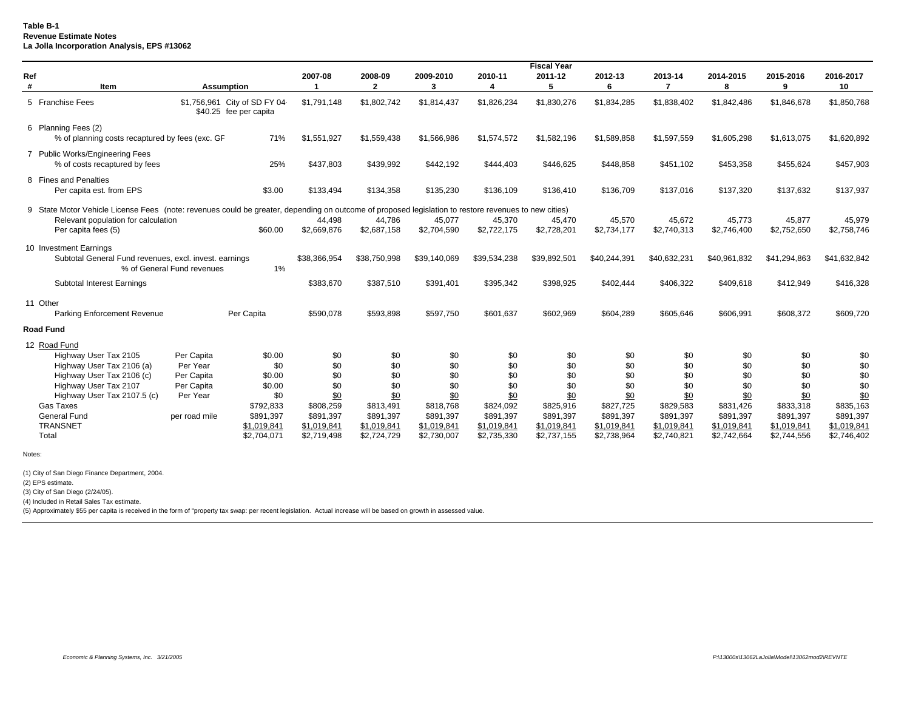## **Table B-1 Revenue Estimate Notes La Jolla Incorporation Analysis, EPS #13062**

|          |                                                                                                                                                      |                            |                                                         |              |              |                |              | <b>Fiscal Year</b> |              |              |                |                |                 |
|----------|------------------------------------------------------------------------------------------------------------------------------------------------------|----------------------------|---------------------------------------------------------|--------------|--------------|----------------|--------------|--------------------|--------------|--------------|----------------|----------------|-----------------|
| Ref<br># | Item                                                                                                                                                 |                            | <b>Assumption</b>                                       | 2007-08      | 2008-09<br>2 | 2009-2010<br>3 | 2010-11      | 2011-12<br>5       | 2012-13<br>6 | 2013-14      | 2014-2015<br>8 | 2015-2016<br>9 | 2016-2017<br>10 |
|          | 5 Franchise Fees                                                                                                                                     |                            | \$1,756,961 City of SD FY 04-<br>\$40.25 fee per capita | \$1,791,148  | \$1,802,742  | \$1,814,437    | \$1,826,234  | \$1,830,276        | \$1,834,285  | \$1,838,402  | \$1,842,486    | \$1,846,678    | \$1,850,768     |
|          | 6 Planning Fees (2)<br>% of planning costs recaptured by fees (exc. GF                                                                               |                            | 71%                                                     | \$1,551,927  | \$1,559,438  | \$1,566,986    | \$1,574,572  | \$1,582,196        | \$1,589,858  | \$1,597,559  | \$1,605,298    | \$1,613,075    | \$1,620,892     |
|          | 7 Public Works/Engineering Fees<br>% of costs recaptured by fees                                                                                     |                            | 25%                                                     | \$437,803    | \$439,992    | \$442,192      | \$444,403    | \$446,625          | \$448,858    | \$451,102    | \$453,358      | \$455,624      | \$457,903       |
|          | 8 Fines and Penalties<br>Per capita est. from EPS                                                                                                    |                            | \$3.00                                                  | \$133,494    | \$134,358    | \$135,230      | \$136,109    | \$136.410          | \$136,709    | \$137,016    | \$137,320      | \$137,632      | \$137,937       |
|          | 9 State Motor Vehicle License Fees (note: revenues could be greater, depending on outcome of proposed legislation to restore revenues to new cities) |                            |                                                         |              |              |                |              |                    |              |              |                |                |                 |
|          | Relevant population for calculation                                                                                                                  |                            |                                                         | 44,498       | 44.786       | 45,077         | 45,370       | 45,470             | 45,570       | 45,672       | 45,773         | 45,877         | 45,979          |
|          | Per capita fees (5)                                                                                                                                  |                            | \$60.00                                                 | \$2,669,876  | \$2,687,158  | \$2,704,590    | \$2,722,175  | \$2,728,201        | \$2,734,177  | \$2,740,313  | \$2,746,400    | \$2,752,650    | \$2,758,746     |
|          | 10 Investment Earnings<br>Subtotal General Fund revenues, excl. invest. earnings                                                                     | % of General Fund revenues | 1%                                                      | \$38,366,954 | \$38,750,998 | \$39,140,069   | \$39,534,238 | \$39,892,501       | \$40,244,391 | \$40,632,231 | \$40,961,832   | \$41,294,863   | \$41,632,842    |
|          | Subtotal Interest Earnings                                                                                                                           |                            |                                                         | \$383,670    | \$387,510    | \$391,401      | \$395,342    | \$398,925          | \$402,444    | \$406,322    | \$409,618      | \$412,949      | \$416,328       |
|          | 11 Other<br>Parking Enforcement Revenue                                                                                                              |                            | Per Capita                                              | \$590,078    | \$593,898    | \$597,750      | \$601.637    | \$602,969          | \$604,289    | \$605,646    | \$606,991      | \$608,372      | \$609,720       |
|          | <b>Road Fund</b>                                                                                                                                     |                            |                                                         |              |              |                |              |                    |              |              |                |                |                 |
|          | 12 Road Fund                                                                                                                                         |                            |                                                         |              |              |                |              |                    |              |              |                |                |                 |
|          | Highway User Tax 2105                                                                                                                                | Per Capita                 | \$0.00                                                  | \$0          | \$0          | \$0            | \$0          | \$0                | \$0          | \$0          | \$0            | \$0            | \$0             |
|          | Highway User Tax 2106 (a)                                                                                                                            | Per Year                   | \$0                                                     | \$0          | \$0          | \$0            | \$0          | \$0                | \$0          | \$0          | \$0            | \$0            | \$0             |
|          | Highway User Tax 2106 (c)                                                                                                                            | Per Capita                 | \$0.00                                                  | \$0          | \$0          | \$0            | \$0          | \$0                | \$0          | \$0          | \$0            | \$0            | \$0             |
|          | Highway User Tax 2107                                                                                                                                | Per Capita                 | \$0.00                                                  | \$0          | \$0          | \$0            | \$0          | \$0                | \$0          | \$0          | \$0            | \$0            | \$0             |
|          | Highway User Tax 2107.5 (c)                                                                                                                          | Per Year                   | \$0                                                     | \$0          | \$0          | \$0            | \$0          | \$0                | \$0          | \$0          | \$0            | \$0            | \$0             |
|          | Gas Taxes                                                                                                                                            |                            | \$792,833                                               | \$808,259    | \$813,491    | \$818,768      | \$824.092    | \$825,916          | \$827.725    | \$829,583    | \$831.426      | \$833,318      | \$835,163       |
|          | <b>General Fund</b>                                                                                                                                  | per road mile              | \$891,397                                               | \$891,397    | \$891,397    | \$891,397      | \$891,397    | \$891,397          | \$891,397    | \$891,397    | \$891,397      | \$891,397      | \$891,397       |
|          | <b>TRANSNET</b>                                                                                                                                      |                            | \$1,019,841                                             | \$1,019,841  | \$1,019,841  | \$1,019,841    | \$1,019,841  | \$1,019,841        | \$1,019,841  | \$1,019,841  | \$1,019,841    | \$1,019,841    | \$1,019,841     |
|          | Total                                                                                                                                                |                            | \$2,704,071                                             | \$2,719,498  | \$2,724,729  | \$2,730,007    | \$2,735,330  | \$2,737,155        | \$2,738,964  | \$2,740,821  | \$2,742,664    | \$2,744,556    | \$2,746,402     |

Notes:

(1) City of San Diego Finance Department, 2004.

(2) EPS estimate.

(3) City of San Diego (2/24/05).

(4) Included in Retail Sales Tax estimate.

(5) Approximately \$55 per capita is received in the form of "property tax swap: per recent legislation. Actual increase will be based on growth in assessed value.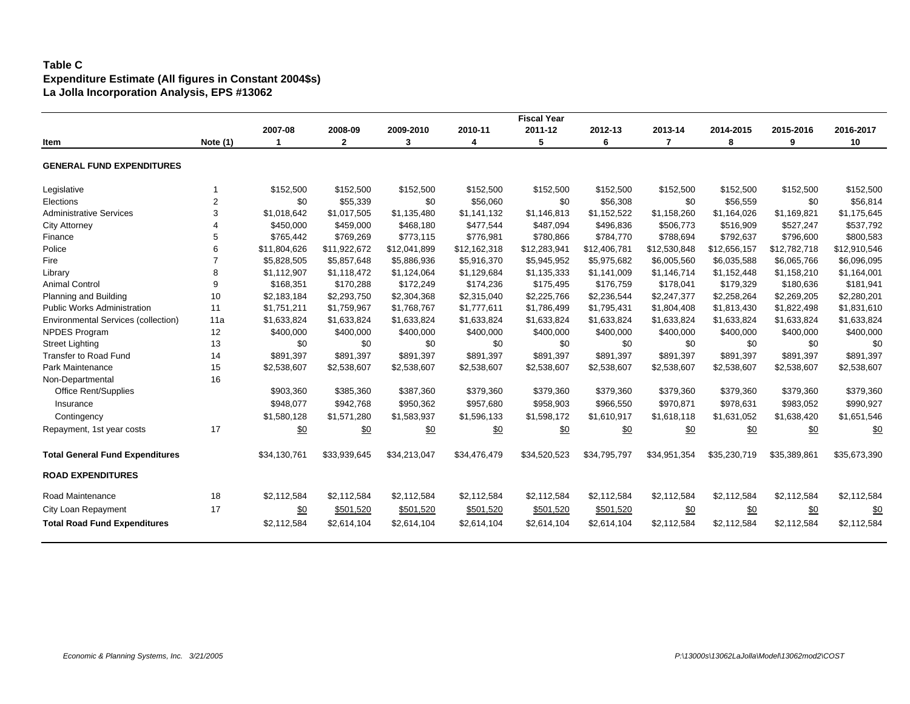# **Table C Expenditure Estimate (All figures in Constant 2004\$s) La Jolla Incorporation Analysis, EPS #13062**

|                                            |                |              |              |              |              | <b>Fiscal Year</b> |              |              |              |              |              |
|--------------------------------------------|----------------|--------------|--------------|--------------|--------------|--------------------|--------------|--------------|--------------|--------------|--------------|
|                                            |                | 2007-08      | 2008-09      | 2009-2010    | 2010-11      | 2011-12            | 2012-13      | 2013-14      | 2014-2015    | 2015-2016    | 2016-2017    |
| Item                                       | Note (1)       |              | $\mathbf{2}$ | 3            | 4            | 5                  | 6            | 7            | 8            | 9            | 10           |
| <b>GENERAL FUND EXPENDITURES</b>           |                |              |              |              |              |                    |              |              |              |              |              |
| Legislative                                |                | \$152,500    | \$152,500    | \$152,500    | \$152,500    | \$152,500          | \$152,500    | \$152,500    | \$152,500    | \$152,500    | \$152,500    |
| Elections                                  | $\overline{2}$ | \$0          | \$55,339     | \$0          | \$56,060     | \$0                | \$56,308     | \$0          | \$56,559     | \$0          | \$56,814     |
| <b>Administrative Services</b>             | 3              | \$1,018,642  | \$1,017,505  | \$1,135,480  | \$1,141,132  | \$1,146,813        | \$1,152,522  | \$1,158,260  | \$1,164,026  | \$1,169,821  | \$1,175,645  |
| <b>City Attorney</b>                       |                | \$450,000    | \$459,000    | \$468,180    | \$477,544    | \$487,094          | \$496,836    | \$506,773    | \$516,909    | \$527,247    | \$537,792    |
| Finance                                    | 5              | \$765,442    | \$769,269    | \$773,115    | \$776,981    | \$780,866          | \$784,770    | \$788,694    | \$792,637    | \$796,600    | \$800,583    |
| Police                                     | 6              | \$11,804,626 | \$11,922,672 | \$12,041,899 | \$12,162,318 | \$12,283,941       | \$12,406,781 | \$12,530,848 | \$12,656,157 | \$12,782,718 | \$12,910,546 |
| Fire                                       |                | \$5,828,505  | \$5,857,648  | \$5,886,936  | \$5,916,370  | \$5,945,952        | \$5,975,682  | \$6,005,560  | \$6,035,588  | \$6,065,766  | \$6,096,095  |
| Library                                    | 8              | \$1,112,907  | \$1,118,472  | \$1,124,064  | \$1,129,684  | \$1,135,333        | \$1,141,009  | \$1,146,714  | \$1,152,448  | \$1,158,210  | \$1,164,001  |
| <b>Animal Control</b>                      | 9              | \$168,351    | \$170,288    | \$172,249    | \$174,236    | \$175,495          | \$176,759    | \$178,041    | \$179,329    | \$180,636    | \$181,941    |
| Planning and Building                      | 10             | \$2.183.184  | \$2,293,750  | \$2,304,368  | \$2,315,040  | \$2,225,766        | \$2,236,544  | \$2,247,377  | \$2,258,264  | \$2,269,205  | \$2,280,201  |
| <b>Public Works Administration</b>         | 11             | \$1,751,211  | \$1,759,967  | \$1,768,767  | \$1,777,611  | \$1,786,499        | \$1,795,431  | \$1,804,408  | \$1,813,430  | \$1,822,498  | \$1,831,610  |
| <b>Environmental Services (collection)</b> | 11a            | \$1,633,824  | \$1,633,824  | \$1,633,824  | \$1,633,824  | \$1,633,824        | \$1,633,824  | \$1,633,824  | \$1,633,824  | \$1,633,824  | \$1,633,824  |
| <b>NPDES Program</b>                       | 12             | \$400,000    | \$400,000    | \$400,000    | \$400,000    | \$400,000          | \$400,000    | \$400,000    | \$400,000    | \$400,000    | \$400,000    |
| <b>Street Lighting</b>                     | 13             | \$0          | \$0          | \$0          | \$0          | \$0                | \$0          | \$0          | \$0          | \$0          | \$0          |
| <b>Transfer to Road Fund</b>               | 14             | \$891,397    | \$891,397    | \$891,397    | \$891,397    | \$891,397          | \$891,397    | \$891,397    | \$891,397    | \$891,397    | \$891,397    |
| Park Maintenance                           | 15             | \$2,538,607  | \$2,538,607  | \$2,538,607  | \$2,538,607  | \$2,538,607        | \$2,538,607  | \$2,538,607  | \$2,538,607  | \$2,538,607  | \$2,538,607  |
| Non-Departmental                           | 16             |              |              |              |              |                    |              |              |              |              |              |
| Office Rent/Supplies                       |                | \$903,360    | \$385,360    | \$387,360    | \$379,360    | \$379,360          | \$379,360    | \$379,360    | \$379,360    | \$379,360    | \$379,360    |
| Insurance                                  |                | \$948.077    | \$942,768    | \$950,362    | \$957,680    | \$958,903          | \$966,550    | \$970,871    | \$978,631    | \$983,052    | \$990,927    |
| Contingency                                |                | \$1,580,128  | \$1,571,280  | \$1,583,937  | \$1,596,133  | \$1,598,172        | \$1,610,917  | \$1,618,118  | \$1,631,052  | \$1,638,420  | \$1,651,546  |
| Repayment, 1st year costs                  | 17             | \$0          | \$0          | \$0          | \$0          | \$0                | \$0          | \$0          | \$0          | \$0          | <u>\$0</u>   |
| <b>Total General Fund Expenditures</b>     |                | \$34,130,761 | \$33,939,645 | \$34,213,047 | \$34,476,479 | \$34,520,523       | \$34,795,797 | \$34,951,354 | \$35,230,719 | \$35,389,861 | \$35,673,390 |
| <b>ROAD EXPENDITURES</b>                   |                |              |              |              |              |                    |              |              |              |              |              |
| <b>Road Maintenance</b>                    | 18             | \$2,112,584  | \$2,112,584  | \$2,112,584  | \$2,112,584  | \$2,112,584        | \$2,112,584  | \$2,112,584  | \$2,112,584  | \$2,112,584  | \$2,112,584  |
| City Loan Repayment                        | 17             | \$0          | \$501,520    | \$501,520    | \$501,520    | \$501,520          | \$501,520    | \$0          | \$0          | \$0          | <u>\$0</u>   |
| <b>Total Road Fund Expenditures</b>        |                | \$2,112,584  | \$2,614,104  | \$2,614,104  | \$2,614,104  | \$2,614,104        | \$2,614,104  | \$2,112,584  | \$2,112,584  | \$2,112,584  | \$2,112,584  |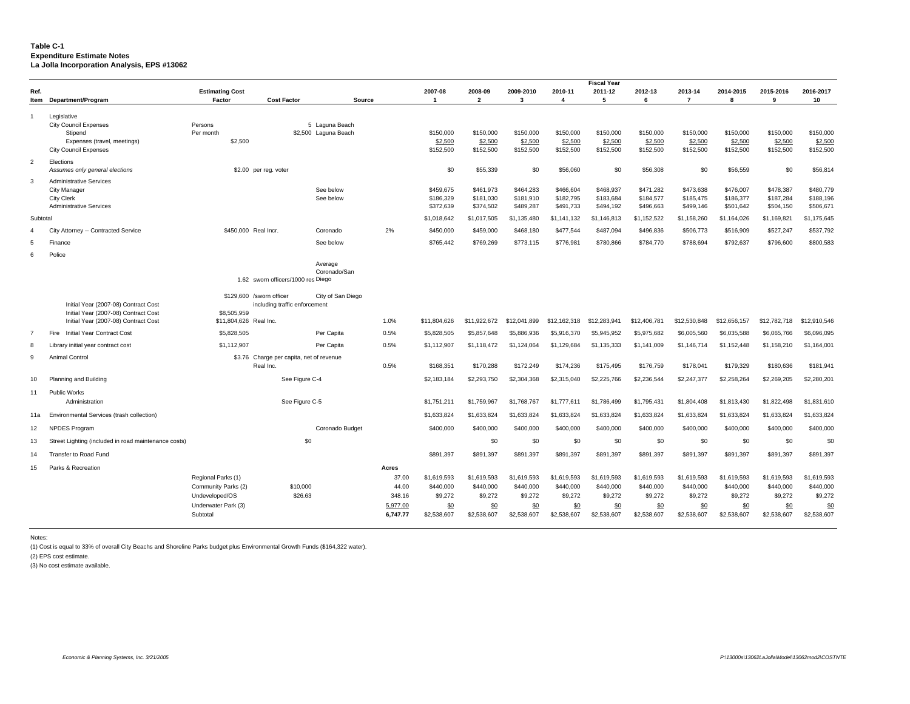#### **Table C-1 Expenditure Estimate Notes La Jolla Incorporation Analysis, EPS #13062**

|                |                                                                                                                       |                                                                                                |                                                           |                                        |                                                           |                                                           |                                                           |                                                           |                                                           | <b>Fiscal Year</b>                                        |                                                           |                                                           |                                                           |                                                           |                                                           |
|----------------|-----------------------------------------------------------------------------------------------------------------------|------------------------------------------------------------------------------------------------|-----------------------------------------------------------|----------------------------------------|-----------------------------------------------------------|-----------------------------------------------------------|-----------------------------------------------------------|-----------------------------------------------------------|-----------------------------------------------------------|-----------------------------------------------------------|-----------------------------------------------------------|-----------------------------------------------------------|-----------------------------------------------------------|-----------------------------------------------------------|-----------------------------------------------------------|
| Ref.           |                                                                                                                       | <b>Estimating Cost</b>                                                                         |                                                           |                                        |                                                           | 2007-08                                                   | 2008-09                                                   | 2009-2010                                                 | 2010-11                                                   | 2011-12                                                   | 2012-13                                                   | 2013-14                                                   | 2014-2015                                                 | 2015-2016                                                 | 2016-2017                                                 |
|                | Item Department/Program                                                                                               | Factor                                                                                         | <b>Cost Factor</b>                                        | Source                                 |                                                           | $\overline{\mathbf{1}}$                                   | $\overline{\phantom{a}}$                                  | 3                                                         | 4                                                         | 5                                                         | 6                                                         | $\overline{7}$                                            | R                                                         | $\mathbf{Q}$                                              | 10                                                        |
| $\overline{1}$ | Legislative<br><b>City Council Expenses</b><br>Stipend<br>Expenses (travel, meetings)<br><b>City Council Expenses</b> | Persons<br>Per month<br>\$2,500                                                                |                                                           | 5 Laguna Beach<br>\$2,500 Laguna Beach |                                                           | \$150,000<br>\$2,500<br>\$152,500                         | \$150,000<br>\$2,500<br>\$152,500                         | \$150,000<br>\$2,500<br>\$152,500                         | \$150,000<br>\$2,500<br>\$152,500                         | \$150,000<br>\$2,500<br>\$152,500                         | \$150,000<br>\$2,500<br>\$152,500                         | \$150,000<br>\$2,500<br>\$152,500                         | \$150,000<br>\$2,500<br>\$152,500                         | \$150,000<br>\$2,500<br>\$152,500                         | \$150,000<br>\$2,500<br>\$152,500                         |
| $\overline{2}$ | Elections<br>Assumes only general elections                                                                           |                                                                                                | \$2.00 per reg. voter                                     |                                        |                                                           | \$0                                                       | \$55,339                                                  | \$0                                                       | \$56,060                                                  | \$0                                                       | \$56,308                                                  | \$0                                                       | \$56,559                                                  | \$0                                                       | \$56,814                                                  |
| 3              | <b>Administrative Services</b><br>City Manager<br><b>City Clerk</b><br><b>Administrative Services</b>                 |                                                                                                |                                                           | See below<br>See below                 |                                                           | \$459,675<br>\$186,329<br>\$372,639                       | \$461,973<br>\$181,030<br>\$374,502                       | \$464,283<br>\$181,910<br>\$489,287                       | \$466,604<br>\$182,795<br>\$491,733                       | \$468.937<br>\$183,684<br>\$494,192                       | \$471.282<br>\$184,577<br>\$496,663                       | \$473,638<br>\$185,475<br>\$499,146                       | \$476,007<br>\$186,377<br>\$501,642                       | \$478,387<br>\$187,284<br>\$504,150                       | \$480,779<br>\$188,196<br>\$506,671                       |
| Subtotal       |                                                                                                                       |                                                                                                |                                                           |                                        |                                                           | \$1,018,642                                               | \$1,017,505                                               | \$1,135,480                                               | \$1,141,132                                               | \$1,146,813                                               | \$1,152,522                                               | \$1,158,260                                               | \$1,164,026                                               | \$1,169,821                                               | \$1,175,645                                               |
| $\mathbf{A}$   | Attorney -- Contracted Service<br>City                                                                                | \$450,000 Real Incr.                                                                           |                                                           | Coronado                               | 2%                                                        | \$450,000                                                 | \$459,000                                                 | \$468,180                                                 | \$477,544                                                 | \$487,094                                                 | \$496,836                                                 | \$506,773                                                 | \$516,909                                                 | \$527,247                                                 | \$537,792                                                 |
| $\overline{5}$ | Finance                                                                                                               |                                                                                                |                                                           | See below                              |                                                           | \$765,442                                                 | \$769,269                                                 | \$773,115                                                 | \$776,981                                                 | \$780,866                                                 | \$784,770                                                 | \$788,694                                                 | \$792,637                                                 | \$796,600                                                 | \$800,583                                                 |
| 6              | Police                                                                                                                |                                                                                                |                                                           |                                        |                                                           |                                                           |                                                           |                                                           |                                                           |                                                           |                                                           |                                                           |                                                           |                                                           |                                                           |
|                |                                                                                                                       |                                                                                                | 1.62 sworn officers/1000 res Diego                        | Average<br>Coronado/San                |                                                           |                                                           |                                                           |                                                           |                                                           |                                                           |                                                           |                                                           |                                                           |                                                           |                                                           |
|                | Initial Year (2007-08) Contract Cost<br>Initial Year (2007-08) Contract Cost<br>Initial Year (2007-08) Contract Cost  | \$8,505,959<br>\$11,804,626 Real Inc.                                                          | \$129,600 /sworn officer<br>including traffic enforcement | City of San Diego                      | 1.0%                                                      | \$11,804,626                                              | \$11,922,672                                              | \$12,041,899                                              | \$12,162,318                                              | \$12,283,941                                              | \$12,406,781                                              | \$12,530,848                                              | \$12,656,157                                              | \$12,782,718                                              | \$12,910,546                                              |
| $\overline{7}$ | Initial Year Contract Cost<br>Fire                                                                                    | \$5,828,505                                                                                    |                                                           | Per Capita                             | 0.5%                                                      | \$5,828,505                                               | \$5,857,648                                               | \$5,886,936                                               | \$5,916,370                                               | \$5,945,952                                               | \$5,975,682                                               | \$6,005,560                                               | \$6,035,588                                               | \$6,065,766                                               | \$6,096,095                                               |
| 8              | Library initial year contract cost                                                                                    | \$1,112,907                                                                                    |                                                           | Per Capita                             | 0.5%                                                      | \$1,112,907                                               | \$1,118,472                                               | \$1,124,064                                               | \$1,129,684                                               | \$1,135,333                                               | \$1,141,009                                               | \$1,146,714                                               | \$1,152,448                                               | \$1,158,210                                               | \$1,164,001                                               |
| $\mathbf{q}$   | Animal Control                                                                                                        |                                                                                                | \$3.76 Charge per capita, net of revenue<br>Real Inc.     |                                        | 0.5%                                                      | \$168,351                                                 | \$170,288                                                 | \$172,249                                                 | \$174,236                                                 | \$175,495                                                 | \$176,759                                                 | \$178,041                                                 | \$179,329                                                 | \$180,636                                                 | \$181,941                                                 |
| 10             | Planning and Building                                                                                                 |                                                                                                | See Figure C-4                                            |                                        |                                                           | \$2,183,184                                               | \$2,293,750                                               | \$2,304,368                                               | \$2,315,040                                               | \$2,225,766                                               | \$2,236,544                                               | \$2,247,377                                               | \$2,258,264                                               | \$2,269,205                                               | \$2,280,201                                               |
| 11             | <b>Public Works</b>                                                                                                   |                                                                                                |                                                           |                                        |                                                           |                                                           |                                                           |                                                           |                                                           |                                                           |                                                           |                                                           |                                                           |                                                           |                                                           |
|                | Administration                                                                                                        |                                                                                                | See Figure C-5                                            |                                        |                                                           | \$1,751,211                                               | \$1,759,967                                               | \$1,768,767                                               | \$1,777,611                                               | \$1,786,499                                               | \$1,795,431                                               | \$1,804,408                                               | \$1,813,430                                               | \$1,822,498                                               | \$1,831,610                                               |
| 11a            | Environmental Services (trash collection)                                                                             |                                                                                                |                                                           |                                        |                                                           | \$1,633,824                                               | \$1,633,824                                               | \$1,633,824                                               | \$1,633,824                                               | \$1,633,824                                               | \$1,633,824                                               | \$1,633,824                                               | \$1,633,824                                               | \$1,633,824                                               | \$1,633,824                                               |
| 12             | <b>NPDES Program</b>                                                                                                  |                                                                                                |                                                           | Coronado Budget                        |                                                           | \$400,000                                                 | \$400,000                                                 | \$400,000                                                 | \$400,000                                                 | \$400,000                                                 | \$400,000                                                 | \$400,000                                                 | \$400,000                                                 | \$400,000                                                 | \$400,000                                                 |
| 13             | Street Lighting (included in road maintenance costs)                                                                  |                                                                                                |                                                           | \$0                                    |                                                           |                                                           | \$0                                                       | \$0                                                       | \$0                                                       | \$0                                                       | \$0                                                       | \$0                                                       | \$0                                                       | \$0                                                       | \$0                                                       |
| 14             | Transfer to Road Fund                                                                                                 |                                                                                                |                                                           |                                        |                                                           | \$891.397                                                 | \$891.397                                                 | \$891.397                                                 | \$891.397                                                 | \$891.397                                                 | \$891.397                                                 | \$891.397                                                 | \$891.397                                                 | \$891.397                                                 | \$891.397                                                 |
| 15             | Parks & Recreation                                                                                                    | Regional Parks (1)<br>Community Parks (2)<br>Undeveloped/OS<br>Underwater Park (3)<br>Subtotal | \$10,000<br>\$26.63                                       |                                        | Acres<br>37.00<br>44.00<br>348.16<br>5,977.00<br>6.747.77 | \$1.619.593<br>\$440,000<br>\$9,272<br>\$0<br>\$2,538,607 | \$1,619,593<br>\$440,000<br>\$9,272<br>\$0<br>\$2,538,607 | \$1,619,593<br>\$440,000<br>\$9,272<br>\$0<br>\$2,538,607 | \$1,619,593<br>\$440,000<br>\$9,272<br>\$0<br>\$2,538,607 | \$1,619.593<br>\$440,000<br>\$9,272<br>\$0<br>\$2,538,607 | \$1.619.593<br>\$440,000<br>\$9,272<br>\$0<br>\$2,538,607 | \$1,619,593<br>\$440,000<br>\$9,272<br>\$0<br>\$2,538,607 | \$1,619,593<br>\$440,000<br>\$9,272<br>\$0<br>\$2,538,607 | \$1,619,593<br>\$440,000<br>\$9,272<br>\$0<br>\$2,538,607 | \$1,619,593<br>\$440,000<br>\$9,272<br>\$0<br>\$2,538,607 |

Notes:

(1) Cost is equal to 33% of overall City Beachs and Shoreline Parks budget plus Environmental Growth Funds (\$164,322 water).

(2) EPS cost estimate.

(3) No cost estimate available.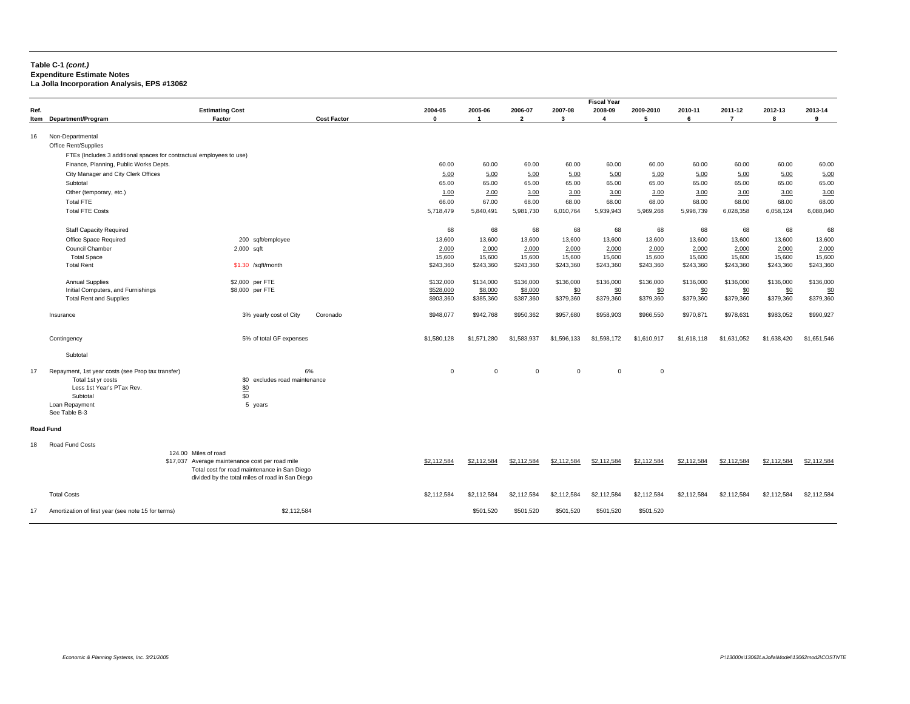#### **Table C-1** *(cont.)* **Expenditure Estimate Notes La Jolla Incorporation Analysis, EPS #13062**

|                  |                                                                                                                |                                                 |                               |              |                |                |              | <b>Fiscal Year</b> |             |             |                |             |             |
|------------------|----------------------------------------------------------------------------------------------------------------|-------------------------------------------------|-------------------------------|--------------|----------------|----------------|--------------|--------------------|-------------|-------------|----------------|-------------|-------------|
| Ref.             |                                                                                                                | <b>Estimating Cost</b>                          |                               | 2004-05      | 2005-06        | 2006-07        | 2007-08      | 2008-09            | 2009-2010   | 2010-11     | 2011-12        | 2012-13     | 2013-14     |
|                  | Item Department/Program                                                                                        | Factor                                          | <b>Cost Factor</b>            | $\mathbf{0}$ | $\overline{1}$ | $\overline{2}$ | $\mathbf{3}$ | $\Delta$           | 5           | 6           | $\overline{7}$ | R           | 9           |
|                  |                                                                                                                |                                                 |                               |              |                |                |              |                    |             |             |                |             |             |
| 16               | Non-Departmental                                                                                               |                                                 |                               |              |                |                |              |                    |             |             |                |             |             |
|                  | Office Rent/Supplies                                                                                           |                                                 |                               |              |                |                |              |                    |             |             |                |             |             |
|                  | FTEs (Includes 3 additional spaces for contractual employees to use)<br>Finance, Planning, Public Works Depts. |                                                 |                               | 60.00        | 60.00          | 60.00          | 60.00        | 60.00              | 60.00       | 60.00       | 60.00          | 60.00       | 60.00       |
|                  | City Manager and City Clerk Offices                                                                            |                                                 |                               | 5.00         | 5.00           | 5.00           | 5.00         | 5.00               | 5.00        | 5.00        | 5.00           | 5.00        | 5.00        |
|                  | Subtotal                                                                                                       |                                                 |                               | 65.00        | 65.00          | 65.00          | 65.00        | 65.00              | 65.00       | 65.00       | 65.00          | 65.00       | 65.00       |
|                  | Other (temporary, etc.)                                                                                        |                                                 |                               | 1.00         | 2.00           | 3.00           | 3.00         | 3.00               | 3.00        | 3.00        | 3.00           | 3.00        | 3.00        |
|                  | <b>Total FTE</b>                                                                                               |                                                 |                               | 66.00        | 67.00          | 68.00          | 68.00        | 68.00              | 68.00       | 68.00       | 68.00          | 68.00       | 68.00       |
|                  | <b>Total FTE Costs</b>                                                                                         |                                                 |                               | 5,718,479    | 5,840,491      | 5,981,730      | 6,010,764    | 5,939,943          | 5,969,268   | 5,998,739   | 6,028,358      | 6,058,124   | 6,088,040   |
|                  |                                                                                                                |                                                 |                               |              |                |                |              |                    |             |             |                |             |             |
|                  | <b>Staff Capacity Required</b>                                                                                 |                                                 |                               | 68           | 68             | 68             | 68           | 68                 | 68          | 68          | 68             | 68          | 68          |
|                  | Office Space Required                                                                                          | 200 sqft/employee                               |                               | 13,600       | 13,600         | 13,600         | 13,600       | 13,600             | 13,600      | 13,600      | 13,600         | 13,600      | 13,600      |
|                  | Council Chamber                                                                                                | 2,000 sqft                                      |                               | 2,000        | 2,000          | 2,000          | 2,000        | 2,000              | 2,000       | 2,000       | 2,000          | 2,000       | 2,000       |
|                  | <b>Total Space</b>                                                                                             |                                                 |                               | 15,600       | 15,600         | 15,600         | 15,600       | 15,600             | 15,600      | 15,600      | 15,600         | 15,600      | 15,600      |
|                  | <b>Total Rent</b>                                                                                              | \$1.30 /sqft/month                              |                               | \$243,360    | \$243,360      | \$243,360      | \$243,360    | \$243,360          | \$243,360   | \$243,360   | \$243,360      | \$243,360   | \$243,360   |
|                  | <b>Annual Supplies</b>                                                                                         | \$2,000 per FTE                                 |                               | \$132,000    | \$134,000      | \$136,000      | \$136,000    | \$136,000          | \$136,000   | \$136,000   | \$136,000      | \$136,000   | \$136,000   |
|                  | Initial Computers, and Furnishings                                                                             | \$8,000 per FTE                                 |                               | \$528,000    | \$8,000        | \$8,000        | \$0          | \$0                | \$0         | \$0         | \$0            | \$0         | \$0         |
|                  | <b>Total Rent and Supplies</b>                                                                                 |                                                 |                               | \$903,360    | \$385,360      | \$387,360      | \$379,360    | \$379,360          | \$379,360   | \$379,360   | \$379,360      | \$379,360   | \$379,360   |
|                  |                                                                                                                |                                                 |                               |              |                |                |              |                    |             |             |                |             |             |
|                  | Insurance                                                                                                      | 3% yearly cost of City                          | Coronado                      | \$948,077    | \$942,768      | \$950,362      | \$957,680    | \$958,903          | \$966,550   | \$970,871   | \$978,631      | \$983,052   | \$990,927   |
|                  |                                                                                                                |                                                 |                               |              |                |                |              |                    |             |             |                |             |             |
|                  | Contingency                                                                                                    | 5% of total GF expenses                         |                               | \$1,580,128  | \$1,571,280    | \$1,583,937    | \$1,596,133  | \$1,598.172        | \$1,610,917 | \$1,618,118 | \$1,631,052    | \$1,638,420 | \$1.651.546 |
|                  | Subtotal                                                                                                       |                                                 |                               |              |                |                |              |                    |             |             |                |             |             |
|                  |                                                                                                                |                                                 |                               |              |                |                |              |                    |             |             |                |             |             |
| 17               | Repayment, 1st year costs (see Prop tax transfer)                                                              |                                                 | 6%                            | $\Omega$     | $\Omega$       | $\Omega$       | $\Omega$     | $\Omega$           | $\mathbf 0$ |             |                |             |             |
|                  | Total 1st yr costs                                                                                             |                                                 | \$0 excludes road maintenance |              |                |                |              |                    |             |             |                |             |             |
|                  | Less 1st Year's PTax Rev.                                                                                      | \$0                                             |                               |              |                |                |              |                    |             |             |                |             |             |
|                  | Subtotal                                                                                                       | \$0                                             |                               |              |                |                |              |                    |             |             |                |             |             |
|                  | Loan Repayment                                                                                                 | 5 years                                         |                               |              |                |                |              |                    |             |             |                |             |             |
|                  | See Table B-3                                                                                                  |                                                 |                               |              |                |                |              |                    |             |             |                |             |             |
| <b>Road Fund</b> |                                                                                                                |                                                 |                               |              |                |                |              |                    |             |             |                |             |             |
| 18               | Road Fund Costs                                                                                                |                                                 |                               |              |                |                |              |                    |             |             |                |             |             |
|                  |                                                                                                                | 124.00 Miles of road                            |                               |              |                |                |              |                    |             |             |                |             |             |
|                  |                                                                                                                | \$17,037 Average maintenance cost per road mile |                               | \$2,112,584  | \$2,112,584    | \$2,112,584    | \$2,112,584  | \$2,112,584        | \$2,112,584 | \$2.112.584 | \$2.112.584    | \$2,112,584 | \$2,112,584 |
|                  |                                                                                                                | Total cost for road maintenance in San Diego    |                               |              |                |                |              |                    |             |             |                |             |             |
|                  |                                                                                                                | divided by the total miles of road in San Diego |                               |              |                |                |              |                    |             |             |                |             |             |
|                  |                                                                                                                |                                                 |                               |              |                |                |              |                    |             |             |                |             |             |
|                  | <b>Total Costs</b>                                                                                             |                                                 |                               | \$2,112,584  | \$2.112.584    | \$2,112,584    | \$2,112,584  | \$2.112.584        | \$2,112,584 | \$2,112,584 | \$2,112,584    | \$2,112,584 | \$2,112,584 |
| 17               | Amortization of first year (see note 15 for terms)                                                             |                                                 | \$2,112,584                   |              | \$501,520      | \$501,520      | \$501,520    | \$501,520          | \$501,520   |             |                |             |             |
|                  |                                                                                                                |                                                 |                               |              |                |                |              |                    |             |             |                |             |             |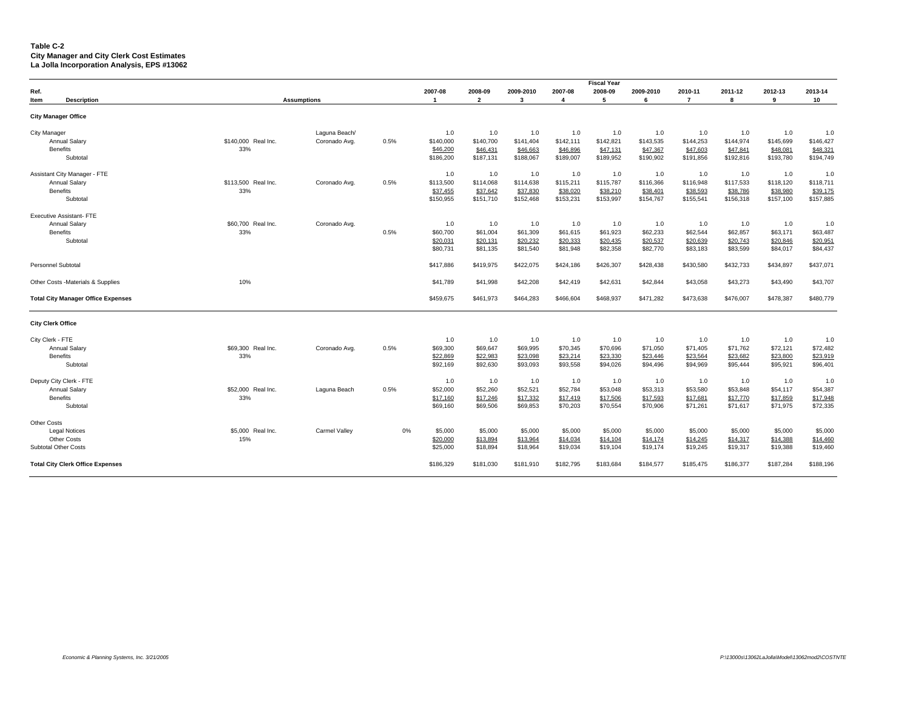#### **Table C-2 City Manager and City Clerk Cost Estimates La Jolla Incorporation Analysis, EPS #13062**

|                                                                                          |                            |                                |      |                                           |                                           |                                           |                                           | <b>Fiscal Year</b>                        |                                           |                                           |                                           |                                           |                                           |
|------------------------------------------------------------------------------------------|----------------------------|--------------------------------|------|-------------------------------------------|-------------------------------------------|-------------------------------------------|-------------------------------------------|-------------------------------------------|-------------------------------------------|-------------------------------------------|-------------------------------------------|-------------------------------------------|-------------------------------------------|
| Ref.<br>Item<br><b>Description</b>                                                       |                            | <b>Assumptions</b>             |      | 2007-08<br>$\overline{1}$                 | 2008-09<br>$\overline{\mathbf{2}}$        | 2009-2010<br>3                            | 2007-08<br>$\overline{4}$                 | 2008-09<br>5                              | 2009-2010<br>6                            | 2010-11<br>$\overline{7}$                 | 2011-12<br>8                              | 2012-13<br>9                              | 2013-14<br>10                             |
| <b>City Manager Office</b>                                                               |                            |                                |      |                                           |                                           |                                           |                                           |                                           |                                           |                                           |                                           |                                           |                                           |
| <b>City Manager</b><br><b>Annual Salary</b><br>Benefits<br>Subtotal                      | \$140,000 Real Inc.<br>33% | Laguna Beach/<br>Coronado Avg. | 0.5% | 1.0<br>\$140,000<br>\$46,200<br>\$186,200 | 1.0<br>\$140,700<br>\$46,431<br>\$187,131 | 1.0<br>\$141,404<br>\$46,663<br>\$188,067 | 1.0<br>\$142,111<br>\$46,896<br>\$189,007 | 1.0<br>\$142,821<br>\$47,131<br>\$189,952 | 1.0<br>\$143,535<br>\$47,367<br>\$190,902 | 1.0<br>\$144,253<br>\$47,603<br>\$191,856 | 1.0<br>\$144,974<br>\$47,841<br>\$192,816 | 1.0<br>\$145,699<br>\$48,081<br>\$193,780 | 1.0<br>\$146,427<br>\$48,321<br>\$194,749 |
| Assistant City Manager - FTE<br><b>Annual Salary</b><br><b>Benefits</b><br>Subtotal      | \$113,500 Real Inc.<br>33% | Coronado Avg.                  | 0.5% | 1.0<br>\$113,500<br>\$37,455<br>\$150,955 | 1.0<br>\$114,068<br>\$37,642<br>\$151,710 | 1.0<br>\$114,638<br>\$37,830<br>\$152,468 | 1.0<br>\$115,211<br>\$38,020<br>\$153,231 | 1.0<br>\$115,787<br>\$38,210<br>\$153,997 | 1.0<br>\$116,366<br>\$38,401<br>\$154,767 | 1.0<br>\$116,948<br>\$38,593<br>\$155,541 | 1.0<br>\$117,533<br>\$38,786<br>\$156,318 | 1.0<br>\$118,120<br>\$38,980<br>\$157,100 | 1.0<br>\$118,711<br>\$39,175<br>\$157,885 |
| Executive Assistant- FTE<br><b>Annual Salary</b><br><b>Benefits</b><br>Subtotal          | \$60,700 Real Inc.<br>33%  | Coronado Avg.                  | 0.5% | 1.0<br>\$60,700<br>\$20,031<br>\$80,731   | 1.0<br>\$61,004<br>\$20,131<br>\$81,135   | 1.0<br>\$61,309<br>\$20,232<br>\$81,540   | 1.0<br>\$61,615<br>\$20,333<br>\$81,948   | 1.0<br>\$61,923<br>\$20,435<br>\$82,358   | 1.0<br>\$62,233<br>\$20,537<br>\$82,770   | 1.0<br>\$62,544<br>\$20,639<br>\$83,183   | 1.0<br>\$62,857<br>\$20,743<br>\$83,599   | 1.0<br>\$63,171<br>\$20,846<br>\$84,017   | 1.0<br>\$63,487<br>\$20,951<br>\$84,437   |
| Personnel Subtotal                                                                       |                            |                                |      | \$417,886                                 | \$419,975                                 | \$422,075                                 | \$424,186                                 | \$426,307                                 | \$428,438                                 | \$430,580                                 | \$432,733                                 | \$434,897                                 | \$437,071                                 |
| Other Costs -Materials & Supplies                                                        | 10%                        |                                |      | \$41,789                                  | \$41,998                                  | \$42,208                                  | \$42,419                                  | \$42,631                                  | \$42,844                                  | \$43,058                                  | \$43,273                                  | \$43,490                                  | \$43,707                                  |
| <b>Total City Manager Office Expenses</b>                                                |                            |                                |      | \$459,675                                 | \$461,973                                 | \$464,283                                 | \$466,604                                 | \$468,937                                 | \$471,282                                 | \$473,638                                 | \$476,007                                 | \$478,387                                 | \$480,779                                 |
| <b>City Clerk Office</b>                                                                 |                            |                                |      |                                           |                                           |                                           |                                           |                                           |                                           |                                           |                                           |                                           |                                           |
| City Clerk - FTE<br><b>Annual Salary</b><br><b>Benefits</b><br>Subtotal                  | \$69,300 Real Inc.<br>33%  | Coronado Avg.                  | 0.5% | 1.0<br>\$69,300<br>\$22,869<br>\$92,169   | 1.0<br>\$69,647<br>\$22,983<br>\$92,630   | 1.0<br>\$69,995<br>\$23,098<br>\$93,093   | 1.0<br>\$70,345<br>\$23,214<br>\$93,558   | 1.0<br>\$70,696<br>\$23,330<br>\$94,026   | 1.0<br>\$71,050<br>\$23,446<br>\$94,496   | 1.0<br>\$71,405<br>\$23,564<br>\$94,969   | 1.0<br>\$71,762<br>\$23,682<br>\$95,444   | 1.0<br>\$72,121<br>\$23,800<br>\$95,921   | 1.0<br>\$72,482<br>\$23,919<br>\$96,401   |
| Deputy City Clerk - FTE<br><b>Annual Salary</b><br><b>Benefits</b><br>Subtotal           | \$52,000 Real Inc.<br>33%  | Laguna Beach                   | 0.5% | 1.0<br>\$52,000<br>\$17,160<br>\$69,160   | 1.0<br>\$52,260<br>\$17,246<br>\$69,506   | 1.0<br>\$52,521<br>\$17,332<br>\$69,853   | 1.0<br>\$52,784<br>\$17,419<br>\$70,203   | 1.0<br>\$53,048<br>\$17,506<br>\$70,554   | 1.0<br>\$53,313<br>\$17,593<br>\$70,906   | 1.0<br>\$53,580<br>\$17,681<br>\$71,261   | 1.0<br>\$53,848<br>\$17,770<br>\$71,617   | 1.0<br>\$54,117<br>\$17,859<br>\$71,975   | 1.0<br>\$54,387<br>\$17,948<br>\$72,335   |
| <b>Other Costs</b><br><b>Legal Notices</b><br><b>Other Costs</b><br>Subtotal Other Costs | \$5,000 Real Inc.<br>15%   | Carmel Valley                  | 0%   | \$5,000<br>\$20,000<br>\$25,000           | \$5,000<br>\$13,894<br>\$18,894           | \$5,000<br>\$13,964<br>\$18,964           | \$5,000<br>\$14,034<br>\$19,034           | \$5,000<br>\$14,104<br>\$19,104           | \$5,000<br>\$14,174<br>\$19,174           | \$5,000<br>\$14,245<br>\$19,245           | \$5,000<br>\$14,317<br>\$19,317           | \$5,000<br>\$14,388<br>\$19,388           | \$5,000<br>\$14,460<br>\$19,460           |
| <b>Total City Clerk Office Expenses</b>                                                  |                            |                                |      | \$186,329                                 | \$181,030                                 | \$181,910                                 | \$182,795                                 | \$183,684                                 | \$184,577                                 | \$185,475                                 | \$186,377                                 | \$187,284                                 | \$188,196                                 |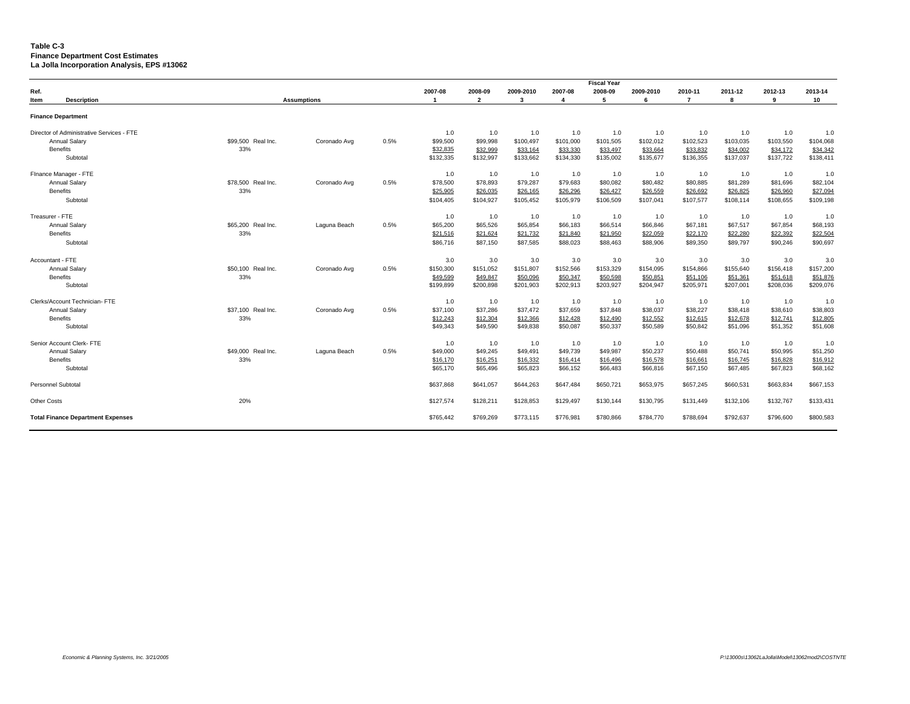#### **Table C-3 Finance Department Cost Estimates La Jolla Incorporation Analysis, EPS #13062**

|                                           |                    |                    |      |           |                |           |           | <b>Fiscal Year</b> |           |           |           |           |           |
|-------------------------------------------|--------------------|--------------------|------|-----------|----------------|-----------|-----------|--------------------|-----------|-----------|-----------|-----------|-----------|
| Ref.                                      |                    |                    |      | 2007-08   | 2008-09        | 2009-2010 | 2007-08   | 2008-09            | 2009-2010 | 2010-11   | 2011-12   | 2012-13   | 2013-14   |
| <b>Description</b><br>Item                |                    | <b>Assumptions</b> |      | -1        | $\overline{2}$ | 3         | 4         | 5                  | 6         | 7         | 8         | 9         | 10        |
| <b>Finance Department</b>                 |                    |                    |      |           |                |           |           |                    |           |           |           |           |           |
| Director of Administrative Services - FTE |                    |                    |      | 1.0       | 1.0            | 1.0       | 1.0       | 1.0                | 1.0       | 1.0       | 1.0       | 1.0       | 1.0       |
| Annual Salary                             | \$99,500 Real Inc. | Coronado Avg       | 0.5% | \$99,500  | \$99,998       | \$100,497 | \$101,000 | \$101,505          | \$102,012 | \$102,523 | \$103,035 | \$103,550 | \$104,068 |
| <b>Benefits</b>                           | 33%                |                    |      | \$32,835  | \$32,999       | \$33,164  | \$33,330  | \$33,497           | \$33,664  | \$33,832  | \$34,002  | \$34,172  | \$34,342  |
| Subtotal                                  |                    |                    |      | \$132,335 | \$132,997      | \$133,662 | \$134,330 | \$135,002          | \$135,677 | \$136,355 | \$137,037 | \$137,722 | \$138,411 |
| Finance Manager - FTE                     |                    |                    |      | 1.0       | 1.0            | 1.0       | 1.0       | 1.0                | 1.0       | 1.0       | 1.0       | 1.0       | 1.0       |
| <b>Annual Salary</b>                      | \$78,500 Real Inc. | Coronado Avg       | 0.5% | \$78,500  | \$78,893       | \$79,287  | \$79,683  | \$80,082           | \$80,482  | \$80,885  | \$81,289  | \$81,696  | \$82,104  |
| <b>Benefits</b>                           | 33%                |                    |      | \$25,905  | \$26,035       | \$26,165  | \$26,296  | \$26,427           | \$26,559  | \$26,692  | \$26,825  | \$26,960  | \$27,094  |
| Subtotal                                  |                    |                    |      | \$104,405 | \$104,927      | \$105,452 | \$105,979 | \$106,509          | \$107,041 | \$107,577 | \$108,114 | \$108,655 | \$109,198 |
| Treasurer - FTE                           |                    |                    |      | 1.0       | 1.0            | 1.0       | 1.0       | 1.0                | 1.0       | 1.0       | 1.0       | 1.0       | 1.0       |
| <b>Annual Salary</b>                      | \$65,200 Real Inc. | Laguna Beach       | 0.5% | \$65,200  | \$65,526       | \$65,854  | \$66,183  | \$66,514           | \$66,846  | \$67,181  | \$67,517  | \$67,854  | \$68,193  |
| Benefits                                  | 33%                |                    |      | \$21,516  | \$21,624       | \$21,732  | \$21,840  | \$21,950           | \$22,059  | \$22,170  | \$22,280  | \$22,392  | \$22,504  |
| Subtotal                                  |                    |                    |      | \$86,716  | \$87,150       | \$87,585  | \$88,023  | \$88,463           | \$88,906  | \$89,350  | \$89,797  | \$90,246  | \$90,697  |
| Accountant - FTE                          |                    |                    |      | 3.0       | 3.0            | 3.0       | 3.0       | 3.0                | 3.0       | 3.0       | 3.0       | 3.0       | 3.0       |
| <b>Annual Salarv</b>                      | \$50,100 Real Inc. | Coronado Avg       | 0.5% | \$150,300 | \$151,052      | \$151,807 | \$152,566 | \$153,329          | \$154,095 | \$154,866 | \$155,640 | \$156,418 | \$157,200 |
| <b>Benefits</b>                           | 33%                |                    |      | \$49,599  | \$49,847       | \$50,096  | \$50,347  | \$50,598           | \$50,851  | \$51,106  | \$51,361  | \$51,618  | \$51,876  |
| Subtotal                                  |                    |                    |      | \$199,899 | \$200,898      | \$201,903 | \$202,913 | \$203,927          | \$204,947 | \$205,971 | \$207,001 | \$208,036 | \$209,076 |
| Clerks/Account Technician- FTE            |                    |                    |      | 1.0       | 1.0            | 1.0       | 1.0       | 1.0                | 1.0       | 1.0       | 1.0       | 1.0       | 1.0       |
| <b>Annual Salary</b>                      | \$37,100 Real Inc. | Coronado Avg       | 0.5% | \$37,100  | \$37,286       | \$37,472  | \$37,659  | \$37,848           | \$38,037  | \$38,227  | \$38,418  | \$38,610  | \$38,803  |
| Benefits                                  | 33%                |                    |      | \$12,243  | \$12,304       | \$12,366  | \$12,428  | \$12,490           | \$12,552  | \$12,615  | \$12,678  | \$12,741  | \$12,805  |
| Subtotal                                  |                    |                    |      | \$49,343  | \$49,590       | \$49,838  | \$50,087  | \$50,337           | \$50,589  | \$50,842  | \$51,096  | \$51,352  | \$51,608  |
| Senior Account Clerk- FTE                 |                    |                    |      | 1.0       | 1.0            | 1.0       | 1.0       | 1.0                | 1.0       | 1.0       | 1.0       | 1.0       | 1.0       |
| <b>Annual Salary</b>                      | \$49,000 Real Inc. | Laguna Beach       | 0.5% | \$49,000  | \$49,245       | \$49,491  | \$49,739  | \$49,987           | \$50,237  | \$50,488  | \$50,741  | \$50,995  | \$51,250  |
| <b>Benefits</b>                           | 33%                |                    |      | \$16,170  | \$16,251       | \$16,332  | \$16,414  | \$16,496           | \$16,578  | \$16,661  | \$16,745  | \$16,828  | \$16,912  |
| Subtotal                                  |                    |                    |      | \$65,170  | \$65,496       | \$65,823  | \$66,152  | \$66,483           | \$66,816  | \$67,150  | \$67,485  | \$67,823  | \$68,162  |
| <b>Personnel Subtotal</b>                 |                    |                    |      | \$637,868 | \$641,057      | \$644,263 | \$647,484 | \$650,721          | \$653,975 | \$657,245 | \$660,531 | \$663,834 | \$667,153 |
| <b>Other Costs</b>                        | 20%                |                    |      | \$127,574 | \$128,211      | \$128,853 | \$129,497 | \$130,144          | \$130,795 | \$131,449 | \$132,106 | \$132,767 | \$133,431 |
| <b>Total Finance Department Expenses</b>  |                    |                    |      | \$765,442 | \$769,269      | \$773,115 | \$776,981 | \$780,866          | \$784,770 | \$788,694 | \$792,637 | \$796,600 | \$800,583 |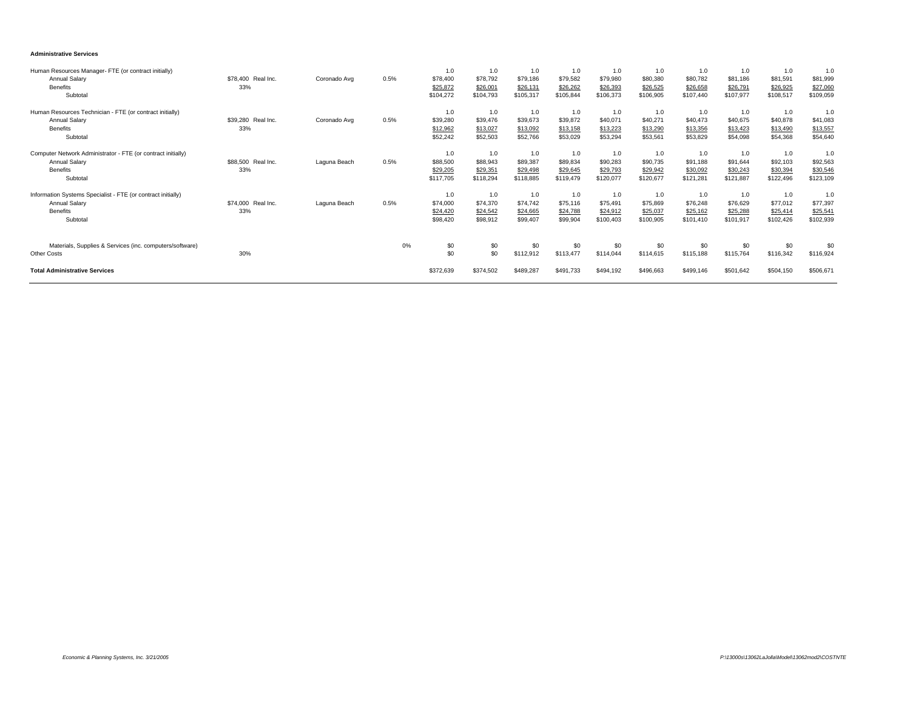#### **Administrative Services**

| Human Resources Manager- FTE (or contract initially)<br><b>Annual Salary</b><br><b>Benefits</b><br>Subtotal         | \$78,400 Real Inc.<br>33% | Coronado Avg | 0.5% | 1.0<br>\$78,400<br>\$25,872<br>\$104,272 | 1.0<br>\$78,792<br>\$26,001<br>\$104,793 | 1.0<br>\$79,186<br>\$26,131<br>\$105,317 | 1.0<br>\$79,582<br>\$26,262<br>\$105,844 | 1.0<br>\$79,980<br>\$26,393<br>\$106,373 | 1.0<br>\$80,380<br>\$26,525<br>\$106,905 | 1.0<br>\$80,782<br>\$26,658<br>\$107,440 | 1.0<br>\$81,186<br>\$26,791<br>\$107,977 | 1.0<br>\$81,591<br>\$26,925<br>\$108,517 | 1.0<br>\$81,999<br>\$27,060<br>\$109,059 |
|---------------------------------------------------------------------------------------------------------------------|---------------------------|--------------|------|------------------------------------------|------------------------------------------|------------------------------------------|------------------------------------------|------------------------------------------|------------------------------------------|------------------------------------------|------------------------------------------|------------------------------------------|------------------------------------------|
| Human Resources Technician - FTE (or contract initially)<br>Annual Salary<br><b>Benefits</b><br>Subtotal            | \$39,280 Real Inc.<br>33% | Coronado Avg | 0.5% | 1.0<br>\$39,280<br>\$12,962<br>\$52,242  | 1.0<br>\$39,476<br>\$13,027<br>\$52,503  | 1.0<br>\$39,673<br>\$13,092<br>\$52,766  | 1.0<br>\$39,872<br>\$13,158<br>\$53,029  | 1.0<br>\$40,071<br>\$13,223<br>\$53,294  | 1.0<br>\$40,271<br>\$13,290<br>\$53,561  | 1.0<br>\$40,473<br>\$13,356<br>\$53,829  | 1.0<br>\$40,675<br>\$13,423<br>\$54,098  | 1.0<br>\$40,878<br>\$13,490<br>\$54,368  | 1.0<br>\$41,083<br>\$13,557<br>\$54,640  |
| Computer Network Administrator - FTE (or contract initially)<br><b>Annual Salary</b><br><b>Benefits</b><br>Subtotal | \$88,500 Real Inc.<br>33% | Laguna Beach | 0.5% | 1.0<br>\$88,500<br>\$29,205<br>\$117,705 | 1.0<br>\$88,943<br>\$29,351<br>\$118,294 | 1.0<br>\$89,387<br>\$29,498<br>\$118,885 | 1.0<br>\$89,834<br>\$29,645<br>\$119,479 | 1.0<br>\$90,283<br>\$29,793<br>\$120,077 | 1.0<br>\$90,735<br>\$29,942<br>\$120,677 | 1.0<br>\$91,188<br>\$30,092<br>\$121,281 | 1.0<br>\$91,644<br>\$30,243<br>\$121,887 | 1.0<br>\$92,103<br>\$30,394<br>\$122,496 | 1.0<br>\$92,563<br>\$30,546<br>\$123,109 |
| Information Systems Specialist - FTE (or contract initially)<br><b>Annual Salary</b><br><b>Benefits</b><br>Subtotal | \$74,000 Real Inc.<br>33% | Laguna Beach | 0.5% | 1.0<br>\$74,000<br>\$24,420<br>\$98,420  | 1.0<br>\$74,370<br>\$24,542<br>\$98,912  | 1.0<br>\$74,742<br>\$24,665<br>\$99,407  | 1.0<br>\$75,116<br>\$24,788<br>\$99,904  | 1.0<br>\$75,491<br>\$24,912<br>\$100,403 | 1.0<br>\$75,869<br>\$25,037<br>\$100,905 | 1.0<br>\$76,248<br>\$25,162<br>\$101,410 | 1.0<br>\$76,629<br>\$25,288<br>\$101,917 | 1.0<br>\$77,012<br>\$25,414<br>\$102,426 | 1.0<br>\$77,397<br>\$25,541<br>\$102,939 |
| Materials, Supplies & Services (inc. computers/software)<br><b>Other Costs</b>                                      | 30%                       |              | 0%   | \$0<br>\$0                               | \$0<br>\$0                               | \$0<br>\$112,912                         | \$0<br>\$113,477                         | \$0<br>\$114,044                         | \$0<br>\$114,615                         | \$0<br>\$115,188                         | \$0<br>\$115,764                         | \$0<br>\$116,342                         | \$0<br>\$116,924                         |
| <b>Total Administrative Services</b>                                                                                |                           |              |      | \$372,639                                | \$374,502                                | \$489,287                                | \$491,733                                | \$494,192                                | \$496,663                                | \$499,146                                | \$501.642                                | \$504.150                                | \$506,671                                |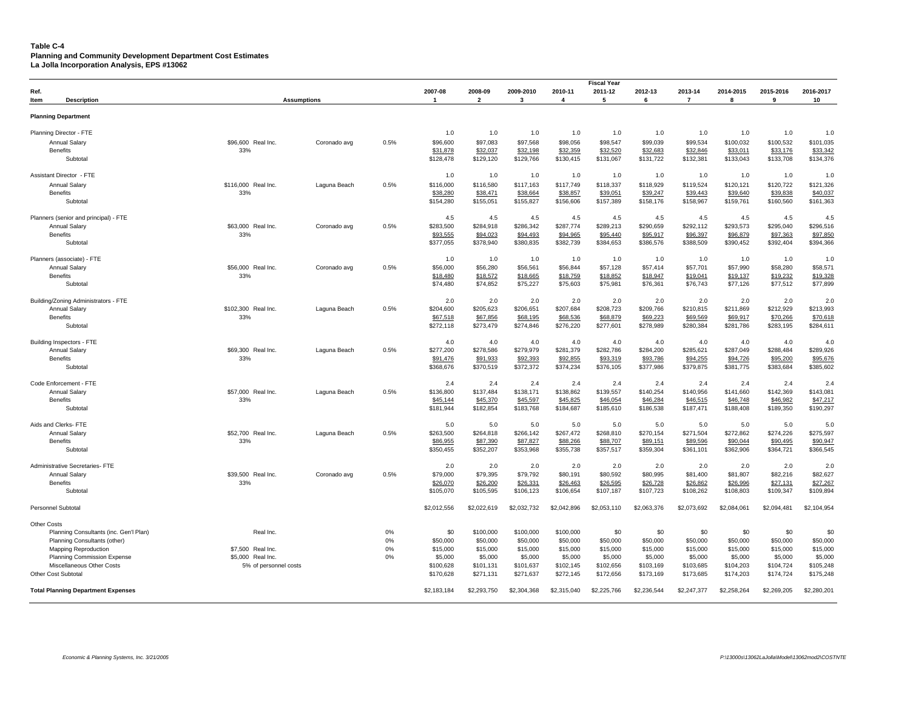## **Table C-4**

**Planning and Community Development Department Cost Estimates**

**La Jolla Incorporation Analysis, EPS #13062**

|                                           |                       |              |      |             |                         |             |                | <b>Fiscal Year</b> |             |             |             |             |             |
|-------------------------------------------|-----------------------|--------------|------|-------------|-------------------------|-------------|----------------|--------------------|-------------|-------------|-------------|-------------|-------------|
| Ref.                                      |                       |              |      | 2007-08     | 2008-09                 | 2009-2010   | 2010-11        | 2011-12            | 2012-13     | 2013-14     | 2014-2015   | 2015-2016   | 2016-2017   |
| Item<br><b>Description</b>                | <b>Assumptions</b>    |              |      | -1          | $\overline{\mathbf{2}}$ | 3           | $\overline{4}$ | 5                  | 6           | 7           | 8           | 9           | 10          |
|                                           |                       |              |      |             |                         |             |                |                    |             |             |             |             |             |
| <b>Planning Department</b>                |                       |              |      |             |                         |             |                |                    |             |             |             |             |             |
| Planning Director - FTE                   |                       |              |      | 1.0         | 1.0                     | 1.0         | 1.0            | 1.0                | 1.0         | 1.0         | 1.0         | 1.0         | 1.0         |
| <b>Annual Salary</b>                      | \$96,600 Real Inc.    | Coronado avg | 0.5% | \$96,600    | \$97,083                | \$97,568    | \$98,056       | \$98,547           | \$99,039    | \$99,534    | \$100,032   | \$100,532   | \$101,035   |
| <b>Benefits</b>                           | 33%                   |              |      | \$31,878    | \$32,037                | \$32,198    | \$32,359       | \$32,520           | \$32,683    | \$32,846    | \$33,011    | \$33,176    | \$33,342    |
| Subtotal                                  |                       |              |      | \$128,478   | \$129,120               | \$129,766   | \$130,415      | \$131,067          | \$131,722   | \$132,381   | \$133,043   | \$133,708   | \$134,376   |
|                                           |                       |              |      |             |                         |             |                |                    |             |             |             |             |             |
| Assistant Director - FTE                  |                       |              |      | 1.0         | 1.0                     | 1.0         | 1.0            | 1.0                | 1.0         | 1.0         | 1.0         | 1.0         | 1.0         |
| Annual Salary                             | \$116,000 Real Inc.   | Laguna Beach | 0.5% | \$116,000   | \$116,580               | \$117,163   | \$117,749      | \$118,337          | \$118,929   | \$119,524   | \$120,121   | \$120,722   | \$121,326   |
| <b>Benefits</b>                           | 33%                   |              |      | \$38,280    | \$38,471                | \$38,664    | \$38,857       | \$39,051           | \$39,247    | \$39,443    | \$39,640    | \$39,838    | \$40,037    |
| Subtotal                                  |                       |              |      | \$154,280   | \$155,051               | \$155,827   | \$156,606      | \$157,389          | \$158,176   | \$158,967   | \$159,761   | \$160,560   | \$161,363   |
|                                           |                       |              |      |             |                         |             |                |                    |             |             |             |             |             |
| Planners (senior and principal) - FTE     |                       |              |      | 4.5         | 4.5                     | 4.5         | 4.5            | 4.5                | 4.5         | 4.5         | 4.5         | 4.5         | 4.5         |
| <b>Annual Salary</b>                      | \$63,000 Real Inc.    | Coronado avg | 0.5% | \$283,500   | \$284,918               | \$286,342   | \$287,774      | \$289,213          | \$290,659   | \$292,112   | \$293,573   | \$295,040   | \$296,516   |
| Benefits                                  | 33%                   |              |      | \$93,555    | \$94,023                | \$94,493    | \$94,965       | \$95,440           | \$95,917    | \$96,397    | \$96,879    | \$97,363    | \$97,850    |
| Subtotal                                  |                       |              |      | \$377,055   | \$378,940               | \$380,835   | \$382,739      | \$384,653          | \$386,576   | \$388,509   | \$390,452   | \$392,404   | \$394,366   |
| Planners (associate) - FTE                |                       |              |      | 1.0         | 1.0                     | 1.0         | 1.0            | 1.0                | 1.0         | 1.0         | 1.0         | 1.0         | 1.0         |
| Annual Salary                             | \$56,000 Real Inc.    | Coronado avg | 0.5% | \$56,000    | \$56,280                | \$56,561    | \$56,844       | \$57,128           | \$57,414    | \$57,701    | \$57,990    | \$58,280    | \$58,571    |
| <b>Benefits</b>                           | 33%                   |              |      | \$18,480    | \$18,572                | \$18,665    | \$18,759       | \$18,852           | \$18,947    | \$19,041    | \$19,137    | \$19,232    | \$19,328    |
| Subtotal                                  |                       |              |      | \$74,480    | \$74,852                | \$75,227    | \$75,603       | \$75,981           | \$76,361    | \$76,743    | \$77,126    | \$77,512    | \$77,899    |
|                                           |                       |              |      |             |                         |             |                |                    |             |             |             |             |             |
| Building/Zoning Administrators - FTE      |                       |              |      | 2.0         | 2.0                     | 2.0         | 2.0            | 2.0                | 2.0         | 2.0         | 2.0         | 2.0         | 2.0         |
| <b>Annual Salary</b>                      | \$102,300 Real Inc.   | Laguna Beach | 0.5% | \$204,600   | \$205,623               | \$206,651   | \$207,684      | \$208,723          | \$209,766   | \$210,815   | \$211,869   | \$212,929   | \$213,993   |
| <b>Benefits</b>                           | 33%                   |              |      | \$67,518    | \$67,856                | \$68,195    | \$68,536       | \$68,879           | \$69,223    | \$69,569    | \$69,917    | \$70,266    | \$70,618    |
| Subtotal                                  |                       |              |      | \$272,118   | \$273,479               | \$274,846   | \$276,220      | \$277,601          | \$278,989   | \$280,384   | \$281,786   | \$283,195   | \$284,611   |
|                                           |                       |              |      |             |                         |             |                |                    |             |             |             |             |             |
| Building Inspectors - FTE                 |                       |              |      | 4.0         | 4.0                     | 4.0         | 4.0            | 4.0                | 4.0         | 4.0         | 4.0         | 4.0         | 4.0         |
| <b>Annual Salary</b>                      | \$69,300 Real Inc.    | Laguna Beach | 0.5% | \$277,200   | \$278,586               | \$279,979   | \$281,379      | \$282,786          | \$284,200   | \$285,621   | \$287,049   | \$288,484   | \$289,926   |
| <b>Benefits</b>                           | 33%                   |              |      | \$91,476    | \$91,933                | \$92,393    | \$92,855       | \$93,319           | \$93,786    | \$94,255    | \$94,726    | \$95,200    | \$95,676    |
| Subtotal                                  |                       |              |      | \$368,676   | \$370,519               | \$372,372   | \$374,234      | \$376,105          | \$377,986   | \$379,875   | \$381,775   | \$383.684   | \$385,602   |
|                                           |                       |              |      |             |                         |             |                |                    |             |             |             |             |             |
| Code Enforcement - FTE                    |                       |              |      | 2.4         | 2.4                     | 2.4         | 2.4            | 2.4                | 2.4         | 2.4         | 2.4         | 2.4         | 2.4         |
| <b>Annual Salary</b>                      | \$57,000 Real Inc.    | Laguna Beach | 0.5% | \$136,800   | \$137,484               | \$138,171   | \$138,862      | \$139,557          | \$140,254   | \$140,956   | \$141,660   | \$142,369   | \$143,081   |
| <b>Benefits</b>                           | 33%                   |              |      | \$45,144    | \$45,370                | \$45,597    | \$45,825       | \$46,054           | \$46,284    | \$46,515    | \$46,748    | \$46,982    | \$47,217    |
| Subtotal                                  |                       |              |      | \$181,944   | \$182,854               | \$183,768   | \$184,687      | \$185,610          | \$186,538   | \$187,471   | \$188,408   | \$189,350   | \$190,297   |
| Aids and Clerks-FTE                       |                       |              |      | 5.0         | 5.0                     | 5.0         | 5.0            | 5.0                | 5.0         | 5.0         | 5.0         | 5.0         | 5.0         |
| <b>Annual Salary</b>                      | \$52,700 Real Inc.    | Laguna Beach | 0.5% | \$263,500   | \$264,818               | \$266,142   | \$267,472      | \$268,810          | \$270,154   | \$271,504   | \$272,862   | \$274,226   | \$275,597   |
| <b>Benefits</b>                           | 33%                   |              |      | \$86,955    | \$87,390                | \$87,827    | \$88,266       | \$88,707           | \$89,151    | \$89,596    | \$90,044    | \$90,495    | \$90,947    |
| Subtotal                                  |                       |              |      | \$350,455   | \$352,207               | \$353,968   | \$355,738      | \$357,517          | \$359,304   | \$361,101   | \$362,906   | \$364,721   | \$366,545   |
|                                           |                       |              |      |             |                         |             |                |                    |             |             |             |             |             |
| Administrative Secretaries- FTE           |                       |              |      | 2.0         | 2.0                     | 2.0         | 2.0            | 2.0                | 2.0         | 2.0         | 2.0         | 2.0         | 2.0         |
| <b>Annual Salary</b>                      | \$39,500 Real Inc.    | Coronado avg | 0.5% | \$79,000    | \$79,395                | \$79,792    | \$80,191       | \$80,592           | \$80,995    | \$81,400    | \$81,807    | \$82,216    | \$82,627    |
| <b>Benefits</b>                           | 33%                   |              |      | \$26,070    | \$26,200                | \$26,331    | \$26,463       | \$26,595           | \$26,728    | \$26,862    | \$26,996    | \$27,131    | \$27,267    |
| Subtotal                                  |                       |              |      | \$105,070   | \$105,595               | \$106,123   | \$106,654      | \$107,187          | \$107,723   | \$108,262   | \$108,803   | \$109,347   | \$109,894   |
| Personnel Subtotal                        |                       |              |      | \$2,012,556 | \$2,022,619             | \$2,032,732 | \$2,042,896    | \$2,053,110        | \$2,063,376 | \$2,073,692 | \$2,084,061 | \$2,094,481 | \$2,104,954 |
| <b>Other Costs</b>                        |                       |              |      |             |                         |             |                |                    |             |             |             |             |             |
| Planning Consultants (inc. Gen'l Plan)    | Real Inc.             |              | 0%   | \$0         | \$100,000               | \$100,000   | \$100,000      | \$0                | \$0         | \$0         | \$0         | \$0         | \$0         |
| Planning Consultants (other)              |                       |              | 0%   | \$50,000    | \$50,000                | \$50,000    | \$50,000       | \$50,000           | \$50,000    | \$50,000    | \$50,000    | \$50,000    | \$50,000    |
| <b>Mapping Reproduction</b>               | \$7,500 Real Inc.     |              | 0%   | \$15,000    | \$15,000                | \$15,000    | \$15,000       | \$15,000           | \$15,000    | \$15,000    | \$15,000    | \$15,000    | \$15,000    |
| <b>Planning Commission Expense</b>        | \$5,000 Real Inc.     |              | 0%   | \$5,000     | \$5,000                 | \$5,000     | \$5,000        | \$5,000            | \$5,000     | \$5,000     | \$5,000     | \$5,000     | \$5,000     |
| Miscellaneous Other Costs                 | 5% of personnel costs |              |      | \$100,628   | \$101,131               | \$101,637   | \$102,145      | \$102,656          | \$103,169   | \$103,685   | \$104,203   | \$104,724   | \$105,248   |
| Other Cost Subtotal                       |                       |              |      | \$170,628   | \$271,131               | \$271,637   | \$272,145      | \$172,656          | \$173,169   | \$173,685   | \$174,203   | \$174,724   | \$175,248   |
|                                           |                       |              |      |             |                         |             |                |                    |             |             |             |             |             |
| <b>Total Planning Department Expenses</b> |                       |              |      | \$2,183,184 | \$2,293,750             | \$2,304,368 | \$2,315,040    | \$2,225,766        | \$2,236,544 | \$2,247,377 | \$2,258,264 | \$2,269,205 | \$2,280,201 |
|                                           |                       |              |      |             |                         |             |                |                    |             |             |             |             |             |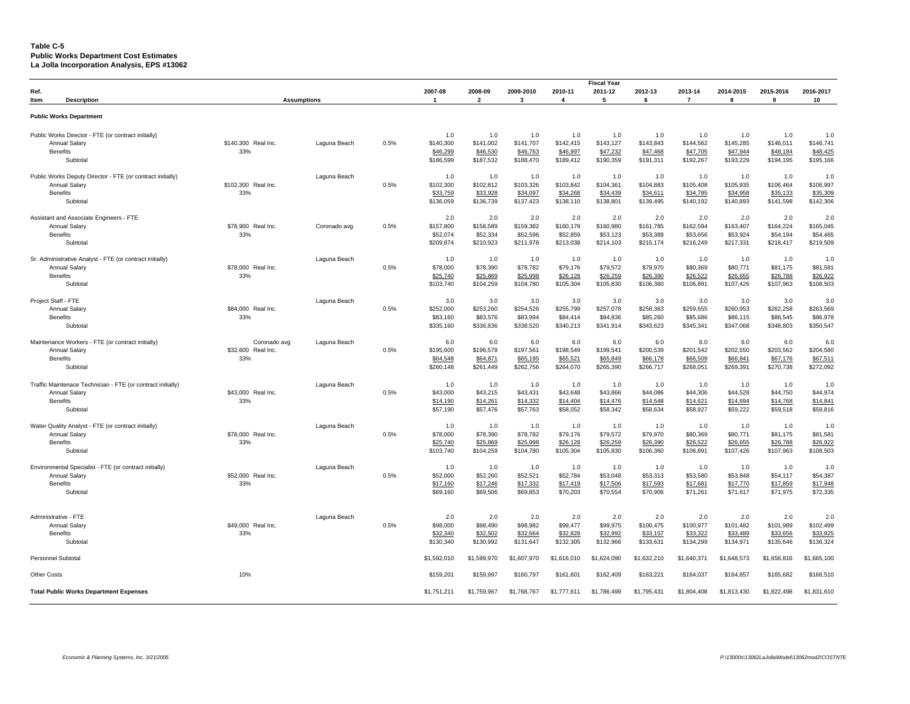#### **Table C-5 Public Works Department Cost Estimates La Jolla Incorporation Analysis, EPS #13062**

|                                                             |                     |              |      |                       |                       |                       |                         | <b>Fiscal Year</b>    |                       |                       |                       |                       |                       |
|-------------------------------------------------------------|---------------------|--------------|------|-----------------------|-----------------------|-----------------------|-------------------------|-----------------------|-----------------------|-----------------------|-----------------------|-----------------------|-----------------------|
| Ref.                                                        |                     |              |      | 2007-08               | 2008-09               | 2009-2010             | 2010-11                 | 2011-12               | 2012-13               | 2013-14               | 2014-2015             | 2015-2016             | 2016-2017             |
| Item<br><b>Description</b>                                  | <b>Assumptions</b>  |              |      | $\overline{1}$        | $\overline{2}$        | $\mathbf{3}$          | $\overline{\mathbf{4}}$ | 5                     | 6                     | $\overline{7}$        | 8                     | 9                     | 10                    |
|                                                             |                     |              |      |                       |                       |                       |                         |                       |                       |                       |                       |                       |                       |
| <b>Public Works Department</b>                              |                     |              |      |                       |                       |                       |                         |                       |                       |                       |                       |                       |                       |
| Public Works Director - FTE (or contract initially)         |                     |              |      | 1.0                   | 1.0                   | 1.0                   | 1.0                     | 1.0                   | 1.0                   | 1.0                   | 1.0                   | 1.0                   | 1.0                   |
| Annual Salary                                               | \$140,300 Real Inc. | Laguna Beach | 0.5% | \$140,300             | \$141,002             | \$141,707             | \$142,415               | \$143,127             | \$143,843             | \$144,562             | \$145.285             | \$146,011             | \$146,741             |
| <b>Benefits</b>                                             | 33%                 |              |      | \$46,299              | \$46,530              | \$46,763              | \$46,997                | \$47,232              | \$47,468              | \$47,705              | \$47,944              | \$48,184              | \$48,425              |
| Subtotal                                                    |                     |              |      | \$186,599             | \$187,532             | \$188,470             | \$189,412               | \$190,359             | \$191,311             | \$192,267             | \$193,229             | \$194,195             | \$195,166             |
|                                                             |                     |              |      |                       |                       |                       |                         |                       |                       |                       |                       |                       |                       |
| Public Works Deputy Director - FTE (or contract initially)  |                     | Laguna Beach |      | 1.0                   | 1.0                   | 1.0                   | 1.0                     | 1.0                   | 1.0                   | 1.0                   | 1.0                   | 1.0                   | 1.0                   |
| Annual Salary                                               | \$102,300 Real Inc. |              | 0.5% | \$102,300             | \$102,812             | \$103,326             | \$103,842               | \$104,361             | \$104,883             | \$105,408             | \$105,935             | \$106,464             | \$106,997             |
| <b>Benefits</b><br>Subtotal                                 | 33%                 |              |      | \$33,759<br>\$136,059 | \$33,928<br>\$136,739 | \$34,097<br>\$137,423 | \$34,268<br>\$138,110   | \$34,439<br>\$138,801 | \$34,611<br>\$139,495 | \$34,785<br>\$140,192 | \$34,958<br>\$140,893 | \$35,133<br>\$141,598 | \$35,309<br>\$142,306 |
|                                                             |                     |              |      |                       |                       |                       |                         |                       |                       |                       |                       |                       |                       |
| Assistant and Associate Engineers - FTE                     |                     |              |      | 2.0                   | 2.0                   | 2.0                   | 2.0                     | 2.0                   | 2.0                   | 2.0                   | 2.0                   | 2.0                   | 2.0                   |
| Annual Salary                                               | \$78,900 Real Inc.  | Coronado avg | 0.5% | \$157,800             | \$158,589             | \$159,382             | \$160,179               | \$160,980             | \$161,785             | \$162,594             | \$163,407             | \$164,224             | \$165,045             |
| <b>Benefits</b>                                             | 33%                 |              |      | \$52,074              | \$52,334              | \$52,596              | \$52,859                | \$53,123              | \$53,389              | \$53,656              | \$53,924              | \$54,194              | \$54,465              |
| Subtotal                                                    |                     |              |      | \$209,874             | \$210,923             | \$211,978             | \$213,038               | \$214,103             | \$215,174             | \$216,249             | \$217,331             | \$218,417             | \$219,509             |
| Sr. Administrative Analyst - FTE (or contract initially)    |                     | Laguna Beach |      | 1.0                   | 1.0                   | 1.0                   | 1.0                     | 1.0                   | 1.0                   | 1.0                   | 1.0                   | 1.0                   | 1.0                   |
| <b>Annual Salary</b>                                        | \$78,000 Real Inc.  |              | 0.5% | \$78,000              | \$78,390              | \$78,782              | \$79,176                | \$79,572              | \$79,970              | \$80.369              | \$80,771              | \$81.175              | \$81.581              |
| <b>Benefits</b>                                             | 33%                 |              |      | \$25,740              | \$25,869              | \$25,998              | \$26,128                | \$26,259              | \$26,390              | \$26,522              | \$26,655              | \$26,788              | \$26,922              |
| Subtotal                                                    |                     |              |      | \$103,740             | \$104,259             | \$104,780             | \$105,304               | \$105,830             | \$106,360             | \$106,891             | \$107,426             | \$107,963             | \$108,503             |
|                                                             |                     |              |      |                       |                       |                       |                         |                       |                       |                       |                       |                       |                       |
| Project Staff - FTE                                         |                     | Laguna Beach |      | 3.0                   | 3.0                   | 3.0                   | 3.0                     | 3.0                   | 3.0                   | 3.0                   | 3.0                   | 3.0                   | 3.0                   |
| <b>Annual Salary</b>                                        | \$84,000 Real Inc.  |              | 0.5% | \$252,000             | \$253,260             | \$254,526             | \$255,799               | \$257,078             | \$258,363             | \$259,655             | \$260,953             | \$262,258             | \$263,569             |
| <b>Benefits</b>                                             | 33%                 |              |      | \$83,160              | \$83,576              | \$83,994              | \$84,414                | \$84,836              | \$85,260              | \$85,686              | \$86,115              | \$86,545              | \$86,978              |
| Subtotal                                                    |                     |              |      | \$335,160             | \$336,836             | \$338,520             | \$340,213               | \$341,914             | \$343,623             | \$345,341             | \$347,068             | \$348,803             | \$350,547             |
| Maintenance Workers - FTE (or contract initially)           | Coronado avg        | Laguna Beach |      | 6.0                   | 6.0                   | 6.0                   | 6.0                     | 6.0                   | 6.0                   | 6.0                   | 6.0                   | 6.0                   | 6.0                   |
| Annual Salary                                               | \$32,600 Real Inc.  |              | 0.5% | \$195,600             | \$196,578             | \$197,561             | \$198,549               | \$199,541             | \$200,539             | \$201,542             | \$202,550             | \$203,562             | \$204,580             |
| Benefits                                                    | 33%                 |              |      | \$64,548              | \$64,871              | \$65,195              | \$65,521                | \$65,849              | \$66,178              | \$66,509              | \$66,841              | \$67,176              | \$67,511              |
| Subtotal                                                    |                     |              |      | \$260,148             | \$261,449             | \$262,756             | \$264,070               | \$265,390             | \$266,717             | \$268,051             | \$269,391             | \$270,738             | \$272,092             |
|                                                             |                     |              |      |                       |                       |                       |                         |                       |                       |                       |                       |                       |                       |
| Traffic Maintenace Technician - FTE (or contract initially) |                     | Laguna Beach |      | 1.0                   | 1.0                   | 1.0                   | 1.0                     | 1.0                   | 1.0                   | 1.0                   | 1.0                   | 1.0                   | 1.0                   |
| Annual Salary                                               | \$43,000 Real Inc.  |              | 0.5% | \$43,000              | \$43,215              | \$43,431              | \$43,648                | \$43,866              | \$44,086              | \$44,306              | \$44,528              | \$44,750              | \$44,974              |
| <b>Benefits</b>                                             | 33%                 |              |      | \$14,190              | \$14,261              | \$14,332              | \$14,404                | \$14,476              | \$14,548              | \$14,621              | \$14,694              | \$14,768              | \$14,841              |
| Subtotal                                                    |                     |              |      | \$57,190              | \$57,476              | \$57,763              | \$58,052                | \$58,342              | \$58,634              | \$58,927              | \$59,222              | \$59,518              | \$59,816              |
| Water Quality Analyst - FTE (or contract initially)         |                     | Laguna Beach |      | 1.0                   | 1.0                   | 1.0                   | 1.0                     | 1.0                   | 1.0                   | 1.0                   | 1.0                   | 1.0                   | 1.0                   |
| Annual Salary                                               | \$78,000 Real Inc.  |              | 0.5% | \$78,000              | \$78,390              | \$78,782              | \$79,176                | \$79,572              | \$79,970              | \$80,369              | \$80,771              | \$81,175              | \$81,581              |
| <b>Benefits</b>                                             | 33%                 |              |      | \$25,740              | \$25,869              | \$25,998              | \$26,128                | \$26,259              | \$26,390              | \$26,522              | \$26,655              | \$26,788              | \$26,922              |
| Subtotal                                                    |                     |              |      | \$103,740             | \$104,259             | \$104,780             | \$105,304               | \$105,830             | \$106,360             | \$106,891             | \$107,426             | \$107,963             | \$108,503             |
| Environmental Specialist - FTE (or contract initially)      |                     | Laguna Beach |      | 1.0                   | 1.0                   | 1.0                   | 1.0                     | 1.0                   | 1.0                   | 1.0                   | 1.0                   | 1.0                   | 1.0                   |
| Annual Salary                                               | \$52,000 Real Inc.  |              | 0.5% | \$52,000              | \$52,260              | \$52,521              | \$52,784                | \$53,048              | \$53,313              | \$53,580              | \$53,848              | \$54,117              | \$54,387              |
| <b>Benefits</b>                                             | 33%                 |              |      | \$17,160              | \$17,246              | \$17,332              | \$17,419                | \$17,506              | \$17,593              | \$17,681              | \$17,770              | \$17,859              | \$17,948              |
| Subtotal                                                    |                     |              |      | \$69,160              | \$69,506              | \$69,853              | \$70,203                | \$70,554              | \$70,906              | \$71,261              | \$71,617              | \$71,975              | \$72,335              |
|                                                             |                     |              |      |                       |                       |                       |                         |                       |                       |                       |                       |                       |                       |
| Administrative - FTE                                        |                     | Laguna Beach |      | 2.0                   | 2.0                   | 2.0                   | 2.0                     | 2.0                   | 2.0                   | 2.0                   | 2.0                   | 2.0                   | 2.0                   |
| Annual Salary                                               | \$49,000 Real Inc.  |              | 0.5% | \$98,000              | \$98,490              | \$98,982              | \$99,477                | \$99,975              | \$100,475             | \$100,977             | \$101,482             | \$101,989             | \$102,499             |
| <b>Benefits</b>                                             | 33%                 |              |      | \$32,340              | \$32,502              | \$32,664              | \$32,828                | \$32,992              | \$33,157              | \$33,322              | \$33,489              | \$33,656              | \$33,825              |
| Subtotal                                                    |                     |              |      | \$130,340             | \$130,992             | \$131,647             | \$132,305               | \$132,966             | \$133,631             | \$134,299             | \$134,971             | \$135,646             | \$136,324             |
| <b>Personnel Subtotal</b>                                   |                     |              |      | \$1,592,010           | \$1,599,970           | \$1,607,970           | \$1,616,010             | \$1,624,090           | \$1,632,210           | \$1,640,371           | \$1,648,573           | \$1,656,816           | \$1,665,100           |
| <b>Other Costs</b>                                          | 10%                 |              |      | \$159,201             | \$159,997             | \$160,797             | \$161,601               | \$162,409             | \$163,221             | \$164,037             | \$164,857             | \$165,682             | \$166,510             |
| <b>Total Public Works Department Expenses</b>               |                     |              |      | \$1,751,211           | \$1,759,967           | \$1,768,767           | \$1,777,611             | \$1,786,499           | \$1,795,431           | \$1,804,408           | \$1,813,430           | \$1,822,498           | \$1,831,610           |
|                                                             |                     |              |      |                       |                       |                       |                         |                       |                       |                       |                       |                       |                       |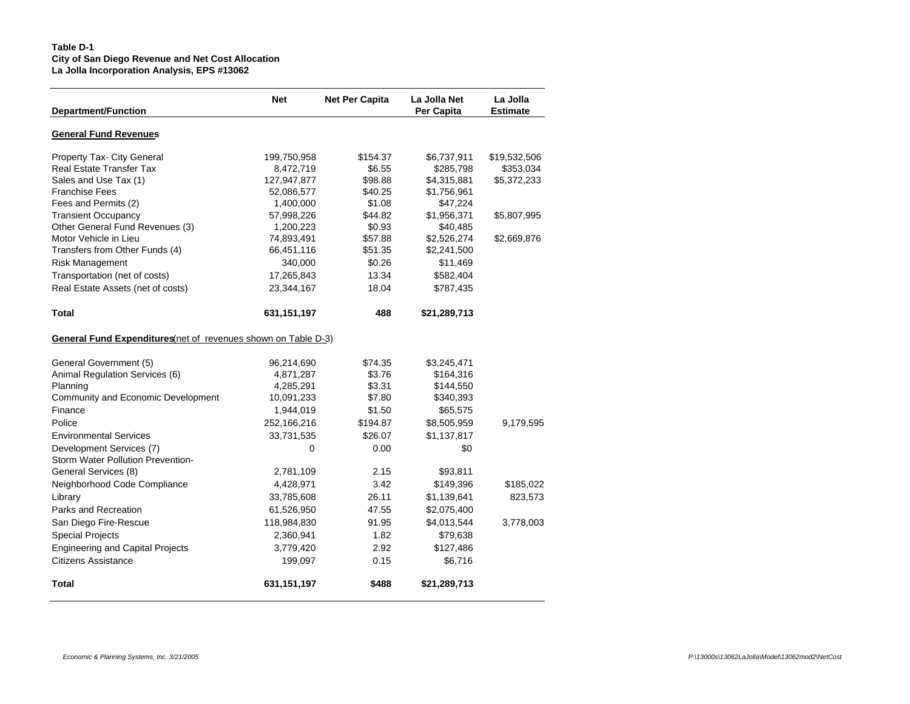# **Table D-1 City of San Diego Revenue and Net Cost Allocation La Jolla Incorporation Analysis, EPS #13062**

| <b>Department/Function</b>                                     | <b>Net</b>  | <b>Net Per Capita</b> | La Jolla Net<br><b>Per Capita</b> | La Jolla<br><b>Estimate</b> |
|----------------------------------------------------------------|-------------|-----------------------|-----------------------------------|-----------------------------|
| <b>General Fund Revenues</b>                                   |             |                       |                                   |                             |
| Property Tax- City General                                     | 199,750,958 | \$154.37              | \$6,737,911                       | \$19,532,506                |
| <b>Real Estate Transfer Tax</b>                                | 8,472,719   | \$6.55                | \$285,798                         | \$353,034                   |
| Sales and Use Tax (1)                                          | 127,947,877 | \$98.88               | \$4,315,881                       | \$5,372,233                 |
| <b>Franchise Fees</b>                                          | 52,086,577  | \$40.25               | \$1,756,961                       |                             |
| Fees and Permits (2)                                           | 1,400,000   | \$1.08                | \$47,224                          |                             |
| <b>Transient Occupancy</b>                                     | 57,998,226  | \$44.82               | \$1,956,371                       | \$5,807,995                 |
| Other General Fund Revenues (3)                                | 1,200,223   | \$0.93                | \$40,485                          |                             |
| Motor Vehicle in Lieu                                          | 74,893,491  | \$57.88               | \$2,526,274                       | \$2,669,876                 |
| Transfers from Other Funds (4)                                 | 66,451,116  | \$51.35               | \$2,241,500                       |                             |
| Risk Management                                                | 340,000     | \$0.26                | \$11,469                          |                             |
| Transportation (net of costs)                                  | 17,265,843  | 13.34                 | \$582,404                         |                             |
| Real Estate Assets (net of costs)                              | 23,344,167  | 18.04                 | \$787,435                         |                             |
| <b>Total</b>                                                   | 631,151,197 | 488                   | \$21,289,713                      |                             |
| General Fund Expenditures (net of revenues shown on Table D-3) |             |                       |                                   |                             |
| General Government (5)                                         | 96,214,690  | \$74.35               | \$3,245,471                       |                             |
| Animal Regulation Services (6)                                 | 4,871,287   | \$3.76                | \$164,316                         |                             |
| Planning                                                       | 4,285,291   | \$3.31                | \$144,550                         |                             |
| Community and Economic Development                             | 10,091,233  | \$7.80                | \$340,393                         |                             |
| Finance                                                        | 1,944,019   | \$1.50                | \$65,575                          |                             |
| Police                                                         | 252,166,216 | \$194.87              | \$8,505,959                       | 9,179,595                   |
| <b>Environmental Services</b>                                  | 33,731,535  | \$26.07               | \$1,137,817                       |                             |
| Development Services (7)                                       | 0           | 0.00                  | \$0                               |                             |
| Storm Water Pollution Prevention-                              |             |                       |                                   |                             |
| General Services (8)                                           | 2,781,109   | 2.15                  | \$93,811                          |                             |
| Neighborhood Code Compliance                                   | 4,428,971   | 3.42                  | \$149,396                         | \$185,022                   |
| Library                                                        | 33,785,608  | 26.11                 | \$1,139,641                       | 823,573                     |
| Parks and Recreation                                           | 61,526,950  | 47.55                 | \$2,075,400                       |                             |
| San Diego Fire-Rescue                                          | 118,984,830 | 91.95                 | \$4,013,544                       | 3,778,003                   |
| <b>Special Projects</b>                                        | 2,360,941   | 1.82                  | \$79,638                          |                             |
| <b>Engineering and Capital Projects</b>                        | 3,779,420   | 2.92                  | \$127,486                         |                             |
| Citizens Assistance                                            | 199,097     | 0.15                  | \$6,716                           |                             |
| <b>Total</b>                                                   | 631,151,197 | \$488                 | \$21,289,713                      |                             |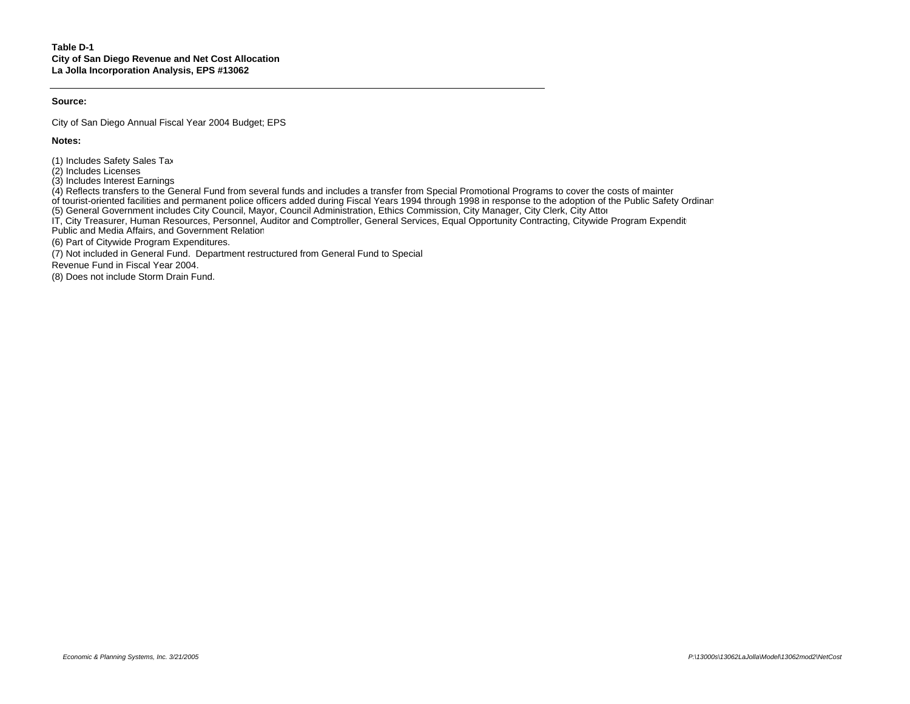## **Source:**

City of San Diego Annual Fiscal Year 2004 Budget; EPS

**Notes:**

(1) Includes Safety Sales Tax.

(2) Includes Licenses.

(3) Includes Interest Earnings.

 $(4)$  Reflects transfers to the General Fund from several funds and includes a transfer from Special Promotional Programs to cover the costs of mainter

of tourist-oriented facilities and permanent police officers added during Fiscal Years 1994 through 1998 in response to the adoption of the Public Safety Ordinan

(5) General Government includes City Council, Mayor, Council Administration, Ethics Commission, City Manager, City Clerk, City Attor

IT, City Treasurer, Human Resources, Personnel, Auditor and Comptroller, General Services, Equal Opportunity Contracting, Citywide Program Expenditures, Ferry Contracting, Citywide Program Expenditures, Citywide Program Ex

Public and Media Affairs, and Government Relation

(6) Part of Citywide Program Expenditures.

(7) Not included in General Fund. Department restructured from General Fund to Special

Revenue Fund in Fiscal Year 2004.

(8) Does not include Storm Drain Fund.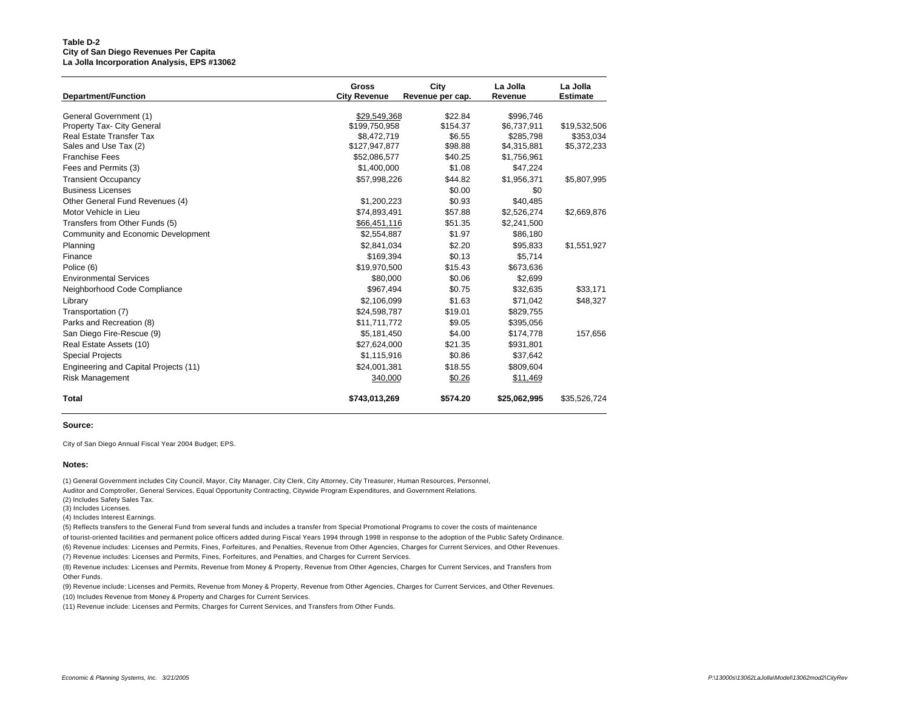#### **Table D-2 City of San Diego Revenues Per Capita La Jolla Incorporation Analysis, EPS #13062**

| <b>Department/Function</b>            | <b>Gross</b><br><b>City Revenue</b> | City<br>Revenue per cap. | La Jolla<br>Revenue | La Jolla<br><b>Estimate</b> |
|---------------------------------------|-------------------------------------|--------------------------|---------------------|-----------------------------|
| General Government (1)                | \$29,549,368                        | \$22.84                  | \$996,746           |                             |
| Property Tax- City General            | \$199,750,958                       | \$154.37                 | \$6,737,911         | \$19,532,506                |
| <b>Real Estate Transfer Tax</b>       | \$8,472,719                         | \$6.55                   | \$285,798           | \$353,034                   |
| Sales and Use Tax (2)                 | \$127,947,877                       | \$98.88                  | \$4,315,881         | \$5,372,233                 |
| <b>Franchise Fees</b>                 | \$52,086,577                        | \$40.25                  | \$1,756,961         |                             |
| Fees and Permits (3)                  | \$1,400,000                         | \$1.08                   | \$47,224            |                             |
| <b>Transient Occupancy</b>            | \$57,998,226                        | \$44.82                  | \$1,956,371         | \$5,807,995                 |
| <b>Business Licenses</b>              |                                     | \$0.00                   | \$0                 |                             |
| Other General Fund Revenues (4)       | \$1,200,223                         | \$0.93                   | \$40,485            |                             |
| Motor Vehicle in Lieu                 | \$74,893,491                        | \$57.88                  | \$2,526,274         | \$2,669,876                 |
| Transfers from Other Funds (5)        | \$66,451,116                        | \$51.35                  | \$2,241,500         |                             |
| Community and Economic Development    | \$2,554,887                         | \$1.97                   | \$86,180            |                             |
| Planning                              | \$2,841,034                         | \$2.20                   | \$95,833            | \$1,551,927                 |
| Finance                               | \$169.394                           | \$0.13                   | \$5.714             |                             |
| Police (6)                            | \$19,970,500                        | \$15.43                  | \$673,636           |                             |
| <b>Environmental Services</b>         | \$80,000                            | \$0.06                   | \$2,699             |                             |
| Neighborhood Code Compliance          | \$967.494                           | \$0.75                   | \$32,635            | \$33,171                    |
| Library                               | \$2,106,099                         | \$1.63                   | \$71,042            | \$48,327                    |
| Transportation (7)                    | \$24,598,787                        | \$19.01                  | \$829,755           |                             |
| Parks and Recreation (8)              | \$11,711,772                        | \$9.05                   | \$395,056           |                             |
| San Diego Fire-Rescue (9)             | \$5,181,450                         | \$4.00                   | \$174,778           | 157,656                     |
| Real Estate Assets (10)               | \$27,624,000                        | \$21.35                  | \$931,801           |                             |
| <b>Special Projects</b>               | \$1,115,916                         | \$0.86                   | \$37,642            |                             |
| Engineering and Capital Projects (11) | \$24,001,381                        | \$18.55                  | \$809,604           |                             |
| <b>Risk Management</b>                | 340,000                             | \$0.26                   | \$11,469            |                             |
| Total                                 | \$743,013,269                       | \$574.20                 | \$25,062,995        | \$35,526,724                |

#### **Source:**

City of San Diego Annual Fiscal Year 2004 Budget; EPS.

#### **Notes:**

(1) General Government includes City Council, Mayor, City Manager, City Clerk, City Attorney, City Treasurer, Human Resources, Personnel, Auditor and Comptroller, General Services, Equal Opportunity Contracting, Citywide Program Expenditures, and Government Relations. (2) Includes Safety Sales Tax.

(3) Includes Licenses.

(4) Includes Interest Earnings.

(5) Reflects transfers to the General Fund from several funds and includes a transfer from Special Promotional Programs to cover the costs of maintenance

of tourist-oriented facilities and permanent police officers added during Fiscal Years 1994 through 1998 in response to the adoption of the Public Safety Ordinance. (6) Revenue includes: Licenses and Permits, Fines, Forfeitures, and Penalties, Revenue from Other Agencies, Charges for Current Services, and Other Revenues.

(7) Revenue includes: Licenses and Permits, Fines, Forfeitures, and Penalties, and Charges for Current Services.

(8) Revenue includes: Licenses and Permits, Revenue from Money & Property, Revenue from Other Agencies, Charges for Current Services, and Transfers from Other Funds.

(9) Revenue include: Licenses and Permits, Revenue from Money & Property, Revenue from Other Agencies, Charges for Current Services, and Other Revenues. (10) Includes Revenue from Money & Property and Charges for Current Services.

(11) Revenue include: Licenses and Permits, Charges for Current Services, and Transfers from Other Funds.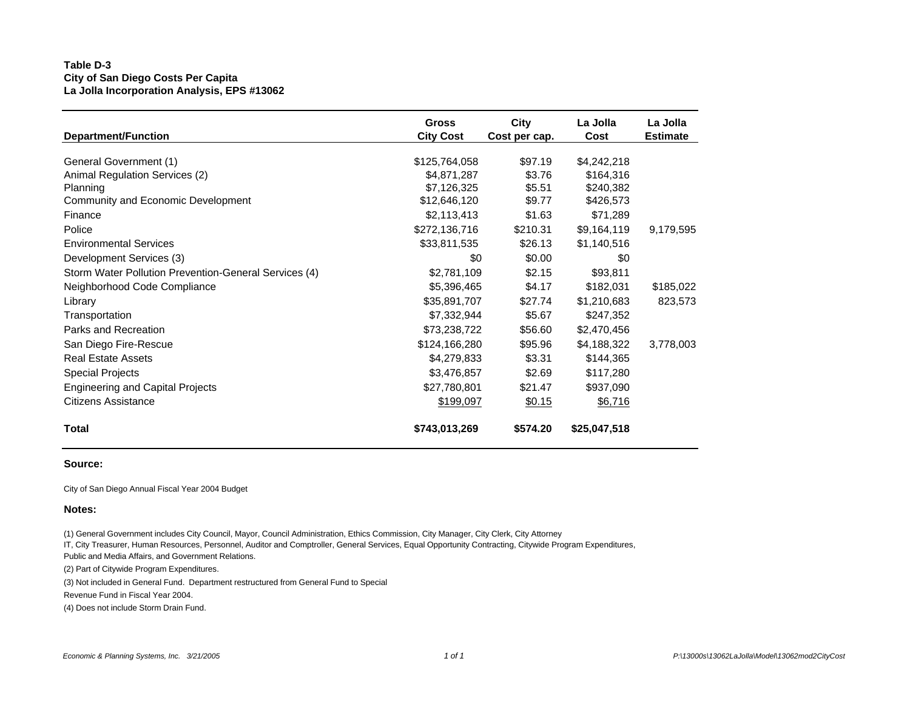# **Table D-3 City of San Diego Costs Per Capita La Jolla Incorporation Analysis, EPS #13062**

| <b>Department/Function</b>                            | <b>Gross</b>     | City          | La Jolla     | La Jolla        |
|-------------------------------------------------------|------------------|---------------|--------------|-----------------|
|                                                       | <b>City Cost</b> | Cost per cap. | Cost         | <b>Estimate</b> |
| General Government (1)                                | \$125,764,058    | \$97.19       | \$4,242,218  |                 |
| Animal Regulation Services (2)                        | \$4,871,287      | \$3.76        | \$164,316    |                 |
| Planning                                              | \$7,126,325      | \$5.51        | \$240,382    |                 |
| Community and Economic Development                    | \$12,646,120     | \$9.77        | \$426,573    |                 |
| Finance                                               | \$2,113,413      | \$1.63        | \$71,289     | 9,179,595       |
| Police                                                | \$272,136,716    | \$210.31      | \$9,164,119  |                 |
| <b>Environmental Services</b>                         | \$33,811,535     | \$26.13       | \$1,140,516  |                 |
| Development Services (3)                              | \$0              | \$0.00        | \$0          | \$185,022       |
| Storm Water Pollution Prevention-General Services (4) | \$2,781,109      | \$2.15        | \$93,811     |                 |
| Neighborhood Code Compliance                          | \$5,396,465      | \$4.17        | \$182,031    |                 |
| Library                                               | \$35,891,707     | \$27.74       | \$1,210,683  | 823,573         |
| Transportation                                        | \$7,332,944      | \$5.67        | \$247,352    |                 |
| Parks and Recreation                                  | \$73,238,722     | \$56.60       | \$2,470,456  | 3,778,003       |
| San Diego Fire-Rescue                                 | \$124,166,280    | \$95.96       | \$4,188,322  |                 |
| <b>Real Estate Assets</b>                             | \$4,279,833      | \$3.31        | \$144,365    |                 |
| <b>Special Projects</b>                               | \$3,476,857      | \$2.69        | \$117,280    |                 |
| <b>Engineering and Capital Projects</b>               | \$27,780,801     | \$21.47       | \$937,090    |                 |
| Citizens Assistance                                   | \$199,097        | \$0.15        | \$6,716      |                 |
| <b>Total</b>                                          | \$743,013,269    | \$574.20      | \$25,047,518 |                 |

## **Source:**

City of San Diego Annual Fiscal Year 2004 Budget

## **Notes:**

(1) General Government includes City Council, Mayor, Council Administration, Ethics Commission, City Manager, City Clerk, City Attorney

IT, City Treasurer, Human Resources, Personnel, Auditor and Comptroller, General Services, Equal Opportunity Contracting, Citywide Program Expenditures,

Public and Media Affairs, and Government Relations.

(2) Part of Citywide Program Expenditures.

(3) Not included in General Fund. Department restructured from General Fund to Special

Revenue Fund in Fiscal Year 2004.

(4) Does not include Storm Drain Fund.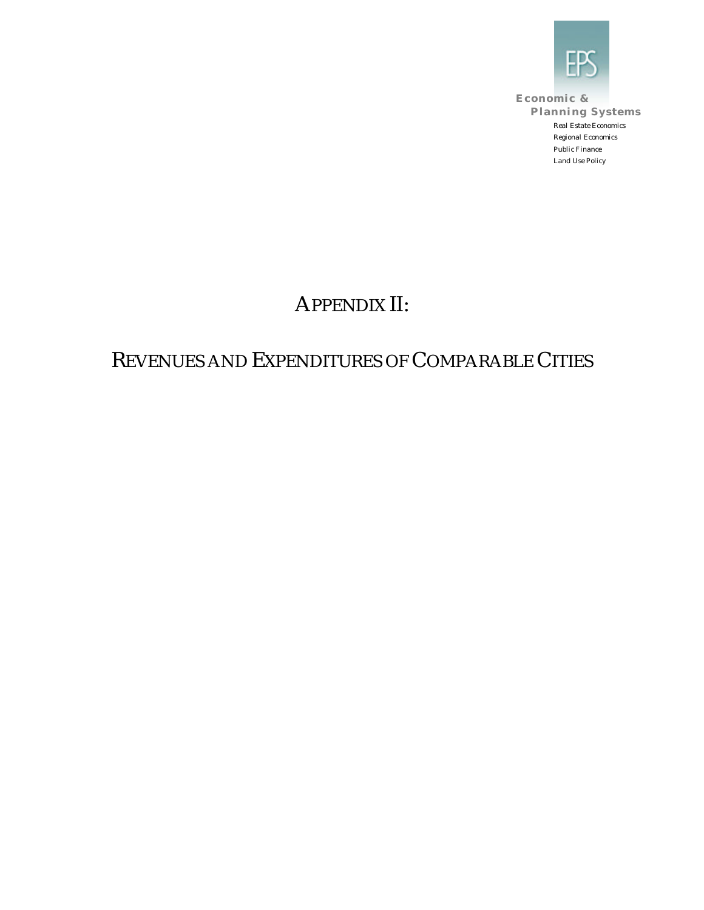

**Economic & Planning Systems** *Real Estate Economics Regional Economics Public Finance Land Use Policy*

# APPENDIX II:

# REVENUES AND EXPENDITURES OF COMPARABLE CITIES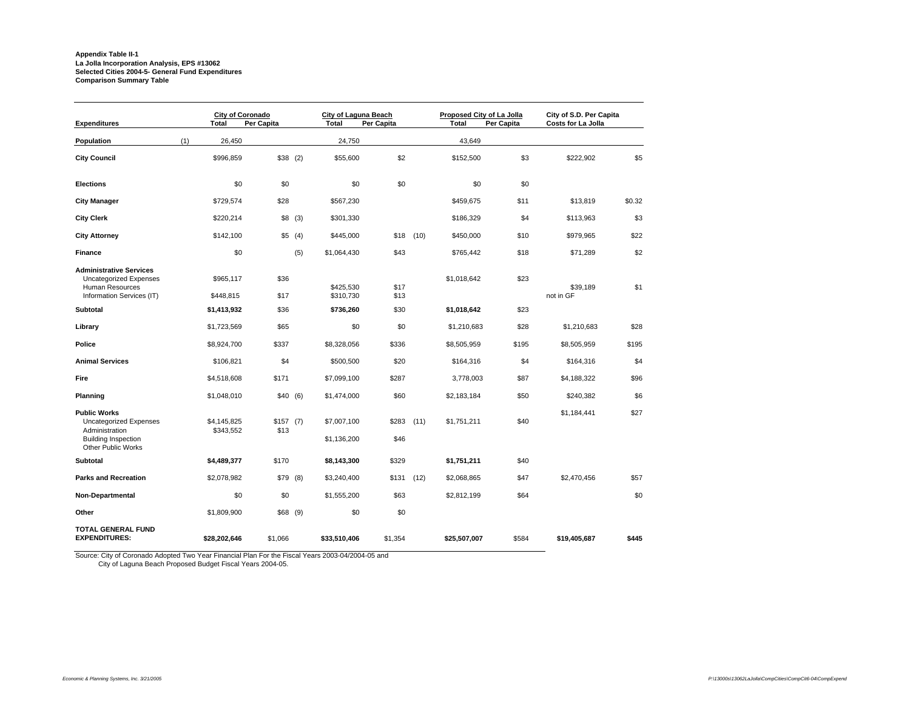# **Appendix Table II-1 La Jolla Incorporation Analysis, EPS #13062 Selected Cities 2004-5- General Fund Expenditures Comparison Summary Table**

| <b>Expenditures</b>                                                                                                        | <b>City of Coronado</b><br><b>Total</b> | Per Capita         |        | City of Laguna Beach<br><b>Total</b> | Per Capita    |      | Proposed City of La Jolla<br><b>Total</b> | Per Capita | City of S.D. Per Capita<br>Costs for La Jolla |        |
|----------------------------------------------------------------------------------------------------------------------------|-----------------------------------------|--------------------|--------|--------------------------------------|---------------|------|-------------------------------------------|------------|-----------------------------------------------|--------|
| Population                                                                                                                 | (1)<br>26,450                           |                    |        | 24,750                               |               |      | 43,649                                    |            |                                               |        |
| <b>City Council</b>                                                                                                        | \$996,859                               | $$38$ (2)          |        | \$55,600                             | \$2           |      | \$152,500                                 | \$3        | \$222,902                                     | \$5    |
| <b>Elections</b>                                                                                                           | \$0                                     | \$0                |        | \$0                                  | \$0           |      | \$0                                       | \$0        |                                               |        |
| <b>City Manager</b>                                                                                                        | \$729,574                               | \$28               |        | \$567,230                            |               |      | \$459,675                                 | \$11       | \$13,819                                      | \$0.32 |
| <b>City Clerk</b>                                                                                                          | \$220,214                               |                    | \$8(3) | \$301,330                            |               |      | \$186,329                                 | \$4        | \$113,963                                     | \$3    |
| <b>City Attorney</b>                                                                                                       | \$142,100                               | \$5(4)             |        | \$445,000                            | \$18          | (10) | \$450,000                                 | \$10       | \$979,965                                     | \$22   |
| <b>Finance</b>                                                                                                             | \$0                                     |                    | (5)    | \$1,064,430                          | \$43          |      | \$765,442                                 | \$18       | \$71,289                                      | \$2    |
| <b>Administrative Services</b><br><b>Uncategorized Expenses</b><br>Human Resources                                         | \$965,117                               | \$36               |        | \$425,530                            | \$17          |      | \$1,018,642                               | \$23       | \$39,189                                      | \$1    |
| Information Services (IT)<br><b>Subtotal</b>                                                                               | \$448,815                               | \$17               |        | \$310,730                            | \$13<br>\$30  |      |                                           | \$23       | not in GF                                     |        |
|                                                                                                                            | \$1,413,932                             | \$36               |        | \$736,260                            |               |      | \$1,018,642                               |            |                                               |        |
| Library                                                                                                                    | \$1,723,569                             | \$65               |        | \$0                                  | \$0           |      | \$1,210,683                               | \$28       | \$1,210,683                                   | \$28   |
| Police                                                                                                                     | \$8,924,700                             | \$337              |        | \$8,328,056                          | \$336         |      | \$8,505,959                               | \$195      | \$8,505,959                                   | \$195  |
| <b>Animal Services</b>                                                                                                     | \$106,821                               | \$4                |        | \$500,500                            | \$20          |      | \$164,316                                 | \$4        | \$164,316                                     | \$4    |
| Fire                                                                                                                       | \$4,518,608                             | \$171              |        | \$7,099,100                          | \$287         |      | 3,778,003                                 | \$87       | \$4,188,322                                   | \$96   |
| Planning                                                                                                                   | \$1,048,010                             | \$40(6)            |        | \$1,474,000                          | \$60          |      | \$2,183,184                               | \$50       | \$240,382                                     | \$6    |
| <b>Public Works</b><br>Uncategorized Expenses<br>Administration<br><b>Building Inspection</b><br><b>Other Public Works</b> | \$4,145,825<br>\$343,552                | $$157$ (7)<br>\$13 |        | \$7,007,100<br>\$1,136,200           | \$283<br>\$46 | (11) | \$1,751,211                               | \$40       | \$1,184,441                                   | \$27   |
| Subtotal                                                                                                                   | \$4,489,377                             | \$170              |        | \$8,143,300                          | \$329         |      | \$1,751,211                               | \$40       |                                               |        |
| <b>Parks and Recreation</b>                                                                                                | \$2,078,982                             | $$79$ (8)          |        | \$3,240,400                          | \$131         | (12) | \$2,068,865                               | \$47       | \$2,470,456                                   | \$57   |
| Non-Departmental                                                                                                           | \$0                                     | \$0                |        | \$1,555,200                          | \$63          |      | \$2,812,199                               | \$64       |                                               | \$0    |
| Other                                                                                                                      | \$1,809,900                             | $$68$ (9)          |        | \$0                                  | \$0           |      |                                           |            |                                               |        |
| TOTAL GENERAL FUND<br><b>EXPENDITURES:</b>                                                                                 | \$28,202,646                            | \$1,066            |        | \$33,510,406                         | \$1,354       |      | \$25,507,007                              | \$584      | \$19,405,687                                  | \$445  |

Source: City of Coronado Adopted Two Year Financial Plan For the Fiscal Years 2003-04/2004-05 and City of Laguna Beach Proposed Budget Fiscal Years 2004-05.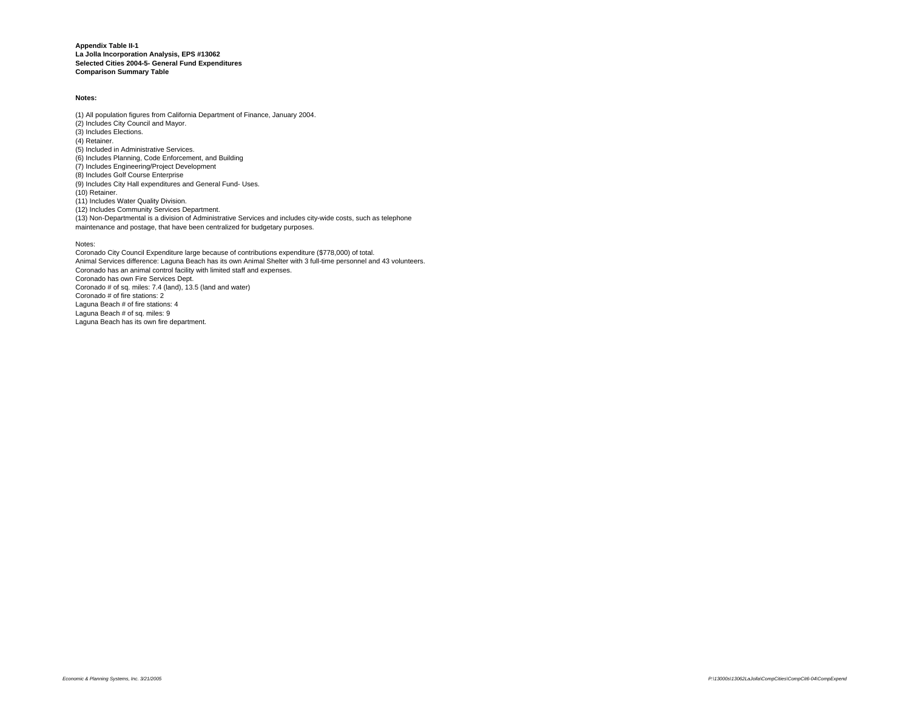**Appendix Table II-1 La Jolla Incorporation Analysis, EPS #13062 Selected Cities 2004-5- General Fund Expenditures Comparison Summary Table**

#### **Notes:**

(1) All population figures from California Department of Finance, January 2004. (2) Includes City Council and Mayor. (3) Includes Elections. (4) Retainer. (5) Included in Administrative Services. (6) Includes Planning, Code Enforcement, and Building (7) Includes Engineering/Project Development (8) Includes Golf Course Enterprise (9) Includes City Hall expenditures and General Fund- Uses. (10) Retainer. (11) Includes Water Quality Division. (12) Includes Community Services Department. (13) Non-Departmental is a division of Administrative Services and includes city-wide costs, such as telephone

maintenance and postage, that have been centralized for budgetary purposes.

#### Notes:

Coronado City Council Expenditure large because of contributions expenditure (\$778,000) of total. Animal Services difference: Laguna Beach has its own Animal Shelter with 3 full-time personnel and 43 volunteers. Coronado has an animal control facility with limited staff and expenses. Coronado has own Fire Services Dept. Coronado # of sq. miles: 7.4 (land), 13.5 (land and water) Coronado # of fire stations: 2 Laguna Beach # of fire stations: 4 Laguna Beach # of sq. miles: 9 Laguna Beach has its own fire department.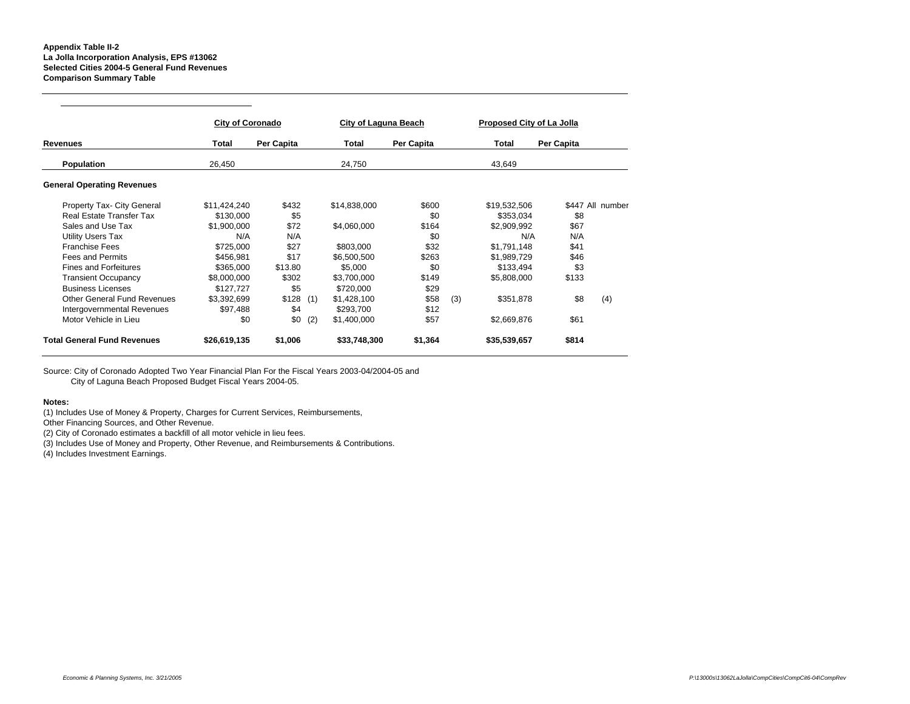#### **Appendix Table II-2 La Jolla Incorporation Analysis, EPS #13062 Selected Cities 2004-5 General Fund Revenues Comparison Summary Table**

|                                    | <b>City of Coronado</b> |            |     | City of Laguna Beach |            |     | Proposed City of La Jolla |            |                  |
|------------------------------------|-------------------------|------------|-----|----------------------|------------|-----|---------------------------|------------|------------------|
| Revenues                           | Total                   | Per Capita |     | Total                | Per Capita |     | Total                     | Per Capita |                  |
| Population                         | 26,450                  |            |     | 24,750               |            |     | 43,649                    |            |                  |
| <b>General Operating Revenues</b>  |                         |            |     |                      |            |     |                           |            |                  |
| Property Tax- City General         | \$11,424,240            | \$432      |     | \$14,838,000         | \$600      |     | \$19,532,506              |            | \$447 All number |
| Real Estate Transfer Tax           | \$130,000               | \$5        |     |                      | \$0        |     | \$353,034                 | \$8        |                  |
| Sales and Use Tax                  | \$1.900.000             | \$72       |     | \$4,060,000          | \$164      |     | \$2.909.992               | \$67       |                  |
| <b>Utility Users Tax</b>           | N/A                     | N/A        |     |                      | \$0        |     | N/A                       | N/A        |                  |
| <b>Franchise Fees</b>              | \$725,000               | \$27       |     | \$803,000            | \$32       |     | \$1,791,148               | \$41       |                  |
| <b>Fees and Permits</b>            | \$456,981               | \$17       |     | \$6,500,500          | \$263      |     | \$1,989,729               | \$46       |                  |
| <b>Fines and Forfeitures</b>       | \$365,000               | \$13.80    |     | \$5,000              | \$0        |     | \$133,494                 | \$3        |                  |
| <b>Transient Occupancy</b>         | \$8,000,000             | \$302      |     | \$3,700,000          | \$149      |     | \$5,808,000               | \$133      |                  |
| <b>Business Licenses</b>           | \$127.727               | \$5        |     | \$720,000            | \$29       |     |                           |            |                  |
| Other General Fund Revenues        | \$3,392,699             | \$128      | (1) | \$1,428,100          | \$58       | (3) | \$351,878                 | \$8        | (4)              |
| Intergovernmental Revenues         | \$97.488                | \$4        |     | \$293,700            | \$12       |     |                           |            |                  |
| Motor Vehicle in Lieu              | \$0                     | \$0        | (2) | \$1,400,000          | \$57       |     | \$2,669,876               | \$61       |                  |
| <b>Total General Fund Revenues</b> | \$26,619,135            | \$1,006    |     | \$33,748,300         | \$1,364    |     | \$35,539,657              | \$814      |                  |

Source: City of Coronado Adopted Two Year Financial Plan For the Fiscal Years 2003-04/2004-05 and City of Laguna Beach Proposed Budget Fiscal Years 2004-05.

## **Notes:**

(1) Includes Use of Money & Property, Charges for Current Services, Reimbursements,

Other Financing Sources, and Other Revenue.

(2) City of Coronado estimates a backfill of all motor vehicle in lieu fees.

(3) Includes Use of Money and Property, Other Revenue, and Reimbursements & Contributions.

(4) Includes Investment Earnings.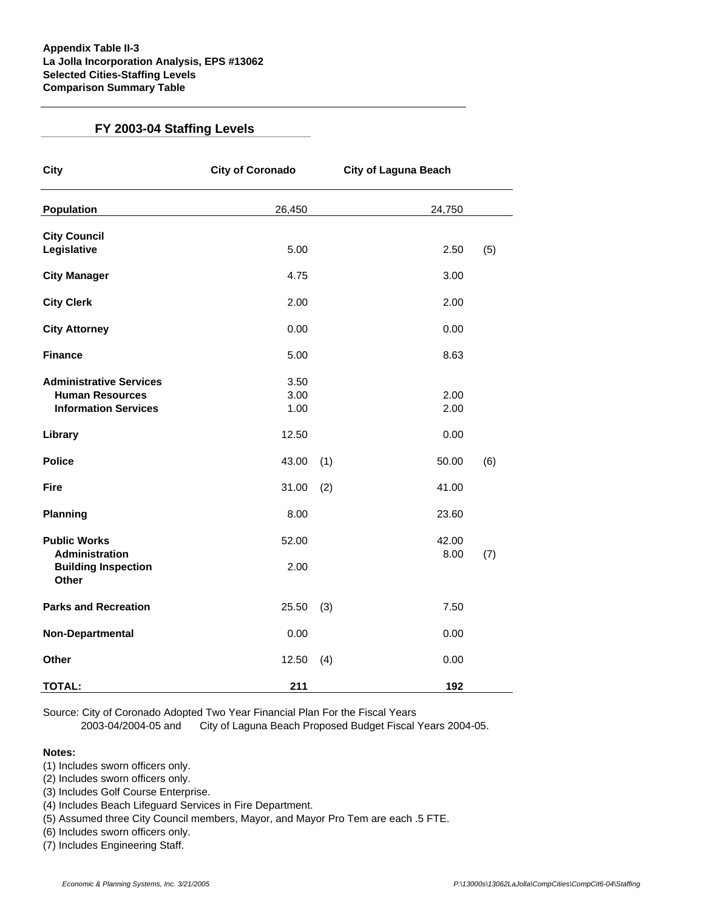# **FY 2003-04 Staffing Levels**

| <b>City</b>                                                                             | <b>City of Coronado</b> |     | <b>City of Laguna Beach</b> |     |  |
|-----------------------------------------------------------------------------------------|-------------------------|-----|-----------------------------|-----|--|
| <b>Population</b>                                                                       | 26,450                  |     | 24,750                      |     |  |
| <b>City Council</b><br>Legislative                                                      | 5.00                    |     | 2.50                        | (5) |  |
| <b>City Manager</b>                                                                     | 4.75                    |     | 3.00                        |     |  |
| <b>City Clerk</b>                                                                       | 2.00                    |     | 2.00                        |     |  |
| <b>City Attorney</b>                                                                    | 0.00                    |     | 0.00                        |     |  |
| <b>Finance</b>                                                                          | 5.00                    |     | 8.63                        |     |  |
| <b>Administrative Services</b><br><b>Human Resources</b><br><b>Information Services</b> | 3.50<br>3.00<br>1.00    |     | 2.00<br>2.00                |     |  |
| Library                                                                                 | 12.50                   |     | 0.00                        |     |  |
| <b>Police</b>                                                                           | 43.00                   | (1) | 50.00                       | (6) |  |
| <b>Fire</b>                                                                             | 31.00                   | (2) | 41.00                       |     |  |
| <b>Planning</b>                                                                         | 8.00                    |     | 23.60                       |     |  |
| <b>Public Works</b><br>Administration                                                   | 52.00                   |     | 42.00<br>8.00               | (7) |  |
| <b>Building Inspection</b><br><b>Other</b>                                              | 2.00                    |     |                             |     |  |
| <b>Parks and Recreation</b>                                                             | 25.50                   | (3) | 7.50                        |     |  |
| Non-Departmental                                                                        | 0.00                    |     | 0.00                        |     |  |
| Other                                                                                   | 12.50                   | (4) | 0.00                        |     |  |
| <b>TOTAL:</b>                                                                           | 211                     |     | 192                         |     |  |

Source: City of Coronado Adopted Two Year Financial Plan For the Fiscal Years

2003-04/2004-05 and City of Laguna Beach Proposed Budget Fiscal Years 2004-05.

# **Notes:**

- (1) Includes sworn officers only.
- (2) Includes sworn officers only.
- (3) Includes Golf Course Enterprise.
- (4) Includes Beach Lifeguard Services in Fire Department.
- (5) Assumed three City Council members, Mayor, and Mayor Pro Tem are each .5 FTE.
- (6) Includes sworn officers only.
- (7) Includes Engineering Staff.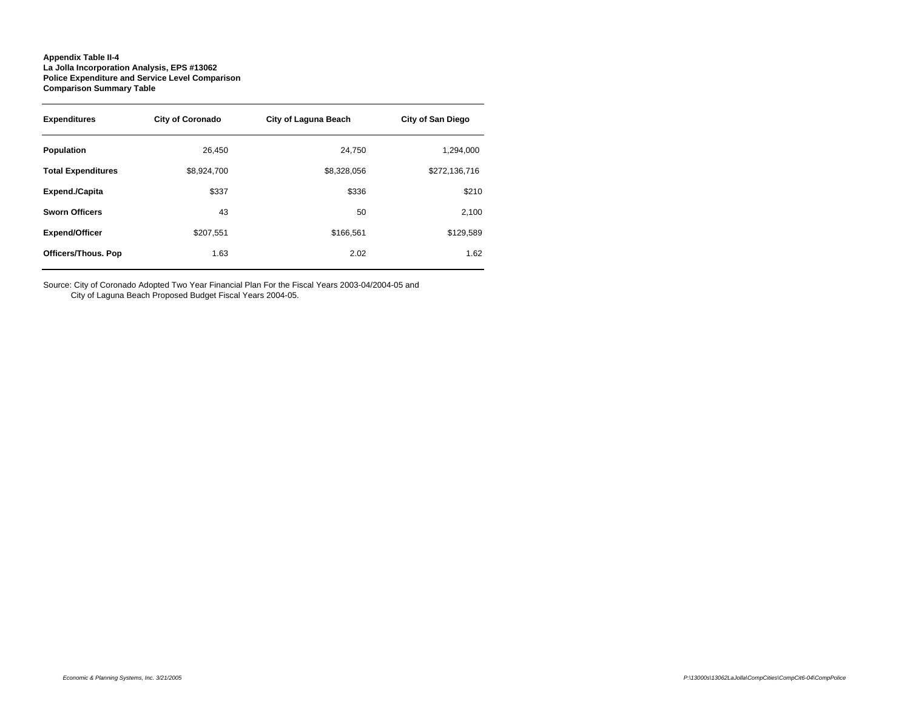## **Appendix Table II-4 La Jolla Incorporation Analysis, EPS #13062 Police Expenditure and Service Level Comparison Comparison Summary Table**

| <b>Expenditures</b>        | <b>City of Coronado</b> | City of Laguna Beach | <b>City of San Diego</b> |  |  |
|----------------------------|-------------------------|----------------------|--------------------------|--|--|
| Population                 | 26.450                  | 24.750               | 1,294,000                |  |  |
| <b>Total Expenditures</b>  | \$8,924,700             | \$8,328,056          | \$272,136,716            |  |  |
| <b>Expend./Capita</b>      | \$337                   | \$336                | \$210                    |  |  |
| <b>Sworn Officers</b>      | 43                      | 50                   | 2,100                    |  |  |
| <b>Expend/Officer</b>      | \$207.551               | \$166.561            | \$129,589                |  |  |
| <b>Officers/Thous. Pop</b> | 1.63                    | 2.02                 | 1.62                     |  |  |

Source: City of Coronado Adopted Two Year Financial Plan For the Fiscal Years 2003-04/2004-05 and

City of Laguna Beach Proposed Budget Fiscal Years 2004-05.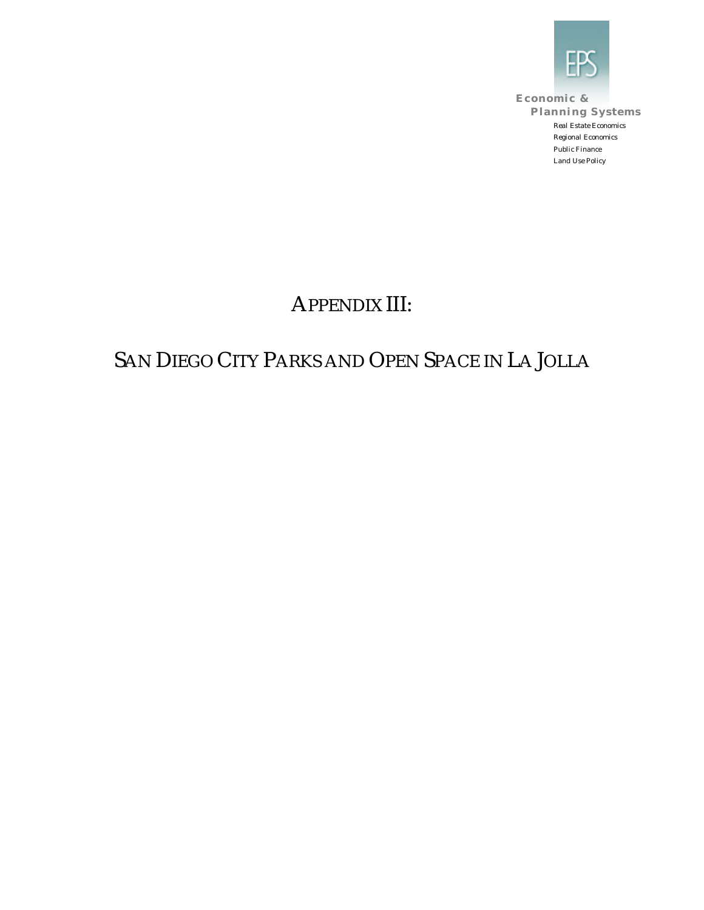

**Economic & Planning Systems** *Real Estate Economics Regional Economics Public Finance Land Use Policy*

## APPENDIX III:

## SAN DIEGO CITY PARKS AND OPEN SPACE IN LA JOLLA